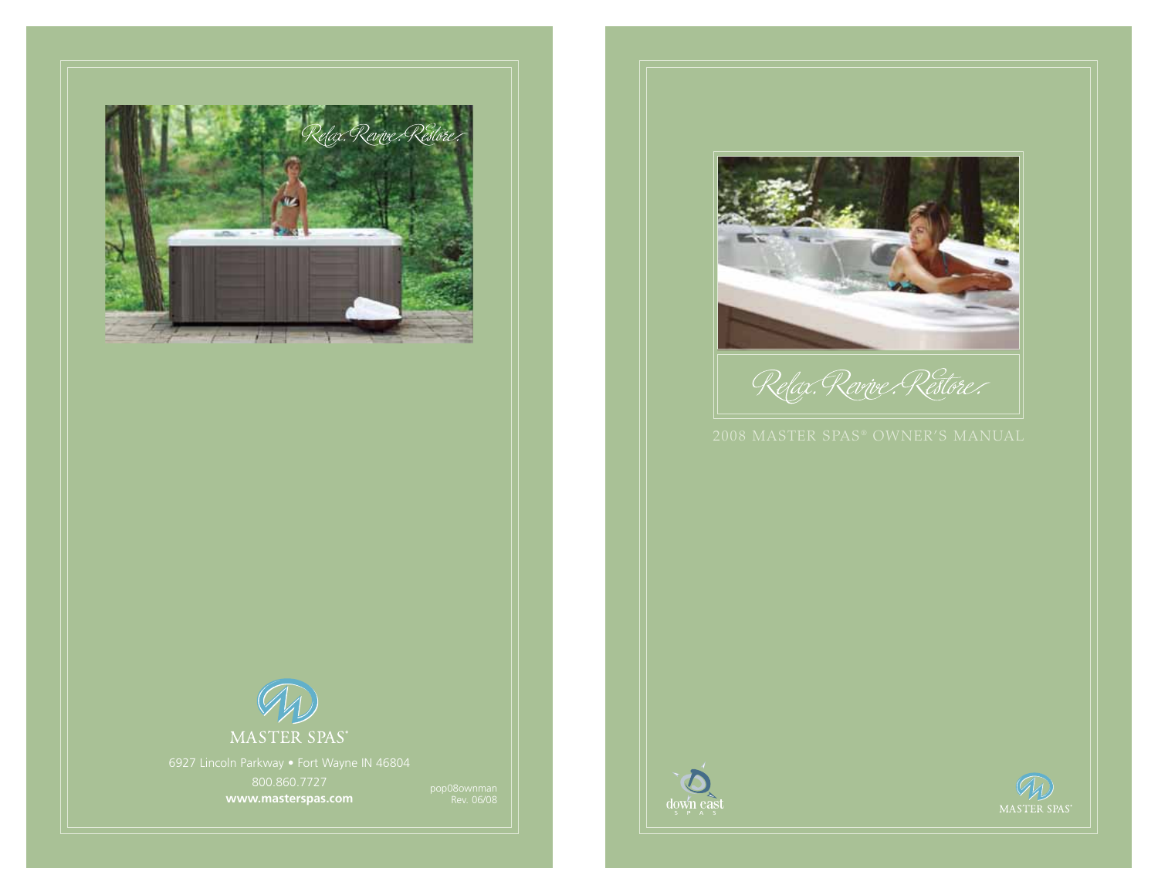



Relax. Revive: Restore:



**www.masterspas.com**



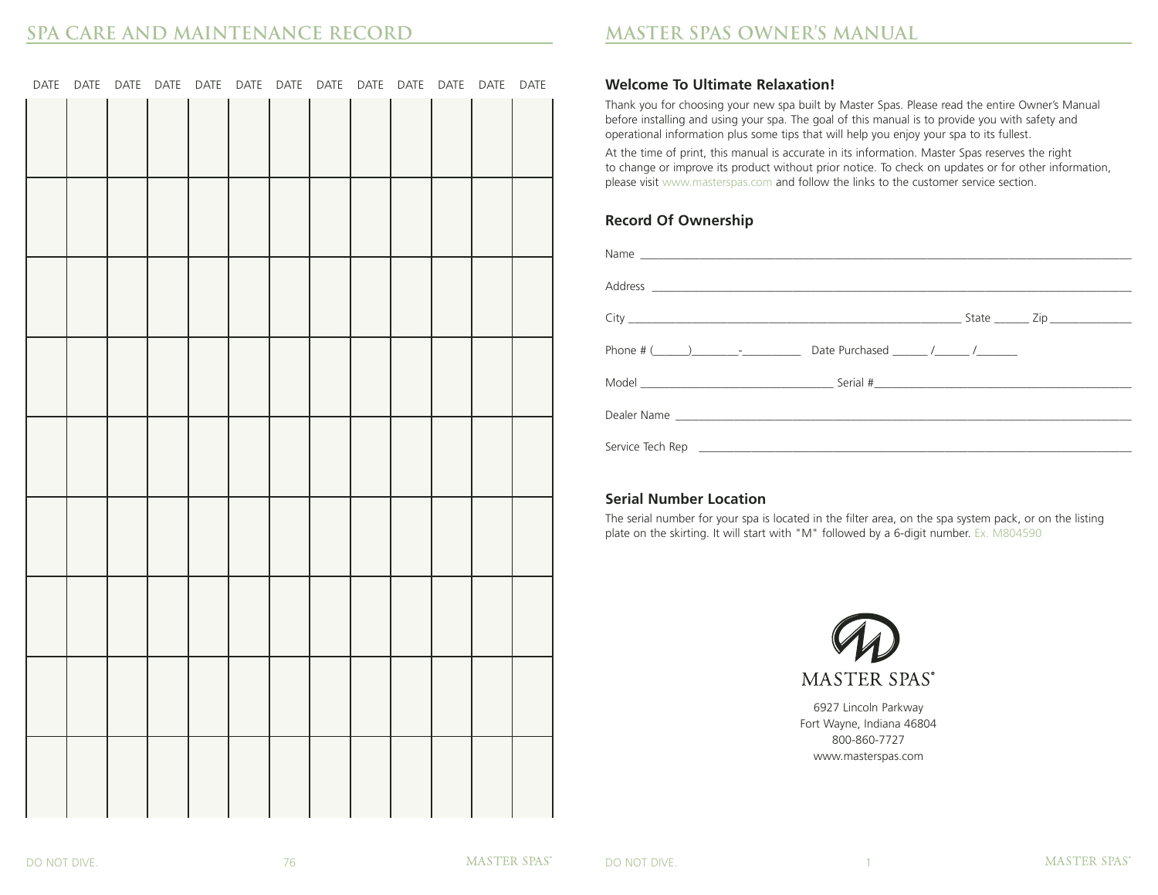#### **Welcome To Ultimate Relaxation!**

Thank you for choosing your new spa built by Master Spas. Please read the entire Owner's Manual before installing and using your spa. The goal of this manual is to provide you with safety and operational information plus some tips that will help you enjoy your spa to its fullest.

At the time of print, this manual is accurate in its information. Master Spas reserves the right to change or improve its product without prior notice. To check on updates or for other information, please visit www.masterspas.com and follow the links to the customer service section.

#### **Record Of Ownership**

| Phone # ( $\frac{1}{2}$ $\frac{1}{2}$ $\frac{1}{2}$ $\frac{1}{2}$ $\frac{1}{2}$ $\frac{1}{2}$ $\frac{1}{2}$ $\frac{1}{2}$ $\frac{1}{2}$ $\frac{1}{2}$ $\frac{1}{2}$ $\frac{1}{2}$ $\frac{1}{2}$ $\frac{1}{2}$ $\frac{1}{2}$ $\frac{1}{2}$ $\frac{1}{2}$ $\frac{1}{2}$ $\frac{1}{2}$ $\frac{1}{2}$ $\frac{1}{2}$ $\$ |  |  |
|---------------------------------------------------------------------------------------------------------------------------------------------------------------------------------------------------------------------------------------------------------------------------------------------------------------------|--|--|
|                                                                                                                                                                                                                                                                                                                     |  |  |
|                                                                                                                                                                                                                                                                                                                     |  |  |
|                                                                                                                                                                                                                                                                                                                     |  |  |

#### **Serial Number Location**

The serial number for your spa is located in the filter area, on the spa system pack, or on the listing plate on the skirting. It will start with "M" followed by a 6-digit number. Ex. M804590



6927 Lincoln Parkway Fort Wayne, Indiana 46804 800-860-7727 www.masterspas.com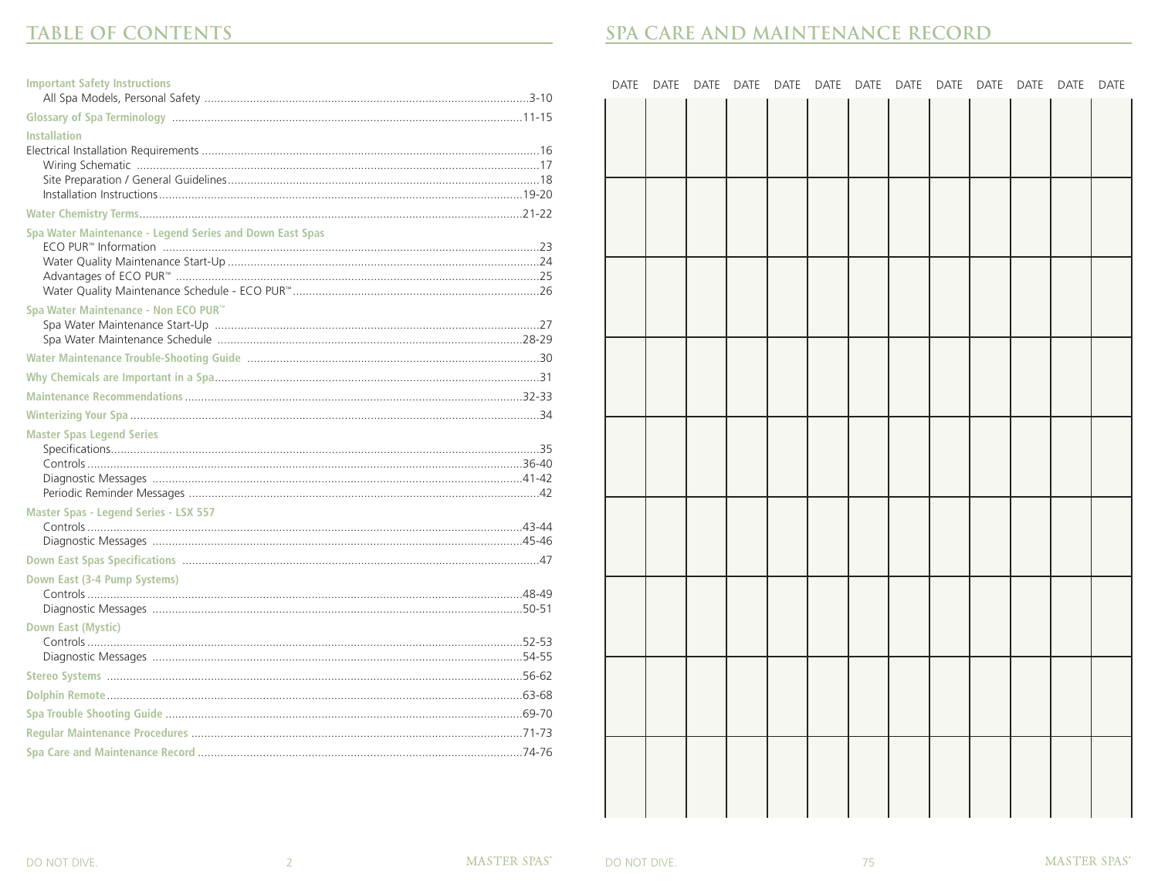## **TABLE OF CONTENTS**

## SPA CARE AND MAINTENANCE RECORD

| <b>Important Safety Instructions</b>                     |  |
|----------------------------------------------------------|--|
|                                                          |  |
|                                                          |  |
| <b>Installation</b>                                      |  |
|                                                          |  |
| Spa Water Maintenance - Legend Series and Down East Spas |  |
| Spa Water Maintenance - Non ECO PUR <sup>™</sup>         |  |
|                                                          |  |
|                                                          |  |
|                                                          |  |
|                                                          |  |
| <b>Master Spas Legend Series</b>                         |  |
| <b>Master Spas - Legend Series - LSX 557</b>             |  |
|                                                          |  |
| Down East (3-4 Pump Systems)                             |  |
| <b>Down East (Mystic)</b>                                |  |
|                                                          |  |
|                                                          |  |
|                                                          |  |
|                                                          |  |
|                                                          |  |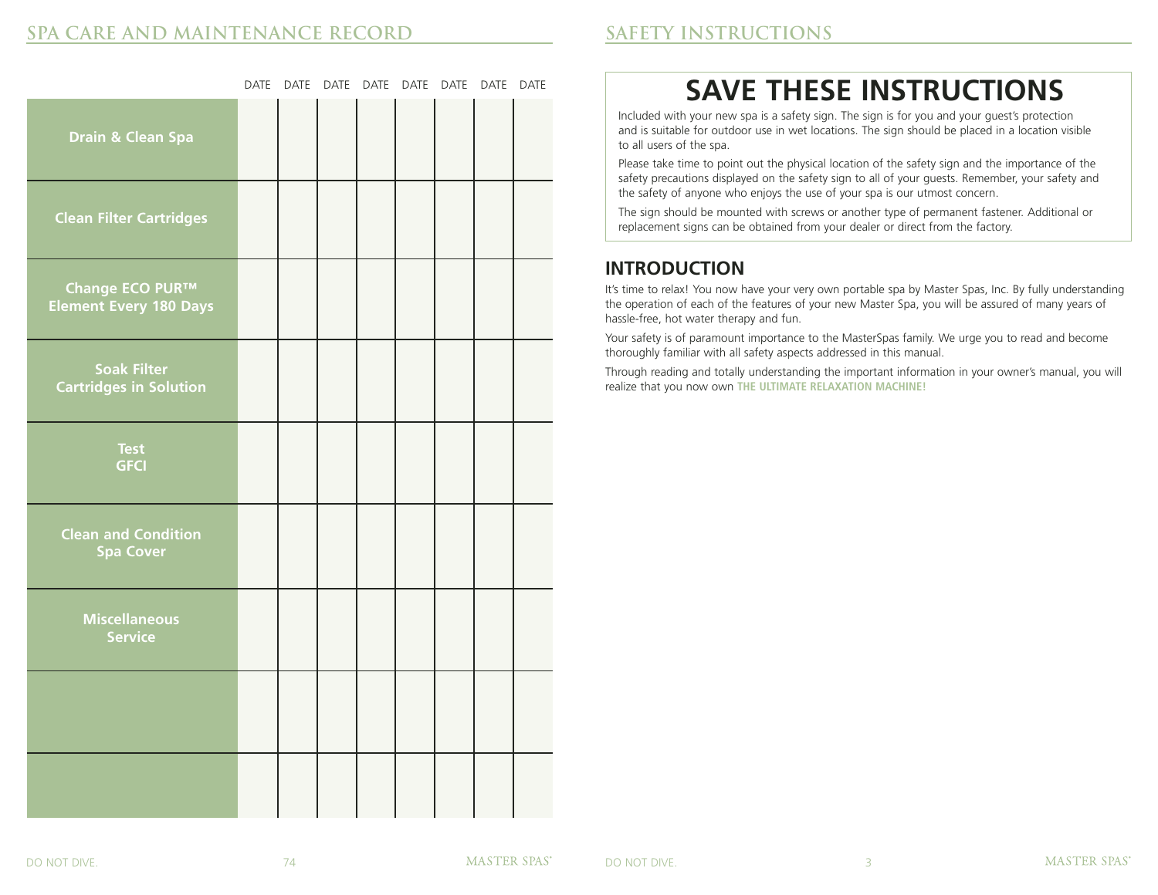|                                                     | DATE DATE |  | DATE DATE DATE DATE DATE DATE |  |  |
|-----------------------------------------------------|-----------|--|-------------------------------|--|--|
| Drain & Clean Spa                                   |           |  |                               |  |  |
| <b>Clean Filter Cartridges</b>                      |           |  |                               |  |  |
| Change ECO PUR™<br><b>Element Every 180 Days</b>    |           |  |                               |  |  |
| <b>Soak Filter</b><br><b>Cartridges in Solution</b> |           |  |                               |  |  |
| <b>Test</b><br><b>GFCI</b>                          |           |  |                               |  |  |
| <b>Clean and Condition</b><br><b>Spa Cover</b>      |           |  |                               |  |  |
| <b>Miscellaneous</b><br><b>Service</b>              |           |  |                               |  |  |
|                                                     |           |  |                               |  |  |
|                                                     |           |  |                               |  |  |

## **SAFETY INSTRUCTIONS**

## **SAVE THESE INSTRUCTIONS**

Included with your new spa is a safety sign. The sign is for you and your guest's protection and is suitable for outdoor use in wet locations. The sign should be placed in a location visible to all users of the spa.

Please take time to point out the physical location of the safety sign and the importance of the safety precautions displayed on the safety sign to all of your guests. Remember, your safety and the safety of anyone who enjoys the use of your spa is our utmost concern.

The sign should be mounted with screws or another type of permanent fastener. Additional or replacement signs can be obtained from your dealer or direct from the factory.

## **INTRODUCTION**

It's time to relax! You now have your very own portable spa by Master Spas, Inc. By fully understanding the operation of each of the features of your new Master Spa, you will be assured of many years of hassle-free, hot water therapy and fun.

Your safety is of paramount importance to the MasterSpas family. We urge you to read and become thoroughly familiar with all safety aspects addressed in this manual.

Through reading and totally understanding the important information in your owner's manual, you will realize that you now own **THE ULTIMATE RELAXATION MACHINE!**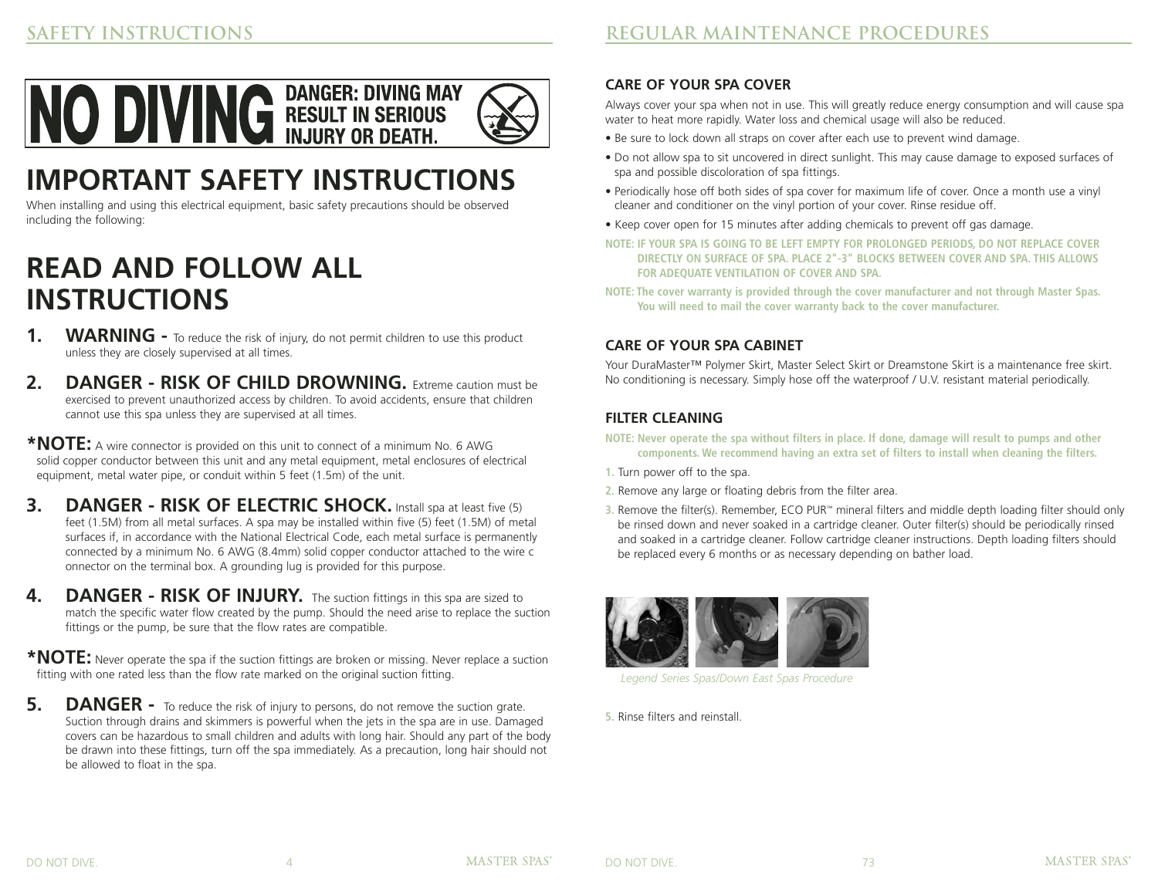

## **IMPORTANT SAFETY INSTRUCTIONS**

When installing and using this electrical equipment, basic safety precautions should be observed including the following:

## **READ AND FOLLOW ALL INSTRUCTIONS**

- 1. WARNING To reduce the risk of injury, do not permit children to use this product unless they are closely supervised at all times.
- **2. DANGER RISK OF CHILD DROWNING.** Extreme caution must be exercised to prevent unauthorized access by children. To avoid accidents, ensure that children cannot use this spa unless they are supervised at all times.

**\*NOTE:** A wire connector is provided on this unit to connect of a minimum No. 6 AWG solid copper conductor between this unit and any metal equipment, metal enclosures of electrical equipment, metal water pipe, or conduit within 5 feet (1.5m) of the unit.

- **3. DANGER RISK OF ELECTRIC SHOCK.** Install spa at least five (5) feet (1.5M) from all metal surfaces. A spa may be installed within five (5) feet (1.5M) of metal surfaces if, in accordance with the National Electrical Code, each metal surface is permanently connected by a minimum No. 6 AWG (8.4mm) solid copper conductor attached to the wire c onnector on the terminal box. A grounding lug is provided for this purpose.
- **4.** DANGER RISK OF INJURY. The suction fittings in this spa are sized to match the specific water flow created by the pump. Should the need arise to replace the suction fittings or the pump, be sure that the flow rates are compatible.

**\*NOTE:** Never operate the spa if the suction fittings are broken or missing. Never replace a suction fitting with one rated less than the flow rate marked on the original suction fitting.

**5.** DANGER - To reduce the risk of injury to persons, do not remove the suction grate. Suction through drains and skimmers is powerful when the jets in the spa are in use. Damaged covers can be hazardous to small children and adults with long hair. Should any part of the body be drawn into these fittings, turn off the spa immediately. As a precaution, long hair should not be allowed to float in the spa.

#### **CARE OF YOUR SPA COVER**

Always cover your spa when not in use. This will greatly reduce energy consumption and will cause spa water to heat more rapidly. Water loss and chemical usage will also be reduced.

- Be sure to lock down all straps on cover after each use to prevent wind damage.
- Do not allow spa to sit uncovered in direct sunlight. This may cause damage to exposed surfaces of spa and possible discoloration of spa fittings.
- Periodically hose off both sides of spa cover for maximum life of cover. Once a month use a vinyl cleaner and conditioner on the vinyl portion of your cover. Rinse residue off.
- Keep cover open for 15 minutes after adding chemicals to prevent off gas damage.
- **NOTE: IF YOUR SPA IS GOING TO BE LEFT EMPTY FOR PROLONGED PERIODS, DO NOT REPLACE COVER DIRECTLY ON SURFACE OF SPA. PLACE 2"-3" BLOCKS BETWEEN COVER AND SPA. THIS ALLOWS FOR ADEQUATE VENTILATION OF COVER AND SPA.**
- **NOTE: The cover warranty is provided through the cover manufacturer and not through Master Spas. You will need to mail the cover warranty back to the cover manufacturer.**

#### **CARE OF YOUR SPA CABINET**

Your DuraMaster™ Polymer Skirt, Master Select Skirt or Dreamstone Skirt is a maintenance free skirt. No conditioning is necessary. Simply hose off the waterproof / U.V. resistant material periodically.

### **FILTER CLEANING**

- **NOTE: Never operate the spa without filters in place. If done, damage will result to pumps and other components. We recommend having an extra set of filters to install when cleaning the filters.**
- **1.** Turn power off to the spa.
- **2.** Remove any large or floating debris from the filter area.
- **3.** Remove the filter(s). Remember, ECO PUR™ mineral filters and middle depth loading filter should only be rinsed down and never soaked in a cartridge cleaner. Outer filter(s) should be periodically rinsed and soaked in a cartridge cleaner. Follow cartridge cleaner instructions. Depth loading filters should be replaced every 6 months or as necessary depending on bather load.



*Legend Series Spas/Down East Spas Procedure*

**5.** Rinse filters and reinstall.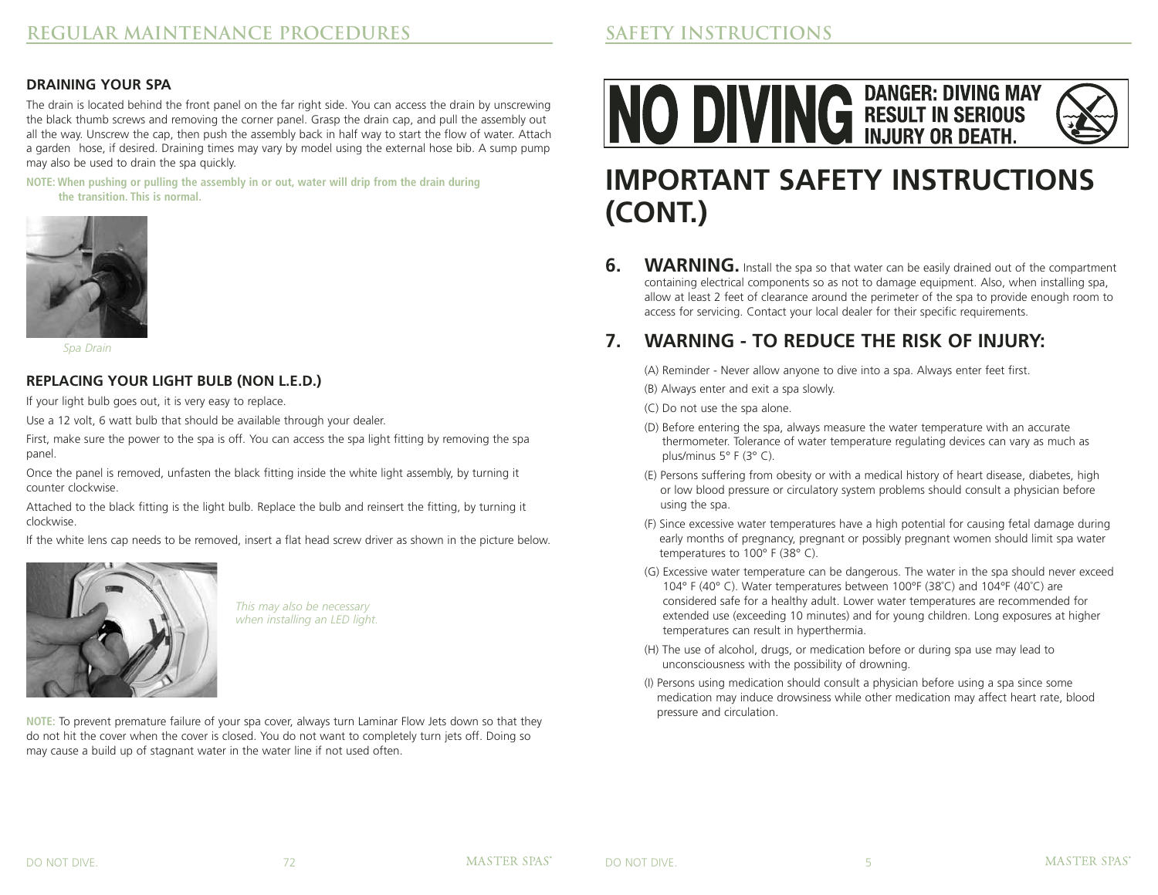#### **DRAINING YOUR SPA**

The drain is located behind the front panel on the far right side. You can access the drain by unscrewing the black thumb screws and removing the corner panel. Grasp the drain cap, and pull the assembly out all the way. Unscrew the cap, then push the assembly back in half way to start the flow of water. Attach a garden hose, if desired. Draining times may vary by model using the external hose bib. A sump pump may also be used to drain the spa quickly.

**NOTE: When pushing or pulling the assembly in or out, water will drip from the drain during the transition. This is normal.**



*Spa Drain*

#### **REPLACING YOUR LIGHT BULB (NON L.E.D.)**

If your light bulb goes out, it is very easy to replace.

Use a 12 volt, 6 watt bulb that should be available through your dealer.

First, make sure the power to the spa is off. You can access the spa light fitting by removing the spa panel.

Once the panel is removed, unfasten the black fitting inside the white light assembly, by turning it counter clockwise.

Attached to the black fitting is the light bulb. Replace the bulb and reinsert the fitting, by turning it clockwise.

If the white lens cap needs to be removed, insert a flat head screw driver as shown in the picture below.



*This may also be necessary when installing an LED light.*

**NOTE:** To prevent premature failure of your spa cover, always turn Laminar Flow Jets down so that they do not hit the cover when the cover is closed. You do not want to completely turn jets off. Doing so may cause a build up of stagnant water in the water line if not used often.

## **SAFETY INSTRUCTIONS**

NO DIVING BANGER: DIVING MAY



## **IMPORTANT SAFETY INSTRUCTIONS (CONT.)**

**6.** WARNING. Install the spa so that water can be easily drained out of the compartment containing electrical components so as not to damage equipment. Also, when installing spa, allow at least 2 feet of clearance around the perimeter of the spa to provide enough room to access for servicing. Contact your local dealer for their specific requirements.

## **7. WARNING - TO REDUCE THE RISK OF INJURY:**

(A) Reminder - Never allow anyone to dive into a spa. Always enter feet first.

(B) Always enter and exit a spa slowly.

(C) Do not use the spa alone.

- (D) Before entering the spa, always measure the water temperature with an accurate thermometer. Tolerance of water temperature regulating devices can vary as much as plus/minus 5° F (3° C).
- (E) Persons suffering from obesity or with a medical history of heart disease, diabetes, high or low blood pressure or circulatory system problems should consult a physician before using the spa.
- (F) Since excessive water temperatures have a high potential for causing fetal damage during early months of pregnancy, pregnant or possibly pregnant women should limit spa water temperatures to 100° F (38° C).
- (G) Excessive water temperature can be dangerous. The water in the spa should never exceed 104° F (40° C). Water temperatures between 100°F (38˚C) and 104°F (40˚C) are considered safe for a healthy adult. Lower water temperatures are recommended for extended use (exceeding 10 minutes) and for young children. Long exposures at higher temperatures can result in hyperthermia.
- (H) The use of alcohol, drugs, or medication before or during spa use may lead to unconsciousness with the possibility of drowning.
- (I) Persons using medication should consult a physician before using a spa since some medication may induce drowsiness while other medication may affect heart rate, blood pressure and circulation.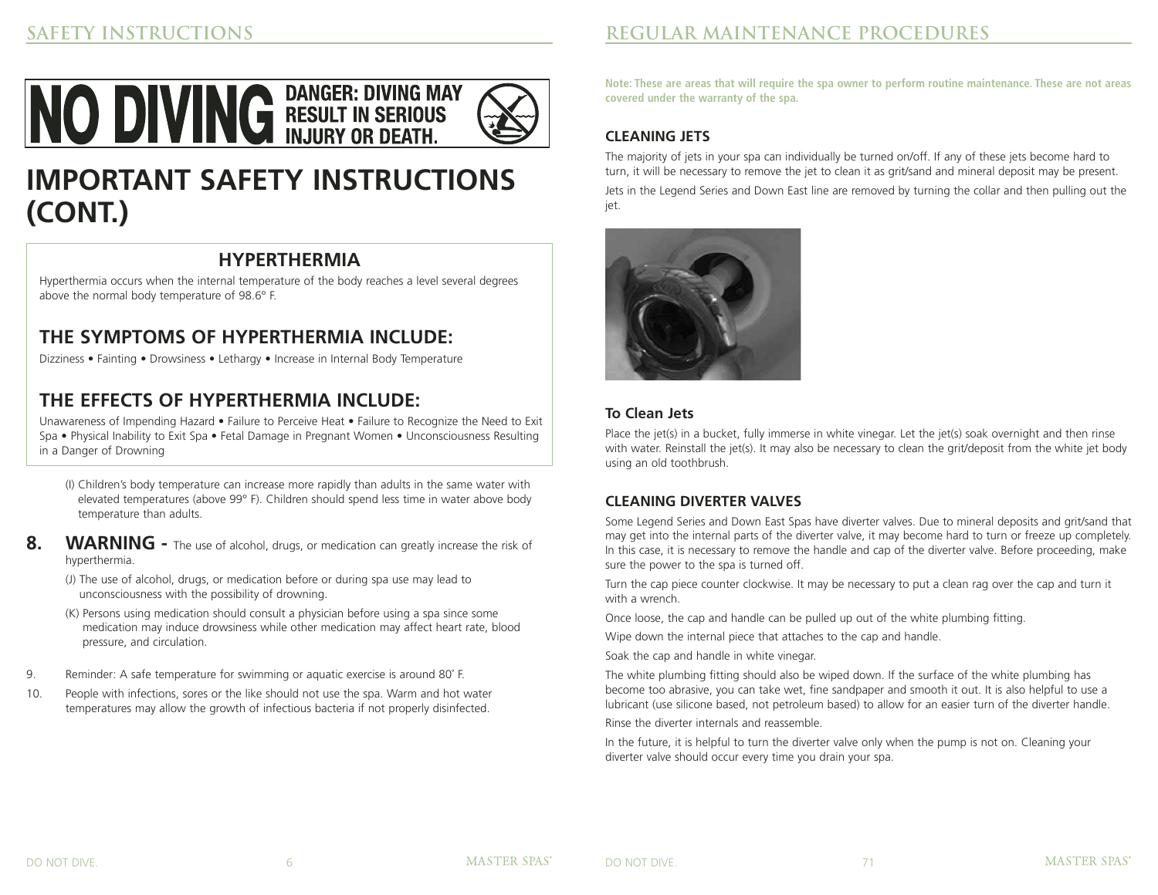

## **IMPORTANT SAFETY INSTRUCTIONS (CONT.)**

## **HYPERTHERMIA**

Hyperthermia occurs when the internal temperature of the body reaches a level several degrees above the normal body temperature of 98.6° F.

## **THE SYMPTOMS OF HYPERTHERMIA INCLUDE:**

Dizziness • Fainting • Drowsiness • Lethargy • Increase in Internal Body Temperature

## **THE EFFECTS OF HYPERTHERMIA INCLUDE:**

Unawareness of Impending Hazard • Failure to Perceive Heat • Failure to Recognize the Need to Exit Spa • Physical Inability to Exit Spa • Fetal Damage in Pregnant Women • Unconsciousness Resulting in a Danger of Drowning

(I) Children's body temperature can increase more rapidly than adults in the same water with elevated temperatures (above 99° F). Children should spend less time in water above body temperature than adults.

- 8. WARNING The use of alcohol, drugs, or medication can greatly increase the risk of hyperthermia.
	- (J) The use of alcohol, drugs, or medication before or during spa use may lead to unconsciousness with the possibility of drowning.
	- (K) Persons using medication should consult a physician before using a spa since some medication may induce drowsiness while other medication may affect heart rate, blood pressure, and circulation.
- 9. Reminder: A safe temperature for swimming or aquatic exercise is around 80˚ F.
- 10. People with infections, sores or the like should not use the spa. Warm and hot water temperatures may allow the growth of infectious bacteria if not properly disinfected.

**Note: These are areas that will require the spa owner to perform routine maintenance. These are not areas covered under the warranty of the spa.**

#### **CLEANING JETS**

The majority of jets in your spa can individually be turned on/off. If any of these jets become hard to turn, it will be necessary to remove the jet to clean it as grit/sand and mineral deposit may be present. Jets in the Legend Series and Down East line are removed by turning the collar and then pulling out the jet.



#### **To Clean Jets**

Place the jet(s) in a bucket, fully immerse in white vinegar. Let the jet(s) soak overnight and then rinse with water. Reinstall the jet(s). It may also be necessary to clean the grit/deposit from the white jet body using an old toothbrush.

#### **CLEANING DIVERTER VALVES**

Some Legend Series and Down East Spas have diverter valves. Due to mineral deposits and grit/sand that may get into the internal parts of the diverter valve, it may become hard to turn or freeze up completely. In this case, it is necessary to remove the handle and cap of the diverter valve. Before proceeding, make sure the power to the spa is turned off.

Turn the cap piece counter clockwise. It may be necessary to put a clean rag over the cap and turn it with a wrench.

Once loose, the cap and handle can be pulled up out of the white plumbing fitting.

Wipe down the internal piece that attaches to the cap and handle.

Soak the cap and handle in white vinegar.

The white plumbing fitting should also be wiped down. If the surface of the white plumbing has become too abrasive, you can take wet, fine sandpaper and smooth it out. It is also helpful to use a lubricant (use silicone based, not petroleum based) to allow for an easier turn of the diverter handle.

Rinse the diverter internals and reassemble.

In the future, it is helpful to turn the diverter valve only when the pump is not on. Cleaning your diverter valve should occur every time you drain your spa.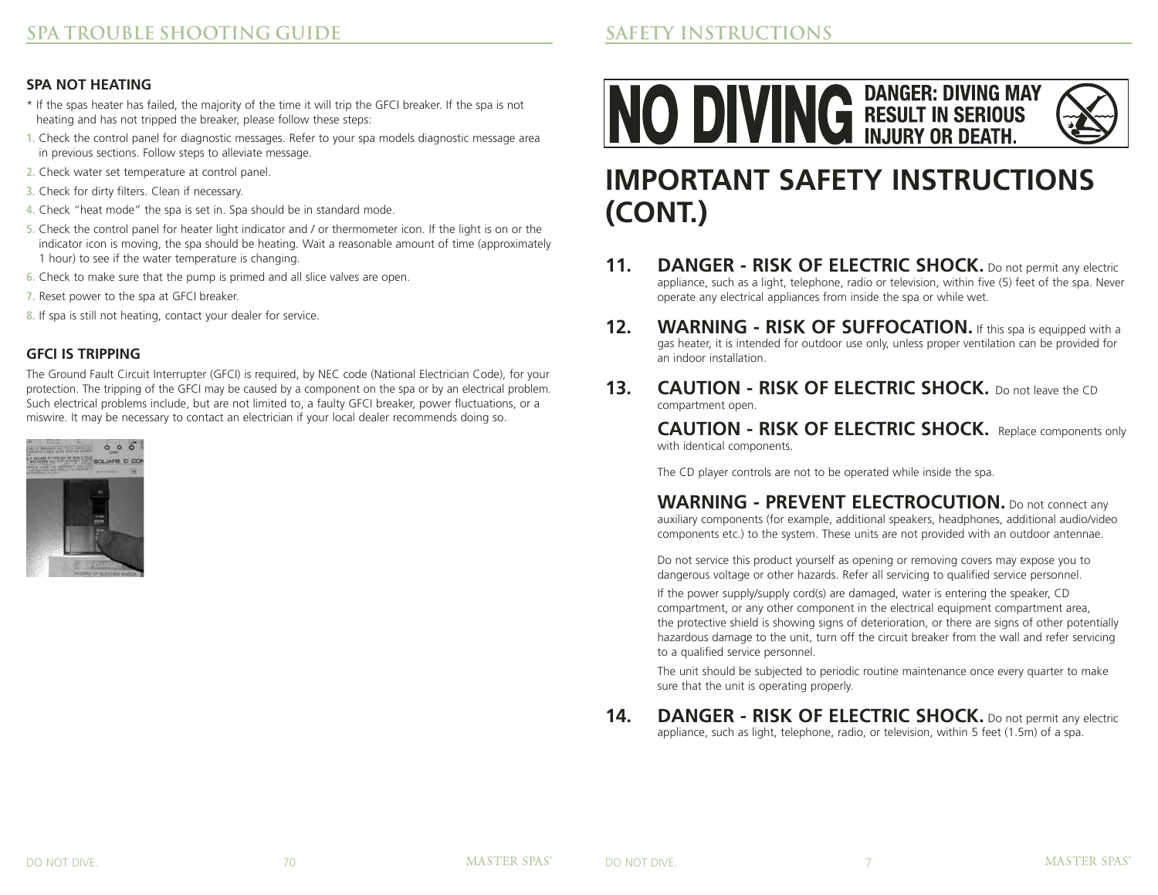### **SPA NOT HEATING**

- \* If the spas heater has failed, the majority of the time it will trip the GFCI breaker. If the spa is not heating and has not tripped the breaker, please follow these steps:
- **1.** Check the control panel for diagnostic messages. Refer to your spa models diagnostic message area in previous sections. Follow steps to alleviate message.
- **2.** Check water set temperature at control panel.
- **3.** Check for dirty filters. Clean if necessary.
- **4.** Check "heat mode" the spa is set in. Spa should be in standard mode.
- **5.** Check the control panel for heater light indicator and / or thermometer icon. If the light is on or the indicator icon is moving, the spa should be heating. Wait a reasonable amount of time (approximately 1 hour) to see if the water temperature is changing.
- **6.** Check to make sure that the pump is primed and all slice valves are open.
- **7.** Reset power to the spa at GFCI breaker.
- **8.** If spa is still not heating, contact your dealer for service.

### **GFCI IS TRIPPING**

The Ground Fault Circuit Interrupter (GFCI) is required, by NEC code (National Electrician Code), for your protection. The tripping of the GFCI may be caused by a component on the spa or by an electrical problem. Such electrical problems include, but are not limited to, a faulty GFCI breaker, power fluctuations, or a miswire. It may be necessary to contact an electrician if your local dealer recommends doing so.



## **SAFETY INSTRUCTIONS**

NO DIVING BANGER: DIVING MAY

## **IMPORTANT SAFETY INSTRUCTIONS (CONT.)**

- **11.** DANGER RISK OF ELECTRIC SHOCK. Do not permit any electric appliance, such as a light, telephone, radio or television, within five (5) feet of the spa. Never operate any electrical appliances from inside the spa or while wet.
- **12.** WARNING RISK OF SUFFOCATION. If this spa is equipped with a gas heater, it is intended for outdoor use only, unless proper ventilation can be provided for an indoor installation.
- **13. CAUTION RISK OF ELECTRIC SHOCK.** Do not leave the CD. compartment open.

**CAUTION - RISK OF ELECTRIC SHOCK.** Replace components only with identical components.

The CD player controls are not to be operated while inside the spa.

## **WARNING - PREVENT ELECTROCUTION.** Do not connect any

auxiliary components (for example, additional speakers, headphones, additional audio/video components etc.) to the system. These units are not provided with an outdoor antennae.

Do not service this product yourself as opening or removing covers may expose you to dangerous voltage or other hazards. Refer all servicing to qualified service personnel.

If the power supply/supply cord(s) are damaged, water is entering the speaker, CD compartment, or any other component in the electrical equipment compartment area, the protective shield is showing signs of deterioration, or there are signs of other potentially hazardous damage to the unit, turn off the circuit breaker from the wall and refer servicing to a qualified service personnel.

The unit should be subjected to periodic routine maintenance once every quarter to make sure that the unit is operating properly.

**14. DANGER - RISK OF ELECTRIC SHOCK.** Do not permit any electric appliance, such as light, telephone, radio, or television, within 5 feet (1.5m) of a spa.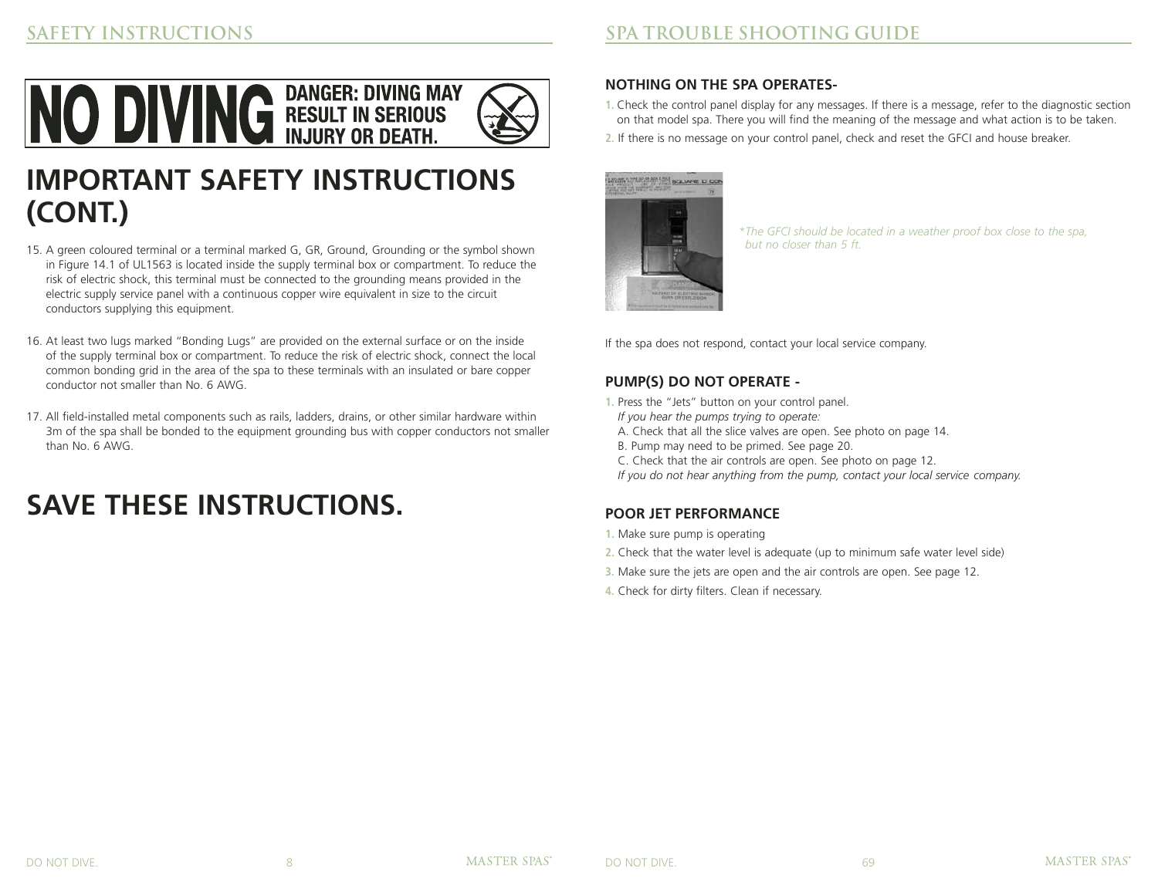# NO DIVING BANGER: DIVING MAY

## **IMPORTANT SAFETY INSTRUCTIONS (CONT.)**

- 15. A green coloured terminal or a terminal marked G, GR, Ground, Grounding or the symbol shown in Figure 14.1 of UL1563 is located inside the supply terminal box or compartment. To reduce the risk of electric shock, this terminal must be connected to the grounding means provided in the electric supply service panel with a continuous copper wire equivalent in size to the circuit conductors supplying this equipment.
- 16. At least two lugs marked "Bonding Lugs" are provided on the external surface or on the inside of the supply terminal box or compartment. To reduce the risk of electric shock, connect the local common bonding grid in the area of the spa to these terminals with an insulated or bare copper conductor not smaller than No. 6 AWG.
- 17. All field-installed metal components such as rails, ladders, drains, or other similar hardware within 3m of the spa shall be bonded to the equipment grounding bus with copper conductors not smaller than No. 6 AWG.

## **SAVE THESE INSTRUCTIONS.**

#### **NOTHING ON THE SPA OPERATES-**

- **1.** Check the control panel display for any messages. If there is a message, refer to the diagnostic section on that model spa. There you will find the meaning of the message and what action is to be taken.
- **2.** If there is no message on your control panel, check and reset the GFCI and house breaker.



*\*The GFCI should be located in a weather proof box close to the spa, but no closer than 5 ft.*

If the spa does not respond, contact your local service company.

#### **PUMP(S) DO NOT OPERATE -**

- **1.** Press the "Jets" button on your control panel.
- *If you hear the pumps trying to operate:*
- A. Check that all the slice valves are open. See photo on page 14.
- B. Pump may need to be primed. See page 20.
- C. Check that the air controls are open. See photo on page 12.
- *If you do not hear anything from the pump, contact your local service company.*

#### **POOR JET PERFORMANCE**

- **1.** Make sure pump is operating
- **2.** Check that the water level is adequate (up to minimum safe water level side)
- **3.** Make sure the jets are open and the air controls are open. See page 12.
- **4.** Check for dirty filters. Clean if necessary.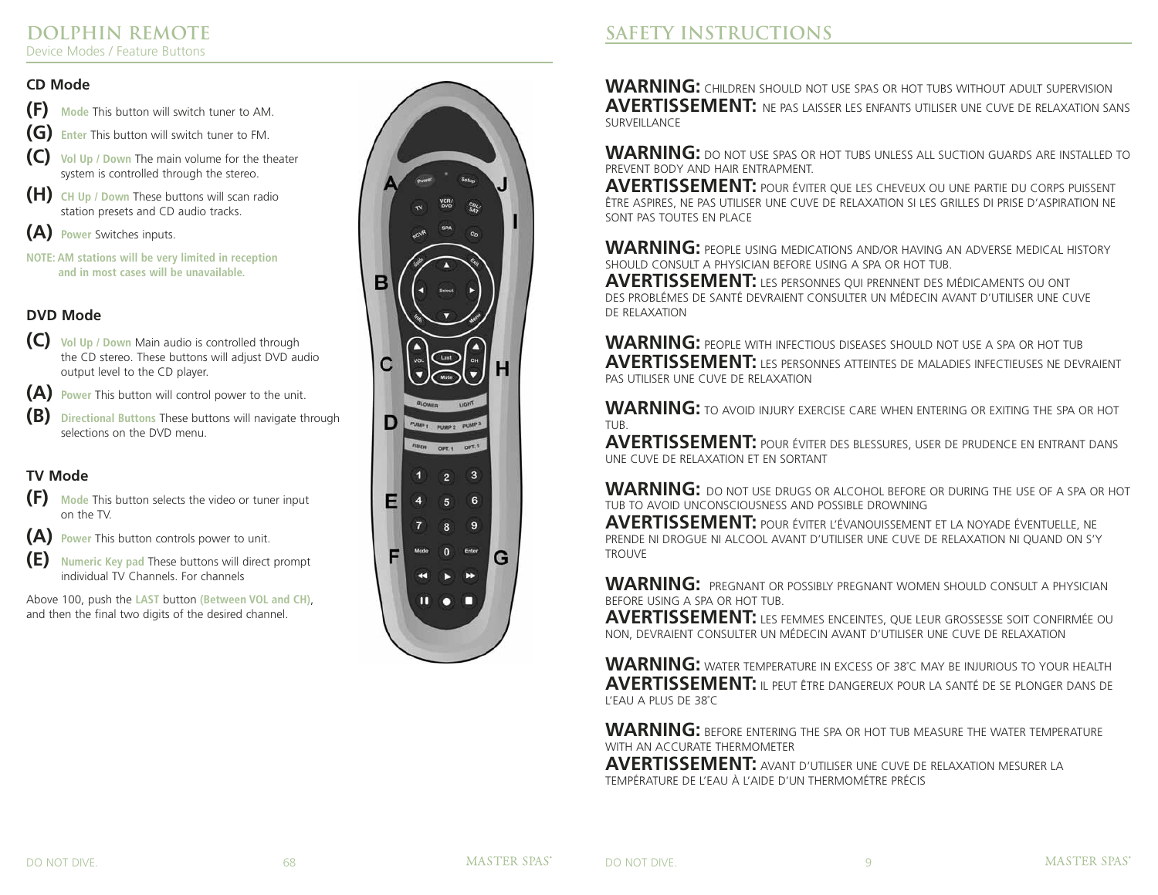## **DOLPHIN REMOTE**

Device Modes / Feature Buttons

#### **CD Mode**

- **(F) Mode** This button will switch tuner to AM.
- **(G) Enter** This button will switch tuner to FM.
- **(C) Vol Up / Down** The main volume for the theater system is controlled through the stereo.
- **(H) CH Up / Down** These buttons will scan radio station presets and CD audio tracks.
- **(A) Power** Switches inputs.
- **NOTE: AM stations will be very limited in reception and in most cases will be unavailable.**

### **DVD Mode**

- **(C) Vol Up / Down** Main audio is controlled through the CD stereo. These buttons will adjust DVD audio output level to the CD player.
- **(A) Power** This button will control power to the unit.
- **(B) Directional Buttons** These buttons will navigate through selections on the DVD menu.

### **TV Mode**

- **(F) Mode** This button selects the video or tuner input on the TV.
- **(A) Power** This button controls power to unit.
- **(E) Numeric Key pad** These buttons will direct prompt individual TV Channels. For channels

Above 100, push the **LAST** button **(Between VOL and CH)**, and then the final two digits of the desired channel.



## **SAFETY INSTRUCTIONS**

**WARNING:** CHILDREN SHOULD NOT USE SPAS OR HOT TUBS WITHOUT ADULT SUPERVISION **AVERTISSEMENT:** NE PAS LAISSER LES ENFANTS UTILISER UNE CUVE DE RELAXATION SANS SURVEILLANCE

WARNING: DO NOT USE SPAS OR HOT TUBS UNLESS ALL SUCTION GUARDS ARE INSTALLED TO PREVENT BODY AND HAIR ENTRAPMENT.

**AVERTISSEMENT:** POUR ÉVITER QUE LES CHEVEUX OU UNE PARTIE DU CORPS PUISSENT ÊTRE ASPIRES, NE PAS UTILISER UNE CUVE DE RELAXATION SI LES GRILLES DI PRISE D'ASPIRATION NE SONT PAS TOUTES EN PLACE

**WARNING:** PEOPLE USING MEDICATIONS AND/OR HAVING AN ADVERSE MEDICAL HISTORY SHOULD CONSULT A PHYSICIAN BEFORE USING A SPA OR HOT TUB.

**AVERTISSEMENT:** LES PERSONNES QUI PRENNENT DES MÉDICAMENTS OU ONT DES PROBLÉMES DE SANTÉ DEVRAIENT CONSULTER UN MÉDECIN AVANT D'UTILISER UNE CUVE DE RELAXATION

WARNING: PEOPLE WITH INFECTIOUS DISEASES SHOULD NOT USE A SPA OR HOT TUB **AVERTISSEMENT:** LES PERSONNES ATTEINTES DE MALADIES INFECTIEUSES NE DEVRAIENT PAS UTILISER UNE CUVE DE RELAXATION

WARNING: TO AVOID INJURY EXERCISE CARE WHEN ENTERING OR EXITING THE SPA OR HOT TUB.

**AVERTISSEMENT:** POUR ÉVITER DES BLESSURES, USER DE PRUDENCE EN ENTRANT DANS UNE CUVE DE RELAXATION ET EN SORTANT

**WARNING:** DO NOT USE DRUGS OR ALCOHOL BEFORE OR DURING THE USE OF A SPA OR HOT TUB TO AVOID UNCONSCIOUSNESS AND POSSIBLE DROWNING

**AVERTISSEMENT:** POUR ÉVITER L'ÉVANOUISSEMENT ET LA NOYADE ÉVENTUELLE, NE PRENDE NI DROGUE NI ALCOOL AVANT D'UTILISER UNE CUVE DE RELAXATION NI QUAND ON S'Y TROUVE

**WARNING:** PREGNANT OR POSSIBLY PREGNANT WOMEN SHOULD CONSULT A PHYSICIAN BEFORE USING A SPA OR HOT TUB.

**AVERTISSEMENT:** LES FEMMES ENCEINTES, QUE LEUR GROSSESSE SOIT CONFIRMÉE OU NON, DEVRAIENT CONSULTER UN MÉDECIN AVANT D'UTILISER UNE CUVE DE RELAXATION

**WARNING:** WATER TEMPERATURE IN EXCESS OF 38˚C MAY BE INJURIOUS TO YOUR HEALTH **AVERTISSEMENT:** IL PEUT ÊTRE DANGEREUX POUR LA SANTÉ DE SE PLONGER DANS DE L'EAU A PLUS DE 38˚C

WARNING: BEFORE ENTERING THE SPA OR HOT TUB MEASURE THE WATER TEMPERATURE WITH AN ACCURATE THERMOMETER

**AVERTISSEMENT:** AVANT D'UTILISER UNE CUVE DE RELAXATION MESURER LA TEMPÉRATURE DE L'EAU À L'AIDE D'UN THERMOMÉTRE PRÉCIS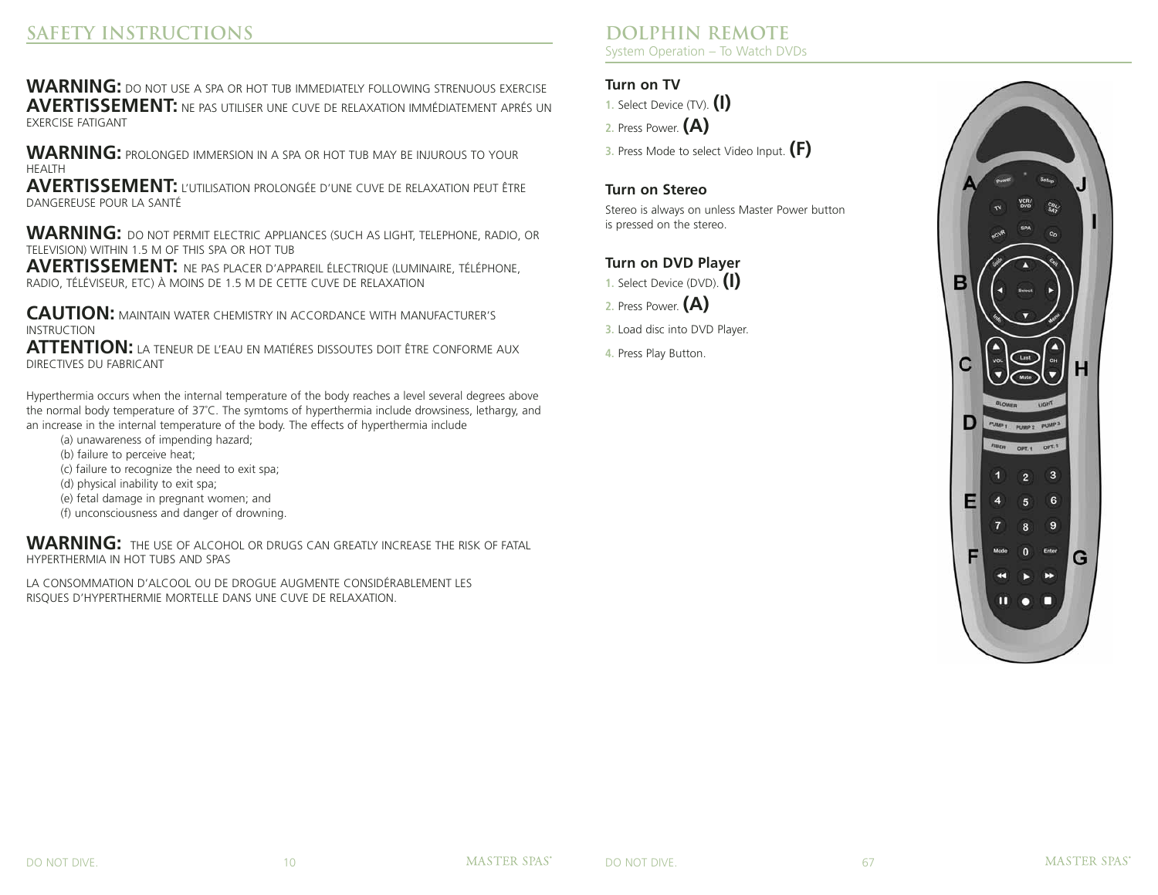## **SAFETY INSTRUCTIONS**

WARNING: DO NOT USE A SPA OR HOT TUB IMMEDIATELY FOLLOWING STRENUOUS EXERCISE **AVERTISSEMENT:** NE PAS UTILISER UNE CUVE DE RELAXATION IMMÉDIATEMENT APRÉS UN EXERCISE FATIGANT

WARNING: PROLONGED IMMERSION IN A SPA OR HOT TUB MAY BE INJUROUS TO YOUR **HEALTH** 

**AVERTISSEMENT:** L'UTILISATION PROLONGÉE D'UNE CUVE DE RELAXATION PEUT ÊTRE DANGEREUSE POUR LA SANTÉ

WARNING: DO NOT PERMIT ELECTRIC APPLIANCES (SUCH AS LIGHT, TELEPHONE, RADIO, OR TELEVISION) WITHIN 1.5 M OF THIS SPA OR HOT TUB

**AVERTISSEMENT:** NE PAS PLACER D'APPAREIL ÉLECTRIQUE (LUMINAIRE, TÉLÉPHONE, RADIO, TÉLÉVISEUR, ETC) À MOINS DE 1.5 M DE CETTE CUVE DE RELAXATION

**CAUTION:** MAINTAIN WATER CHEMISTRY IN ACCORDANCE WITH MANUFACTURER'S INSTRUCTION

**ATTENTION:** LA TENEUR DE L'EAU EN MATIÉRES DISSOUTES DOIT ÊTRE CONFORME AUX DIRECTIVES DU FABRICANT

Hyperthermia occurs when the internal temperature of the body reaches a level several degrees above the normal body temperature of 37˚C. The symtoms of hyperthermia include drowsiness, lethargy, and an increase in the internal temperature of the body. The effects of hyperthermia include

- (a) unawareness of impending hazard;
- (b) failure to perceive heat;
- (c) failure to recognize the need to exit spa;
- (d) physical inability to exit spa;
- (e) fetal damage in pregnant women; and
- (f) unconsciousness and danger of drowning.

**WARNING:** THE USE OF ALCOHOL OR DRUGS CAN GREATLY INCREASE THE RISK OF FATAL HYPERTHERMIA IN HOT TUBS AND SPAS

LA CONSOMMATION D'ALCOOL OU DE DROGUE AUGMENTE CONSIDÉRABLEMENT LES RISQUES D'HYPERTHERMIE MORTELLE DANS UNE CUVE DE RELAXATION.

#### **DOLPHIN REMOTE**  System Operation – To Watch DVDs

#### **Turn on TV**

- **1.** Select Device (TV). **(I)**
- **2.** Press Power. **(A)**
- **3.** Press Mode to select Video Input. **(F)**

#### **Turn on Stereo**

Stereo is always on unless Master Power button is pressed on the stereo.

#### **Turn on DVD Player**

- **1.** Select Device (DVD). **(I)**
- **2.** Press Power. **(A)**
- **3.** Load disc into DVD Player.
- **4.** Press Play Button.

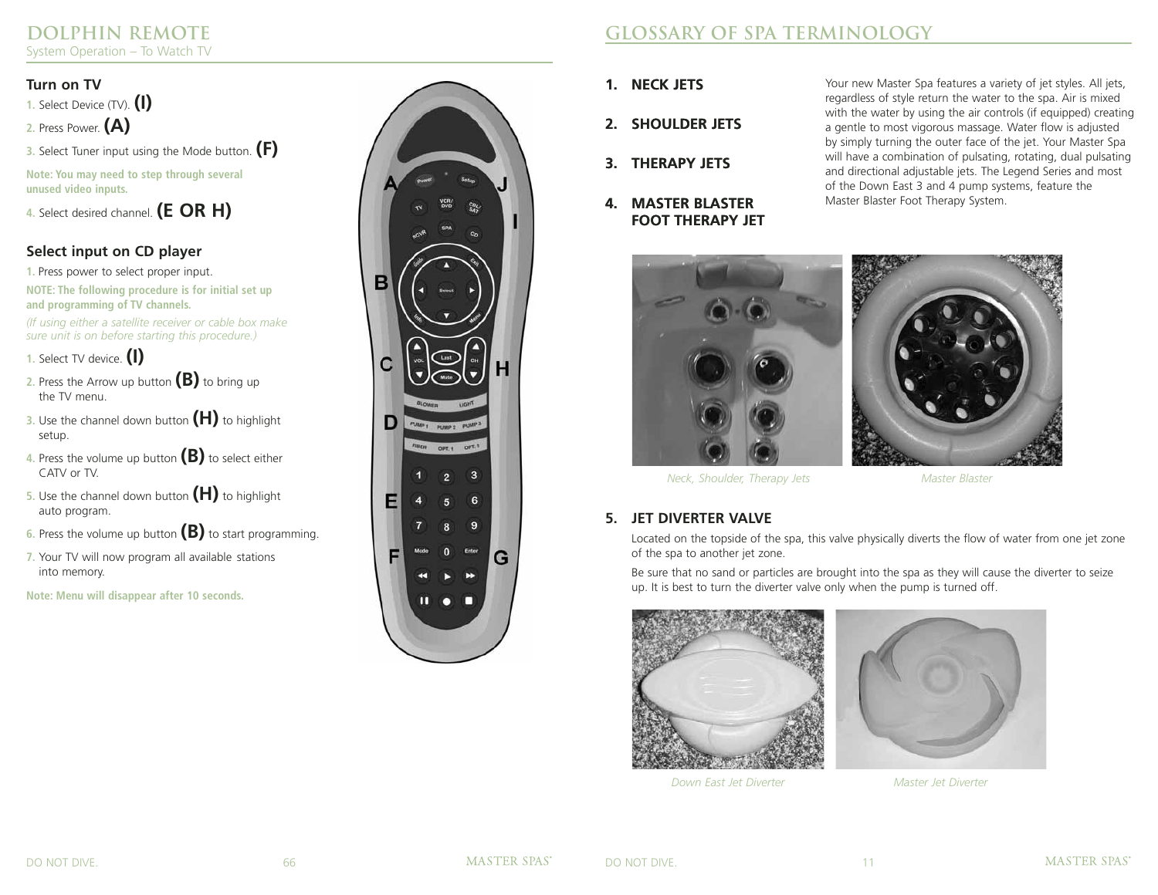## **DOLPHIN REMOTE**

System Operation – To Watch TV

#### **Turn on TV**

**1.** Select Device (TV). **(I)**

**2.** Press Power. **(A)**

**3.** Select Tuner input using the Mode button. **(F)**

**Note: You may need to step through several unused video inputs.**

**4.** Select desired channel. **(E OR H)**

### **Select input on CD player**

**1.** Press power to select proper input.

**NOTE: The following procedure is for initial set up and programming of TV channels.**

*(If using either a satellite receiver or cable box make sure unit is on before starting this procedure.)*

**1.** Select TV device. **(I)**

- **2.** Press the Arrow up button **(B)** to bring up the TV menu.
- **3.** Use the channel down button **(H)** to highlight setup.
- **4.** Press the volume up button **(B)** to select either CATV or TV.
- **5.** Use the channel down button **(H)** to highlight auto program.
- **6.** Press the volume up button **(B)** to start programming.
- **7.** Your TV will now program all available stations into memory.

**Note: Menu will disappear after 10 seconds.**



## **GLOSSARY OF SPA TERMINOLOGY**

- **1. NECK JETS**
- **2. SHOULDER JETS**
- **3. THERAPY JETS**
- **4. MASTER BLASTER FOOT THERAPY JET**

Your new Master Spa features a variety of jet styles. All jets, regardless of style return the water to the spa. Air is mixed with the water by using the air controls (if equipped) creating a gentle to most vigorous massage. Water flow is adjusted by simply turning the outer face of the jet. Your Master Spa will have a combination of pulsating, rotating, dual pulsating and directional adjustable jets. The Legend Series and most of the Down East 3 and 4 pump systems, feature the Master Blaster Foot Therapy System.





*Neck, Shoulder, Therapy Jets Master Blaster*

#### **5. JET DIVERTER VALVE**

Located on the topside of the spa, this valve physically diverts the flow of water from one jet zone of the spa to another jet zone.

Be sure that no sand or particles are brought into the spa as they will cause the diverter to seize up. It is best to turn the diverter valve only when the pump is turned off.



*Down East Jet Diverter Master Jet Diverter*

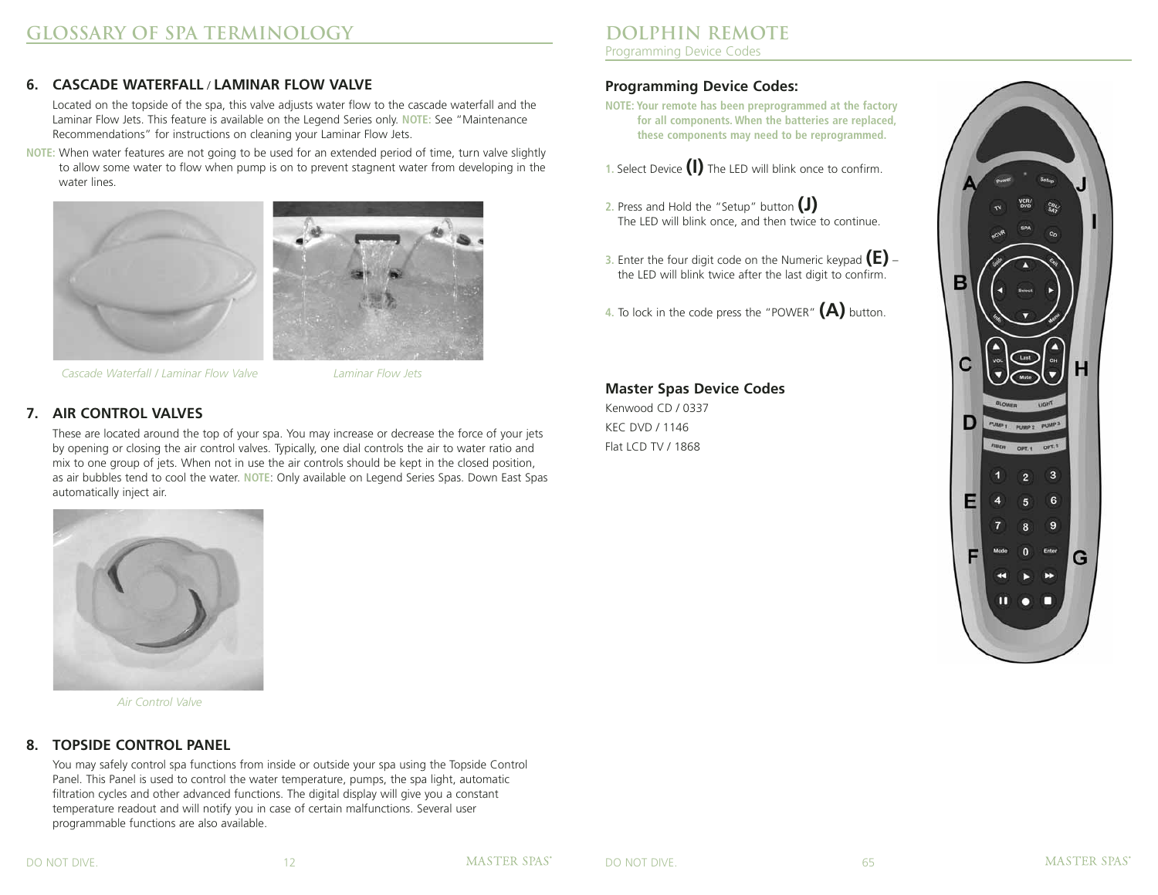#### **6. CASCADE WATERFALL** / **LAMINAR FLOW VALVE**

Located on the topside of the spa, this valve adjusts water flow to the cascade waterfall and the Laminar Flow Jets. This feature is available on the Legend Series only. **NOTE:** See "Maintenance Recommendations" for instructions on cleaning your Laminar Flow Jets.

**NOTE:** When water features are not going to be used for an extended period of time, turn valve slightly to allow some water to flow when pump is on to prevent stagnent water from developing in the water lines.





*Cascade Waterfall / Laminar Flow Valve Laminar Flow Jets*

#### **7. AIR CONTROL VALVES**

These are located around the top of your spa. You may increase or decrease the force of your jets by opening or closing the air control valves. Typically, one dial controls the air to water ratio and mix to one group of jets. When not in use the air controls should be kept in the closed position, as air bubbles tend to cool the water. **NOTE**: Only available on Legend Series Spas. Down East Spas automatically inject air.



*Air Control Valve*

#### **8. TOPSIDE CONTROL PANEL**

You may safely control spa functions from inside or outside your spa using the Topside Control Panel. This Panel is used to control the water temperature, pumps, the spa light, automatic filtration cycles and other advanced functions. The digital display will give you a constant temperature readout and will notify you in case of certain malfunctions. Several user programmable functions are also available.

## **DOLPHIN REMOTE**

Programming Device Codes

#### **Programming Device Codes:**

- **NOTE: Your remote has been preprogrammed at the factory for all components. When the batteries are replaced, these components may need to be reprogrammed.**
- **1.** Select Device **(I)** The LED will blink once to confirm.
- **2.** Press and Hold the "Setup" button **(J)** The LED will blink once, and then twice to continue.
- **3.** Enter the four digit code on the Numeric keypad **(E)** the LED will blink twice after the last digit to confirm.
- **4.** To lock in the code press the "POWER" **(A)** button.

#### **Master Spas Device Codes**

Kenwood CD / 0337 KEC DVD / 1146 Flat LCD TV / 1868

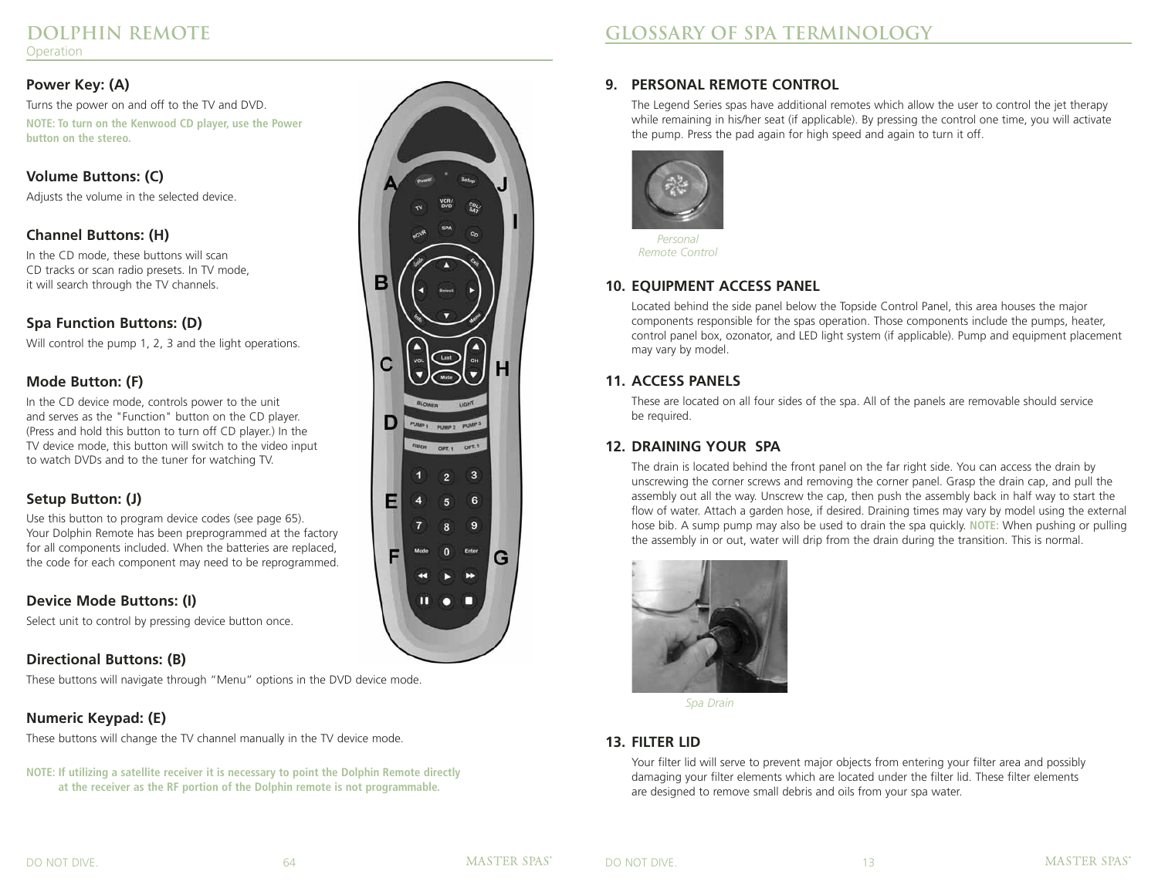#### **Power Key: (A)**

Turns the power on and off to the TV and DVD.

**NOTE: To turn on the Kenwood CD player, use the Power button on the stereo.**

#### **Volume Buttons: (C)**

Adjusts the volume in the selected device.

#### **Channel Buttons: (H)**

In the CD mode, these buttons will scan CD tracks or scan radio presets. In TV mode, it will search through the TV channels.

#### **Spa Function Buttons: (D)**

Will control the pump 1, 2, 3 and the light operations.

#### **Mode Button: (F)**

In the CD device mode, controls power to the unit and serves as the "Function" button on the CD player. (Press and hold this button to turn off CD player.) In the TV device mode, this button will switch to the video input to watch DVDs and to the tuner for watching TV.

#### **Setup Button: (J)**

Use this button to program device codes (see page 65). Your Dolphin Remote has been preprogrammed at the factory for all components included. When the batteries are replaced, the code for each component may need to be reprogrammed.

#### **Device Mode Buttons: (I)**

Select unit to control by pressing device button once.

### **Directional Buttons: (B)**

These buttons will navigate through "Menu" options in the DVD device mode.

### **Numeric Keypad: (E)**

These buttons will change the TV channel manually in the TV device mode.

**NOTE: If utilizing a satellite receiver it is necessary to point the Dolphin Remote directly at the receiver as the RF portion of the Dolphin remote is not programmable.**



### **9. PERSONAL REMOTE CONTROL**

The Legend Series spas have additional remotes which allow the user to control the jet therapy while remaining in his/her seat (if applicable). By pressing the control one time, you will activate the pump. Press the pad again for high speed and again to turn it off.



*Remote Control*

#### **10. EQUIPMENT ACCESS PANEL**

Located behind the side panel below the Topside Control Panel, this area houses the major components responsible for the spas operation. Those components include the pumps, heater, control panel box, ozonator, and LED light system (if applicable). Pump and equipment placement may vary by model.

#### **11. ACCESS PANELS**

These are located on all four sides of the spa. All of the panels are removable should service be required.

#### **12. DRAINING YOUR SPA**

The drain is located behind the front panel on the far right side. You can access the drain by unscrewing the corner screws and removing the corner panel. Grasp the drain cap, and pull the assembly out all the way. Unscrew the cap, then push the assembly back in half way to start the flow of water. Attach a garden hose, if desired. Draining times may vary by model using the external hose bib. A sump pump may also be used to drain the spa quickly. **NOTE:** When pushing or pulling the assembly in or out, water will drip from the drain during the transition. This is normal.



*Spa Drain*

#### **13. FILTER LID**

Your filter lid will serve to prevent major objects from entering your filter area and possibly damaging your filter elements which are located under the filter lid. These filter elements are designed to remove small debris and oils from your spa water.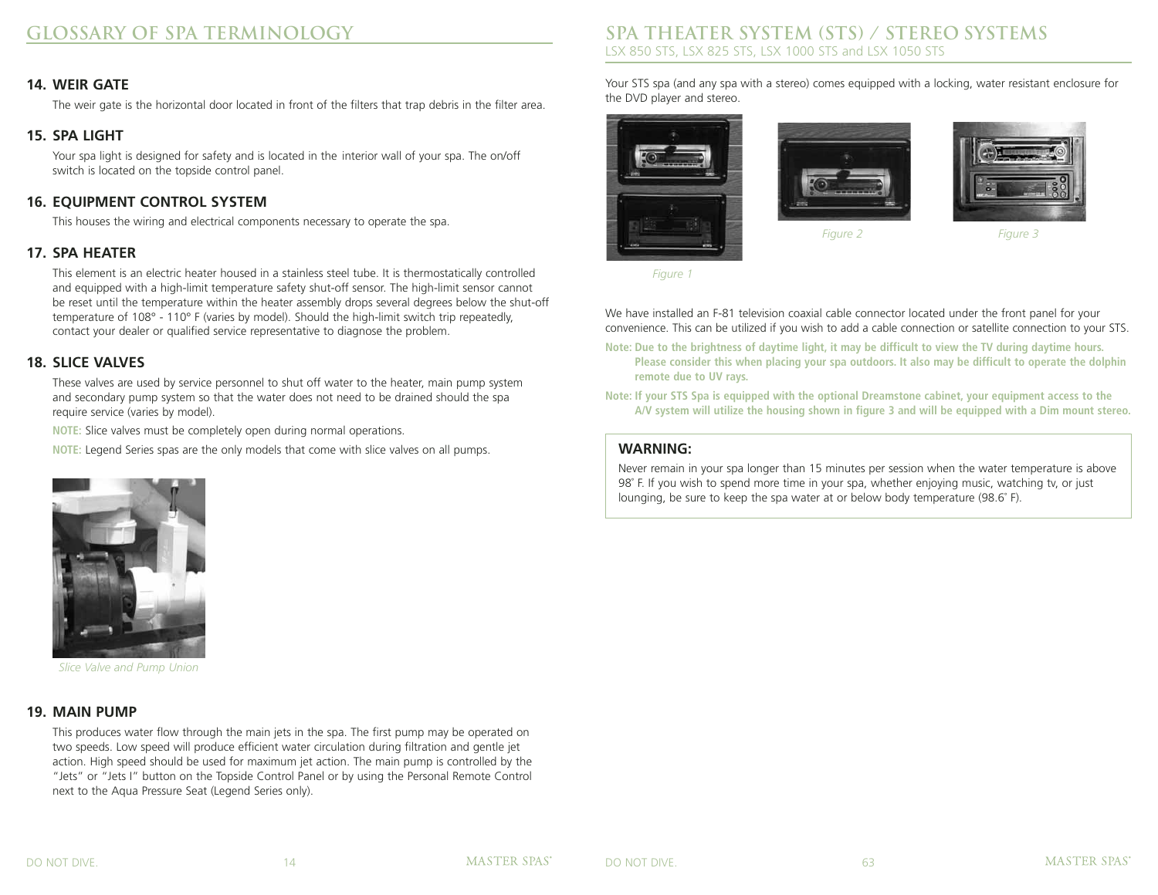## **GLOSSARY OF SPA TERMINOLOGY**

#### **14. WEIR GATE**

The weir gate is the horizontal door located in front of the filters that trap debris in the filter area.

#### **15. SPA LIGHT**

Your spa light is designed for safety and is located in the interior wall of your spa. The on/off switch is located on the topside control panel.

#### **16. EQUIPMENT CONTROL SYSTEM**

This houses the wiring and electrical components necessary to operate the spa.

#### **17. SPA HEATER**

This element is an electric heater housed in a stainless steel tube. It is thermostatically controlled and equipped with a high-limit temperature safety shut-off sensor. The high-limit sensor cannot be reset until the temperature within the heater assembly drops several degrees below the shut-off temperature of 108° - 110° F (varies by model). Should the high-limit switch trip repeatedly, contact your dealer or qualified service representative to diagnose the problem.

#### **18. SLICE VALVES**

These valves are used by service personnel to shut off water to the heater, main pump system and secondary pump system so that the water does not need to be drained should the spa require service (varies by model).

**NOTE:** Slice valves must be completely open during normal operations.

**NOTE:** Legend Series spas are the only models that come with slice valves on all pumps.



*Slice Valve and Pump Union*

#### **19. MAIN PUMP**

This produces water flow through the main jets in the spa. The first pump may be operated on two speeds. Low speed will produce efficient water circulation during filtration and gentle jet action. High speed should be used for maximum jet action. The main pump is controlled by the "Jets" or "Jets I" button on the Topside Control Panel or by using the Personal Remote Control next to the Aqua Pressure Seat (Legend Series only).

#### **spa theater SYSTEM (sts) / stereo SYSTEMs** LSX 850 STS, LSX 825 STS, LSX 1000 STS and LSX 1050 STS

Your STS spa (and any spa with a stereo) comes equipped with a locking, water resistant enclosure for the DVD player and stereo.







*Figure 1*

We have installed an F-81 television coaxial cable connector located under the front panel for your convenience. This can be utilized if you wish to add a cable connection or satellite connection to your STS.

- **Note: Due to the brightness of daytime light, it may be difficult to view the TV during daytime hours. Please consider this when placing your spa outdoors. It also may be difficult to operate the dolphin remote due to UV rays.**
- **Note: If your STS Spa is equipped with the optional Dreamstone cabinet, your equipment access to the A/V system will utilize the housing shown in figure 3 and will be equipped with a Dim mount stereo.**

#### **WARNING:**

Never remain in your spa longer than 15 minutes per session when the water temperature is above 98° F. If you wish to spend more time in your spa, whether enjoying music, watching tv, or just lounging, be sure to keep the spa water at or below body temperature (98.6˚ F).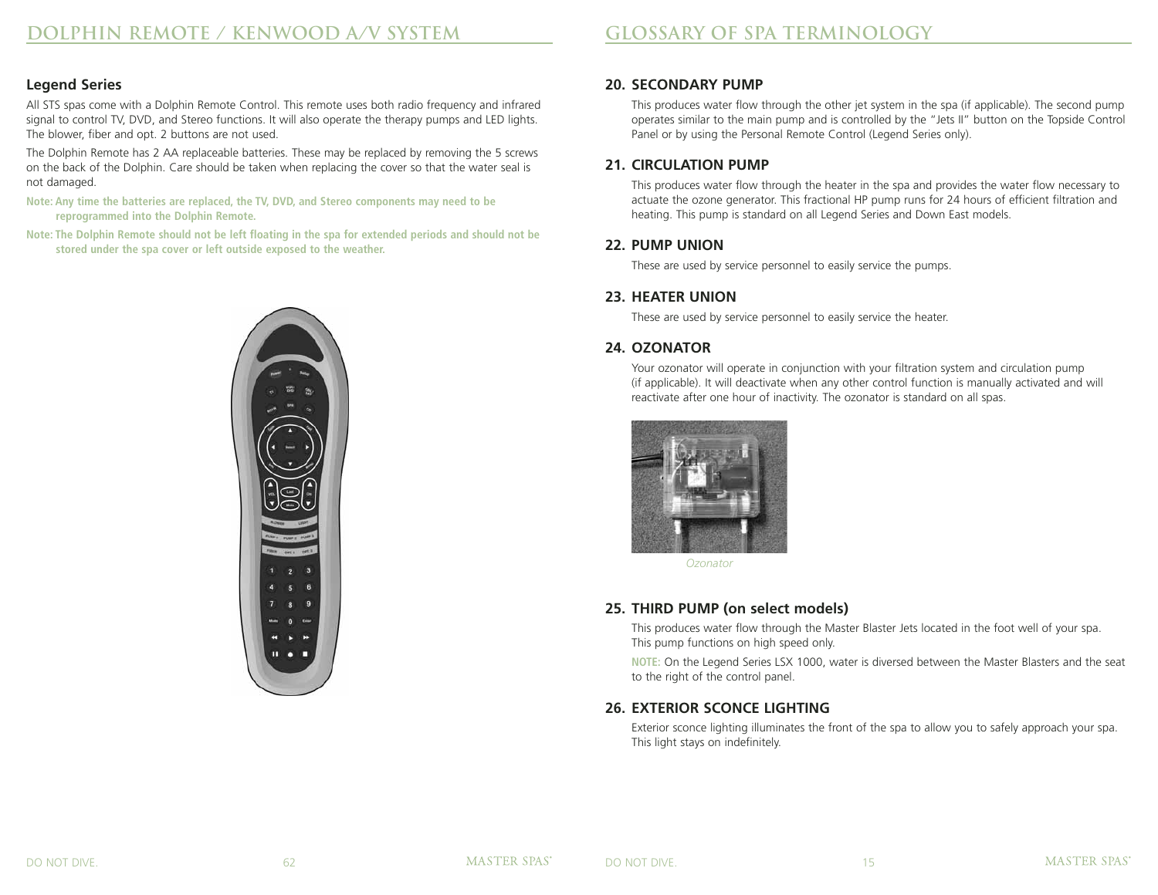## **GLOSSARY OF SPA TERMINOLOGY**

### **Legend Series**

All STS spas come with a Dolphin Remote Control. This remote uses both radio frequency and infrared signal to control TV, DVD, and Stereo functions. It will also operate the therapy pumps and LED lights. The blower, fiber and opt. 2 buttons are not used.

The Dolphin Remote has 2 AA replaceable batteries. These may be replaced by removing the 5 screws on the back of the Dolphin. Care should be taken when replacing the cover so that the water seal is not damaged.

**Note: Any time the batteries are replaced, the TV, DVD, and Stereo components may need to be reprogrammed into the Dolphin Remote.**

**Note: The Dolphin Remote should not be left floating in the spa for extended periods and should not be stored under the spa cover or left outside exposed to the weather.**



#### **20. SECONDARY PUMP**

This produces water flow through the other jet system in the spa (if applicable). The second pump operates similar to the main pump and is controlled by the "Jets II" button on the Topside Control Panel or by using the Personal Remote Control (Legend Series only).

#### **21. CIRCULATION PUMP**

This produces water flow through the heater in the spa and provides the water flow necessary to actuate the ozone generator. This fractional HP pump runs for 24 hours of efficient filtration and heating. This pump is standard on all Legend Series and Down East models.

#### **22. PUMP UNION**

These are used by service personnel to easily service the pumps.

#### **23. HEATER UNION**

These are used by service personnel to easily service the heater.

#### **24. OZONATOR**

Your ozonator will operate in conjunction with your filtration system and circulation pump (if applicable). It will deactivate when any other control function is manually activated and will reactivate after one hour of inactivity. The ozonator is standard on all spas.



*Ozonator*

#### **25. THIRD PUMP (on select models)**

This produces water flow through the Master Blaster Jets located in the foot well of your spa. This pump functions on high speed only.

**NOTE:** On the Legend Series LSX 1000, water is diversed between the Master Blasters and the seat to the right of the control panel.

#### **26. EXTERIOR SCONCE LIGHTING**

Exterior sconce lighting illuminates the front of the spa to allow you to safely approach your spa. This light stays on indefinitely.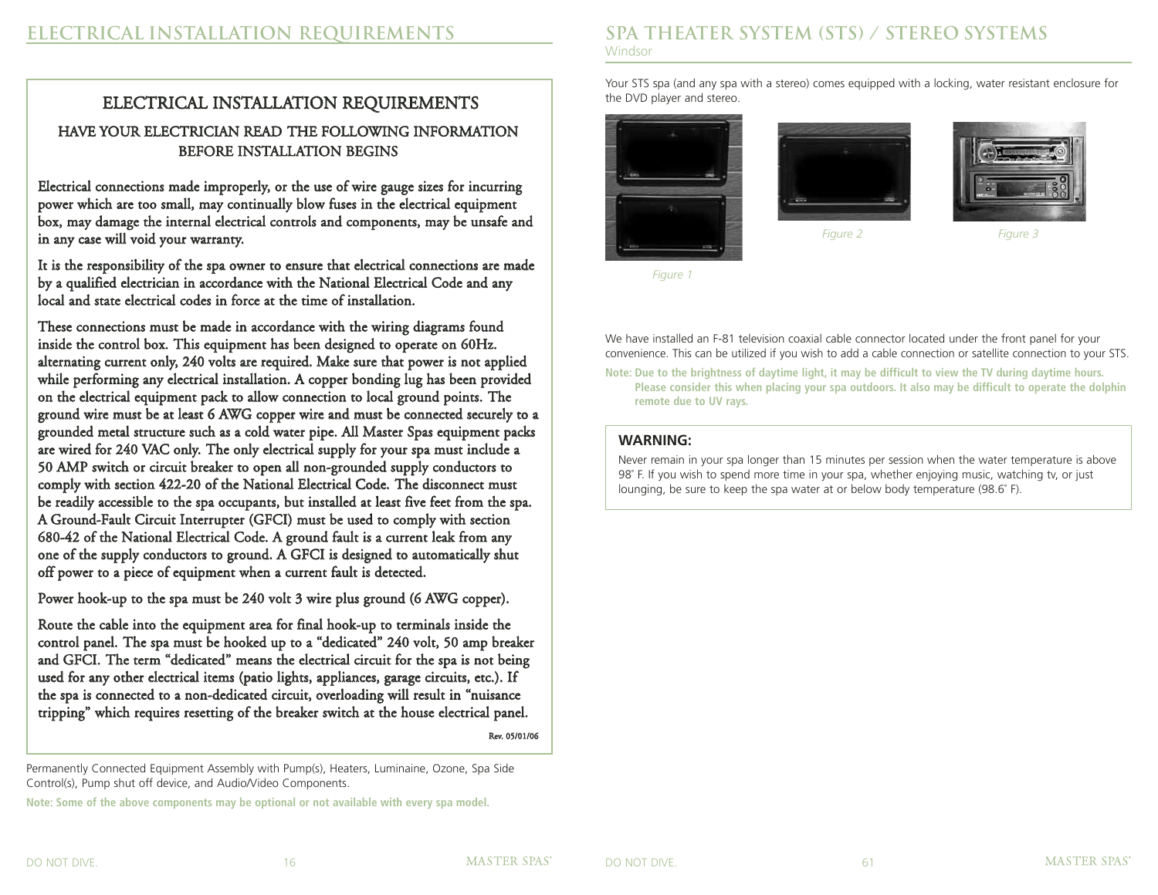## ELECTRICAL INSTALLATION REQUIREMENTS HAVE YOUR ELECTRICIAN READ THE FOLLOWING INFORMATION BEFORE INSTALLATION BEGINS

Electrical connections made improperly, or the use of wire gauge sizes for incurring power which are too small, may continually blow fuses in the electrical equipment box, may damage the internal electrical controls and components, may be unsafe and in any case will void your warranty.

It is the responsibility of the spa owner to ensure that electrical connections are made by a qualified electrician in accordance with the National Electrical Code and any local and state electrical codes in force at the time of installation.

These connections must be made in accordance with the wiring diagrams found inside the control box. This equipment has been designed to operate on 60Hz. alternating current only, 240 volts are required. Make sure that power is not applied while performing any electrical installation. A copper bonding lug has been provided on the electrical equipment pack to allow connection to local ground points. The ground wire must be at least 6 AWG copper wire and must be connected securely to a grounded metal structure such as a cold water pipe. All Master Spas equipment packs are wired for 240 VAC only. The only electrical supply for your spa must include a 50 AMP switch or circuit breaker to open all non-grounded supply conductors to comply with section 422-20 of the National Electrical Code. The disconnect must be readily accessible to the spa occupants, but installed at least five feet from the spa. A Ground-Fault Circuit Interrupter (GFCI) must be used to comply with section 680-42 of the National Electrical Code. A ground fault is a current leak from any one of the supply conductors to ground. A GFCI is designed to automatically shut off power to a piece of equipment when a current fault is detected.

Power hook-up to the spa must be 240 volt 3 wire plus ground (6 AWG copper).

Route the cable into the equipment area for final hook-up to terminals inside the control panel. The spa must be hooked up to a "dedicated" 240 volt, 50 amp breaker and GFCI. The term "dedicated" means the electrical circuit for the spa is not being used for any other electrical items (patio lights, appliances, garage circuits, etc.). If the spa is connected to a non-dedicated circuit, overloading will result in "nuisance tripping" which requires resetting of the breaker switch at the house electrical panel.

Rev. 05/01/06

Permanently Connected Equipment Assembly with Pump(s), Heaters, Luminaine, Ozone, Spa Side Control(s), Pump shut off device, and Audio/Video Components.

**Note: Some of the above components may be optional or not available with every spa model.**

#### **spa theater SYSTEM (sts) / stereo SYSTEMs Windsor**

Your STS spa (and any spa with a stereo) comes equipped with a locking, water resistant enclosure for the DVD player and stereo.







*Figure 2 Figure 3*

*Figure 1*

We have installed an F-81 television coaxial cable connector located under the front panel for your convenience. This can be utilized if you wish to add a cable connection or satellite connection to your STS.

**Note: Due to the brightness of daytime light, it may be difficult to view the TV during daytime hours. Please consider this when placing your spa outdoors. It also may be difficult to operate the dolphin remote due to UV rays.**

#### **WARNING:**

Never remain in your spa longer than 15 minutes per session when the water temperature is above 98° F. If you wish to spend more time in your spa, whether enjoying music, watching tv, or just lounging, be sure to keep the spa water at or below body temperature (98.6˚ F).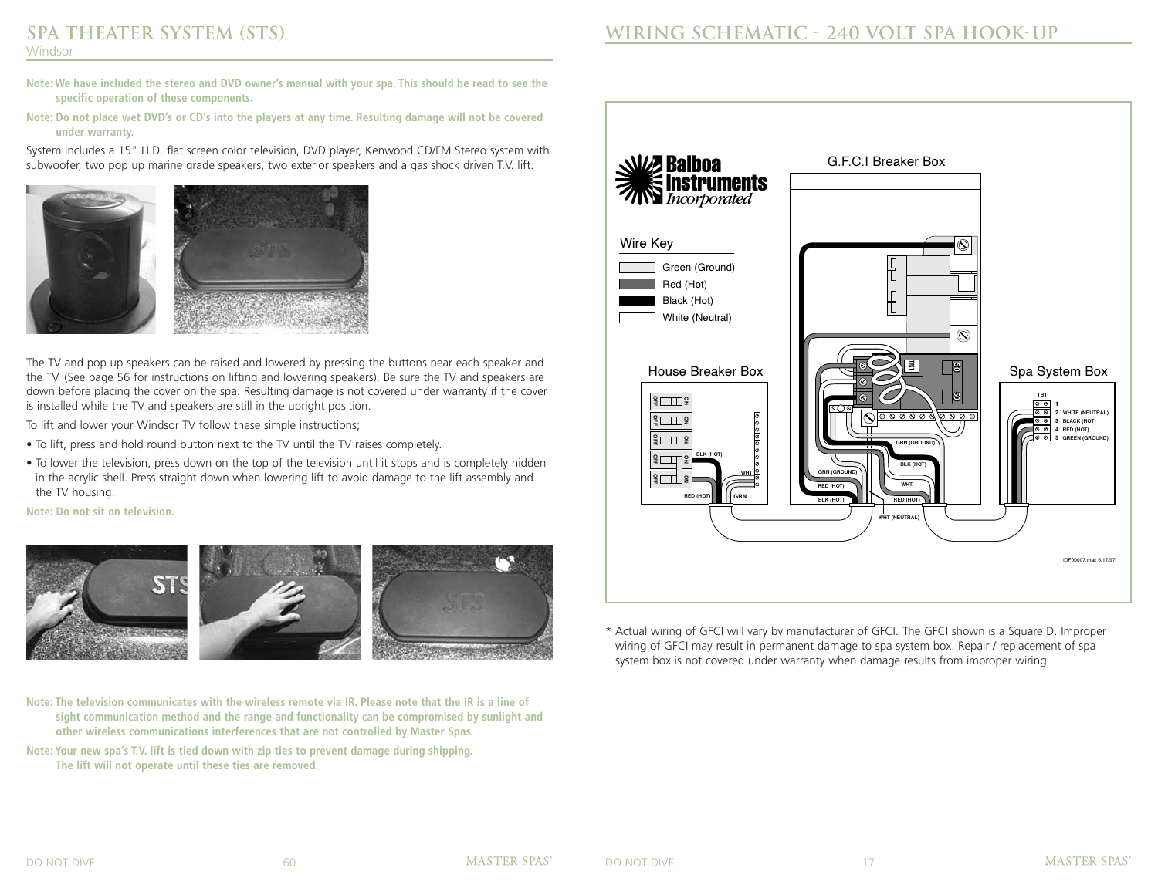#### **spa theater system (sts) Windsor**

- **Note: We have included the stereo and DVD owner's manual with your spa. This should be read to see the specific operation of these components.**
- **Note: Do not place wet DVD's or CD's into the players at any time. Resulting damage will not be covered under warranty.**

System includes a 15" H.D. flat screen color television, DVD player, Kenwood CD/FM Stereo system with subwoofer, two pop up marine grade speakers, two exterior speakers and a gas shock driven T.V. lift.



The TV and pop up speakers can be raised and lowered by pressing the buttons near each speaker and the TV. (See page 56 for instructions on lifting and lowering speakers). Be sure the TV and speakers are down before placing the cover on the spa. Resulting damage is not covered under warranty if the cover is installed while the TV and speakers are still in the upright position.

To lift and lower your Windsor TV follow these simple instructions;

- To lift, press and hold round button next to the TV until the TV raises completely.
- To lower the television, press down on the top of the television until it stops and is completely hidden in the acrylic shell. Press straight down when lowering lift to avoid damage to the lift assembly and the TV housing.

**Note: Do not sit on television.**



**Note: The television communicates with the wireless remote via IR. Please note that the IR is a line of sight communication method and the range and functionality can be compromised by sunlight and other wireless communications interferences that are not controlled by Master Spas.**

**Note: Your new spa's T.V. lift is tied down with zip ties to prevent damage during shipping. The lift will not operate until these ties are removed.**



\* Actual wiring of GFCI will vary by manufacturer of GFCI. The GFCI shown is a Square D. Improper wiring of GFCI may result in permanent damage to spa system box. Repair / replacement of spa system box is not covered under warranty when damage results from improper wiring.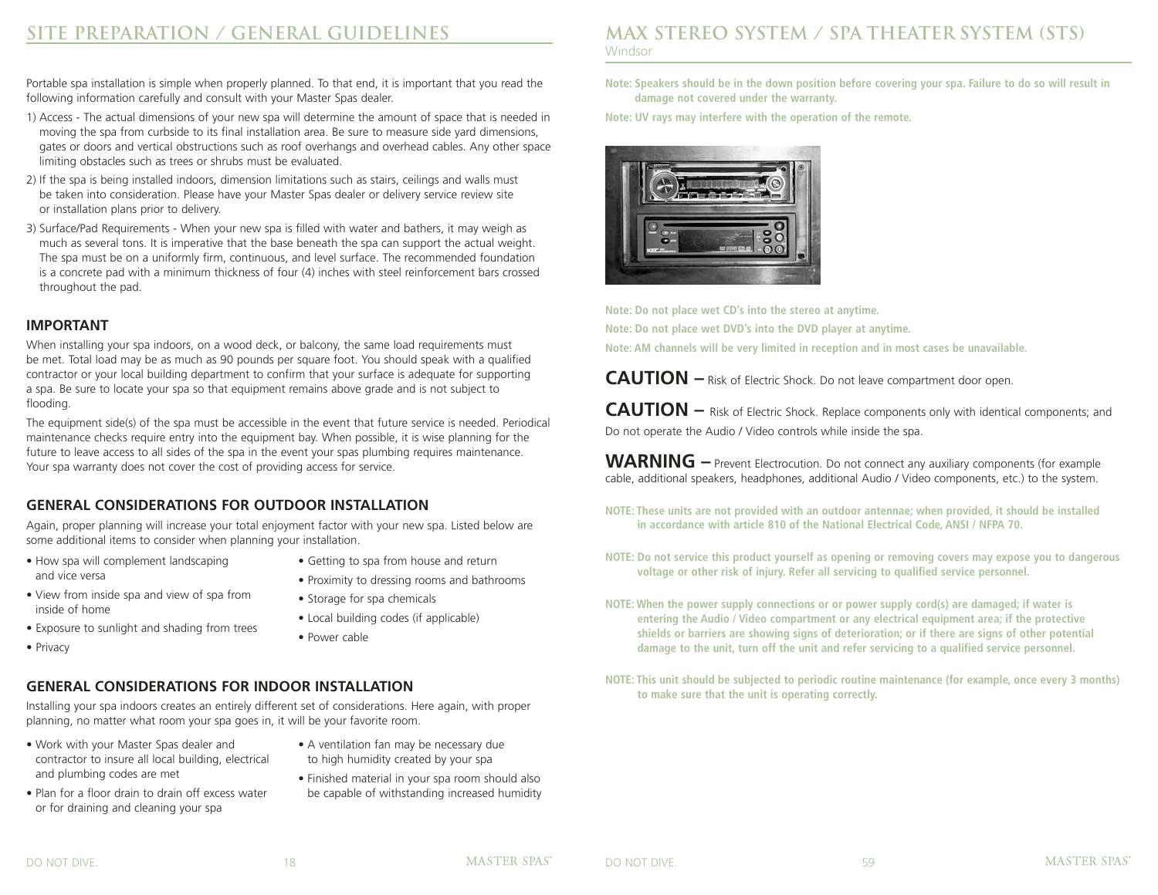Portable spa installation is simple when properly planned. To that end, it is important that you read the following information carefully and consult with your Master Spas dealer.

- 1) Access The actual dimensions of your new spa will determine the amount of space that is needed in moving the spa from curbside to its final installation area. Be sure to measure side yard dimensions, gates or doors and vertical obstructions such as roof overhangs and overhead cables. Any other space limiting obstacles such as trees or shrubs must be evaluated.
- 2) If the spa is being installed indoors, dimension limitations such as stairs, ceilings and walls must be taken into consideration. Please have your Master Spas dealer or delivery service review site or installation plans prior to delivery.
- 3) Surface/Pad Requirements When your new spa is filled with water and bathers, it may weigh as much as several tons. It is imperative that the base beneath the spa can support the actual weight. The spa must be on a uniformly firm, continuous, and level surface. The recommended foundation is a concrete pad with a minimum thickness of four (4) inches with steel reinforcement bars crossed throughout the pad.

#### **IMPORTANT**

When installing your spa indoors, on a wood deck, or balcony, the same load requirements must be met. Total load may be as much as 90 pounds per square foot. You should speak with a qualified contractor or your local building department to confirm that your surface is adequate for supporting a spa. Be sure to locate your spa so that equipment remains above grade and is not subject to flooding.

The equipment side(s) of the spa must be accessible in the event that future service is needed. Periodical maintenance checks require entry into the equipment bay. When possible, it is wise planning for the future to leave access to all sides of the spa in the event your spas plumbing requires maintenance. Your spa warranty does not cover the cost of providing access for service.

#### **GENERAL CONSIDERATIONS FOR OUTDOOR INSTALLATION**

Again, proper planning will increase your total enjoyment factor with your new spa. Listed below are some additional items to consider when planning your installation.

- How spa will complement landscaping and vice versa
- Getting to spa from house and return
- Proximity to dressing rooms and bathrooms

• Local building codes (if applicable)

• Storage for spa chemicals

- View from inside spa and view of spa from inside of home
- Exposure to sunlight and shading from trees
- Privacy
- 
- 

• Power cable

#### **GENERAL CONSIDERATIONS FOR INDOOR INSTALLATION**

Installing your spa indoors creates an entirely different set of considerations. Here again, with proper planning, no matter what room your spa goes in, it will be your favorite room.

- Work with your Master Spas dealer and contractor to insure all local building, electrical and plumbing codes are met
- Plan for a floor drain to drain off excess water or for draining and cleaning your spa
- A ventilation fan may be necessary due to high humidity created by your spa
- Finished material in your spa room should also be capable of withstanding increased humidity

#### **MAX STEREO SYSTEM / SPA THEATER SYSTEM (STS) Windsor**

**Note: Speakers should be in the down position before covering your spa. Failure to do so will result in damage not covered under the warranty.**

**Note: UV rays may interfere with the operation of the remote.**



**Note: Do not place wet CD's into the stereo at anytime. Note: Do not place wet DVD's into the DVD player at anytime. Note: AM channels will be very limited in reception and in most cases be unavailable.**

**CAUTION –** Risk of Electric Shock. Do not leave compartment door open.

**CAUTION –** Risk of Electric Shock. Replace components only with identical components; and Do not operate the Audio / Video controls while inside the spa.

WARNING – Prevent Electrocution. Do not connect any auxiliary components (for example cable, additional speakers, headphones, additional Audio / Video components, etc.) to the system.

- **NOTE: These units are not provided with an outdoor antennae; when provided, it should be installed in accordance with article 810 of the National Electrical Code, ANSI / NFPA 70.**
- **NOTE: Do not service this product yourself as opening or removing covers may expose you to dangerous voltage or other risk of injury. Refer all servicing to qualified service personnel.**
- **NOTE: When the power supply connections or or power supply cord(s) are damaged; if water is entering the Audio / Video compartment or any electrical equipment area; if the protective shields or barriers are showing signs of deterioration; or if there are signs of other potential damage to the unit, turn off the unit and refer servicing to a qualified service personnel.**
- **NOTE: This unit should be subjected to periodic routine maintenance (for example, once every 3 months) to make sure that the unit is operating correctly.**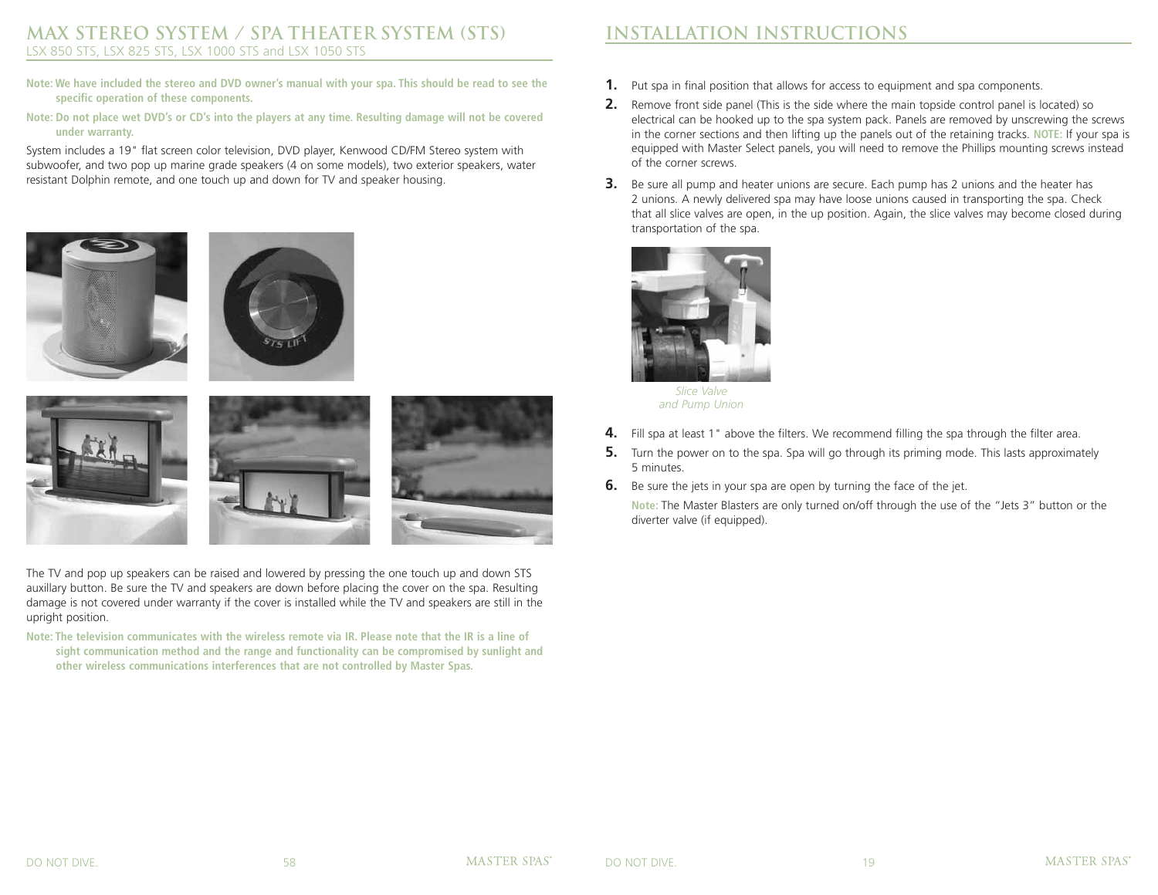#### **MAX STEREO SYSTEM / SPA THEATER SYSTEM (STS)** LSX 850 STS, LSX 825 STS, LSX 1000 STS and LSX 1050 STS

- **Note: We have included the stereo and DVD owner's manual with your spa. This should be read to see the specific operation of these components.**
- **Note: Do not place wet DVD's or CD's into the players at any time. Resulting damage will not be covered under warranty.**

System includes a 19" flat screen color television, DVD player, Kenwood CD/FM Stereo system with subwoofer, and two pop up marine grade speakers (4 on some models), two exterior speakers, water resistant Dolphin remote, and one touch up and down for TV and speaker housing.



The TV and pop up speakers can be raised and lowered by pressing the one touch up and down STS auxillary button. Be sure the TV and speakers are down before placing the cover on the spa. Resulting damage is not covered under warranty if the cover is installed while the TV and speakers are still in the upright position.

**Note: The television communicates with the wireless remote via IR. Please note that the IR is a line of sight communication method and the range and functionality can be compromised by sunlight and other wireless communications interferences that are not controlled by Master Spas.**

## **INSTALLATION INSTRUCTIONS**

- **1.** Put spa in final position that allows for access to equipment and spa components.
- **2.** Remove front side panel (This is the side where the main topside control panel is located) so electrical can be hooked up to the spa system pack. Panels are removed by unscrewing the screws in the corner sections and then lifting up the panels out of the retaining tracks. **NOTE:** If your spa is equipped with Master Select panels, you will need to remove the Phillips mounting screws instead of the corner screws.
- **3.** Be sure all pump and heater unions are secure. Each pump has 2 unions and the heater has 2 unions. A newly delivered spa may have loose unions caused in transporting the spa. Check that all slice valves are open, in the up position. Again, the slice valves may become closed during transportation of the spa.



*Slice Valve and Pump Union*

- **4.** Fill spa at least 1" above the filters. We recommend filling the spa through the filter area.
- **5.** Turn the power on to the spa. Spa will go through its priming mode. This lasts approximately 5 minutes.
- **6.** Be sure the jets in your spa are open by turning the face of the jet.

**Note:** The Master Blasters are only turned on/off through the use of the "Jets 3" button or the diverter valve (if equipped).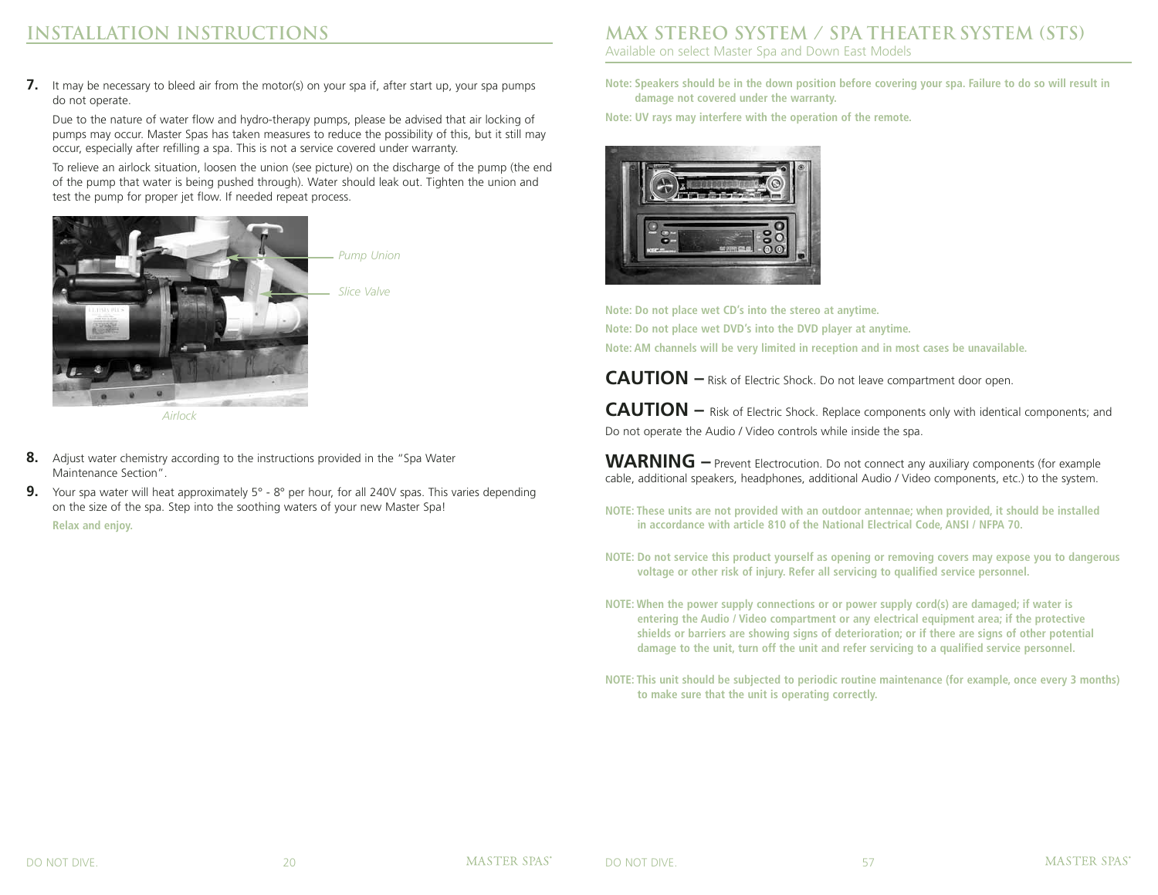**7.** It may be necessary to bleed air from the motor(s) on your spa if, after start up, your spa pumps do not operate.

Due to the nature of water flow and hydro-therapy pumps, please be advised that air locking of pumps may occur. Master Spas has taken measures to reduce the possibility of this, but it still may occur, especially after refilling a spa. This is not a service covered under warranty.

To relieve an airlock situation, loosen the union (see picture) on the discharge of the pump (the end of the pump that water is being pushed through). Water should leak out. Tighten the union and test the pump for proper jet flow. If needed repeat process.



*Pump Union*

*Slice Valve*

- **8.** Adjust water chemistry according to the instructions provided in the "Spa Water Maintenance Section".
- **9.** Your spa water will heat approximately 5° 8° per hour, for all 240V spas. This varies depending on the size of the spa. Step into the soothing waters of your new Master Spa!

**Relax and enjoy.**

## **MAX STEREO SYSTEM / SPA THEATER SYSTEM (STS)**

Available on select Master Spa and Down East Models

**Note: Speakers should be in the down position before covering your spa. Failure to do so will result in damage not covered under the warranty.**

**Note: UV rays may interfere with the operation of the remote.**



**Note: Do not place wet CD's into the stereo at anytime. Note: Do not place wet DVD's into the DVD player at anytime. Note: AM channels will be very limited in reception and in most cases be unavailable.**

**CAUTION –** Risk of Electric Shock. Do not leave compartment door open.

**CAUTION –** Risk of Electric Shock. Replace components only with identical components; and Do not operate the Audio / Video controls while inside the spa.

WARNING – Prevent Electrocution. Do not connect any auxiliary components (for example cable, additional speakers, headphones, additional Audio / Video components, etc.) to the system.

- **NOTE: These units are not provided with an outdoor antennae; when provided, it should be installed in accordance with article 810 of the National Electrical Code, ANSI / NFPA 70.**
- **NOTE: Do not service this product yourself as opening or removing covers may expose you to dangerous voltage or other risk of injury. Refer all servicing to qualified service personnel.**
- **NOTE: When the power supply connections or or power supply cord(s) are damaged; if water is entering the Audio / Video compartment or any electrical equipment area; if the protective shields or barriers are showing signs of deterioration; or if there are signs of other potential damage to the unit, turn off the unit and refer servicing to a qualified service personnel.**
- **NOTE: This unit should be subjected to periodic routine maintenance (for example, once every 3 months) to make sure that the unit is operating correctly.**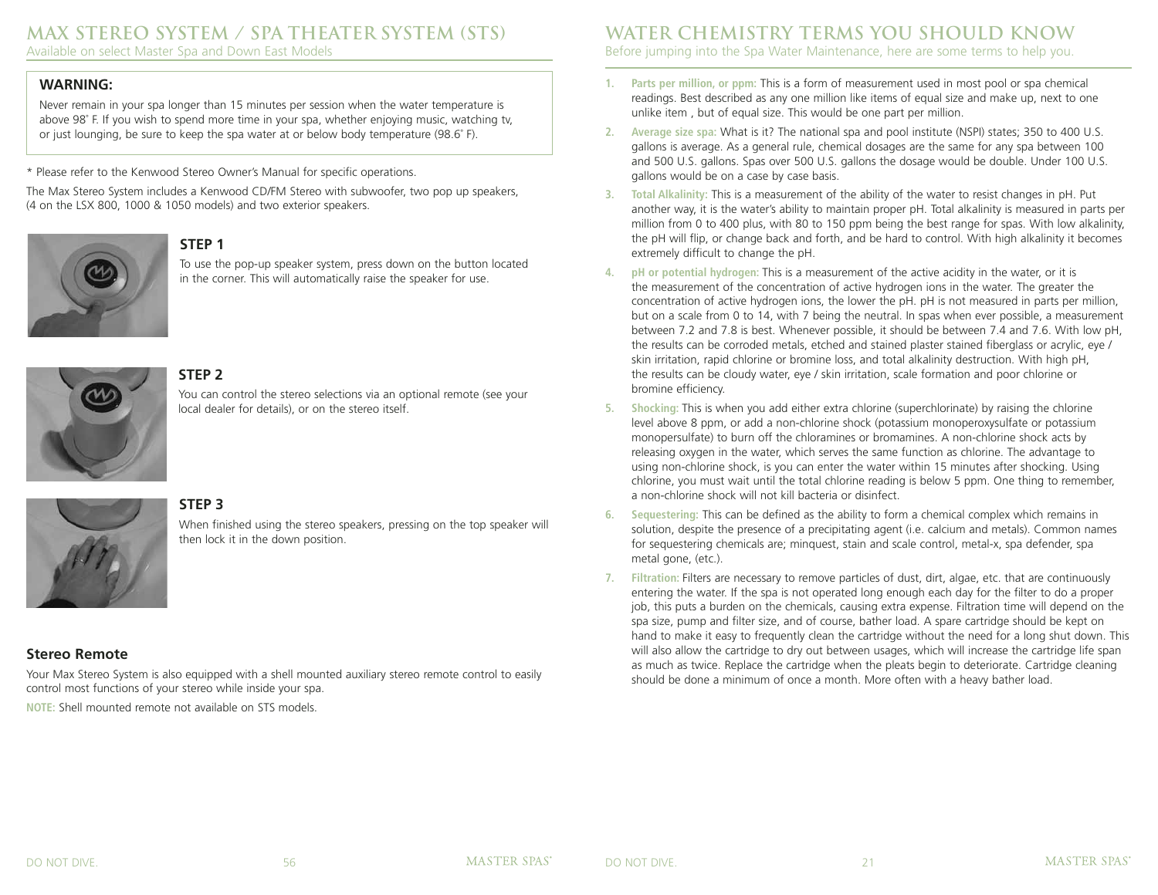## **MAX STEREO SYSTEM / SPA THEATER SYSTEM (STS)**

Available on select Master Spa and Down East Models

#### **WARNING:**

Never remain in your spa longer than 15 minutes per session when the water temperature is above 98˚ F. If you wish to spend more time in your spa, whether enjoying music, watching tv, or just lounging, be sure to keep the spa water at or below body temperature (98.6˚ F).

\* Please refer to the Kenwood Stereo Owner's Manual for specific operations.

The Max Stereo System includes a Kenwood CD/FM Stereo with subwoofer, two pop up speakers, (4 on the LSX 800, 1000 & 1050 models) and two exterior speakers.



### **STEP 1**

To use the pop-up speaker system, press down on the button located in the corner. This will automatically raise the speaker for use.



#### **STEP 2**

You can control the stereo selections via an optional remote (see your local dealer for details), or on the stereo itself.

## **STEP 3**



When finished using the stereo speakers, pressing on the top speaker will then lock it in the down position.

#### **Stereo Remote**

Your Max Stereo System is also equipped with a shell mounted auxiliary stereo remote control to easily control most functions of your stereo while inside your spa.

**NOTE:** Shell mounted remote not available on STS models.

## **WATER CHEMISTRY TERMS YOU SHOULD KNOW**

Before jumping into the Spa Water Maintenance, here are some terms to help you.

- **1. Parts per million, or ppm:** This is a form of measurement used in most pool or spa chemical readings. Best described as any one million like items of equal size and make up, next to one unlike item , but of equal size. This would be one part per million.
- **2. Average size spa:** What is it? The national spa and pool institute (NSPI) states; 350 to 400 U.S. gallons is average. As a general rule, chemical dosages are the same for any spa between 100 and 500 U.S. gallons. Spas over 500 U.S. gallons the dosage would be double. Under 100 U.S. gallons would be on a case by case basis.
- **3. Total Alkalinity:** This is a measurement of the ability of the water to resist changes in pH. Put another way, it is the water's ability to maintain proper pH. Total alkalinity is measured in parts per million from 0 to 400 plus, with 80 to 150 ppm being the best range for spas. With low alkalinity, the pH will flip, or change back and forth, and be hard to control. With high alkalinity it becomes extremely difficult to change the pH.
- **4. pH or potential hydrogen:** This is a measurement of the active acidity in the water, or it is the measurement of the concentration of active hydrogen ions in the water. The greater the concentration of active hydrogen ions, the lower the pH. pH is not measured in parts per million, but on a scale from 0 to 14, with 7 being the neutral. In spas when ever possible, a measurement between 7.2 and 7.8 is best. Whenever possible, it should be between 7.4 and 7.6. With low pH, the results can be corroded metals, etched and stained plaster stained fiberglass or acrylic, eye / skin irritation, rapid chlorine or bromine loss, and total alkalinity destruction. With high pH, the results can be cloudy water, eye / skin irritation, scale formation and poor chlorine or bromine efficiency.
- **5. Shocking:** This is when you add either extra chlorine (superchlorinate) by raising the chlorine level above 8 ppm, or add a non-chlorine shock (potassium monoperoxysulfate or potassium monopersulfate) to burn off the chloramines or bromamines. A non-chlorine shock acts by releasing oxygen in the water, which serves the same function as chlorine. The advantage to using non-chlorine shock, is you can enter the water within 15 minutes after shocking. Using chlorine, you must wait until the total chlorine reading is below 5 ppm. One thing to remember, a non-chlorine shock will not kill bacteria or disinfect.
- **6. Sequestering:** This can be defined as the ability to form a chemical complex which remains in solution, despite the presence of a precipitating agent (i.e. calcium and metals). Common names for sequestering chemicals are; minquest, stain and scale control, metal-x, spa defender, spa metal gone, (etc.).
- **7. Filtration:** Filters are necessary to remove particles of dust, dirt, algae, etc. that are continuously entering the water. If the spa is not operated long enough each day for the filter to do a proper job, this puts a burden on the chemicals, causing extra expense. Filtration time will depend on the spa size, pump and filter size, and of course, bather load. A spare cartridge should be kept on hand to make it easy to frequently clean the cartridge without the need for a long shut down. This will also allow the cartridge to dry out between usages, which will increase the cartridge life span as much as twice. Replace the cartridge when the pleats begin to deteriorate. Cartridge cleaning should be done a minimum of once a month. More often with a heavy bather load.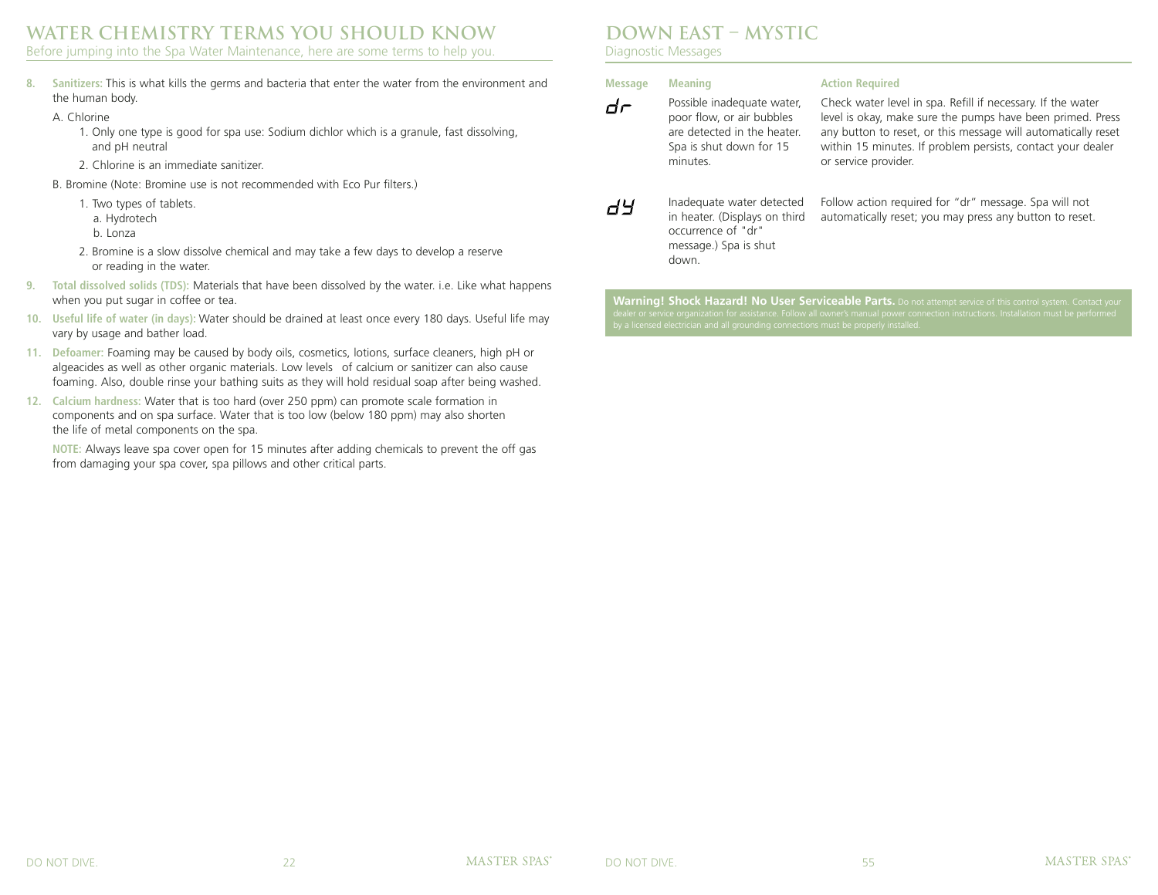## **WATER CHEMISTRY TERMS YOU SHOULD KNOW**

Before jumping into the Spa Water Maintenance, here are some terms to help you.

**8. Sanitizers:** This is what kills the germs and bacteria that enter the water from the environment and the human body.

#### A. Chlorine

- 1. Only one type is good for spa use: Sodium dichlor which is a granule, fast dissolving, and pH neutral
- 2. Chlorine is an immediate sanitizer.
- B. Bromine (Note: Bromine use is not recommended with Eco Pur filters.)
	- 1. Two types of tablets.
		- a. Hydrotech
		- b. Lonza
	- 2. Bromine is a slow dissolve chemical and may take a few days to develop a reserve or reading in the water.
- **9. Total dissolved solids (TDS):** Materials that have been dissolved by the water. i.e. Like what happens when you put sugar in coffee or tea.
- **10. Useful life of water (in days):** Water should be drained at least once every 180 days. Useful life may vary by usage and bather load.
- **11. Defoamer:** Foaming may be caused by body oils, cosmetics, lotions, surface cleaners, high pH or algeacides as well as other organic materials. Low levels of calcium or sanitizer can also cause foaming. Also, double rinse your bathing suits as they will hold residual soap after being washed.
- **12. Calcium hardness:** Water that is too hard (over 250 ppm) can promote scale formation in components and on spa surface. Water that is too low (below 180 ppm) may also shorten the life of metal components on the spa.

**NOTE:** Always leave spa cover open for 15 minutes after adding chemicals to prevent the off gas from damaging your spa cover, spa pillows and other critical parts.

## **DOWN EAST – mystic**

minutes.

Diagnostic Messages

#### **Message Meaning**

#### **Action Required**

Check water level in spa. Refill if necessary. If the water level is okay, make sure the pumps have been primed. Press any button to reset, or this message will automatically reset within 15 minutes. If problem persists, contact your dealer or service provider.



 $d\epsilon$ 

Inadequate water detected in heater. (Displays on third occurrence of "dr" message.) Spa is shut down.

Possible inadequate water, poor flow, or air bubbles are detected in the heater. Spa is shut down for 15

> Follow action required for "dr" message. Spa will not automatically reset; you may press any button to reset.

**Warning! Shock Hazard! No User Serviceable Parts.** Do not attempt service of this control system. Contact your<br>dealer or service organization for assistance. Follow all owner's manual power connection instructions. Instal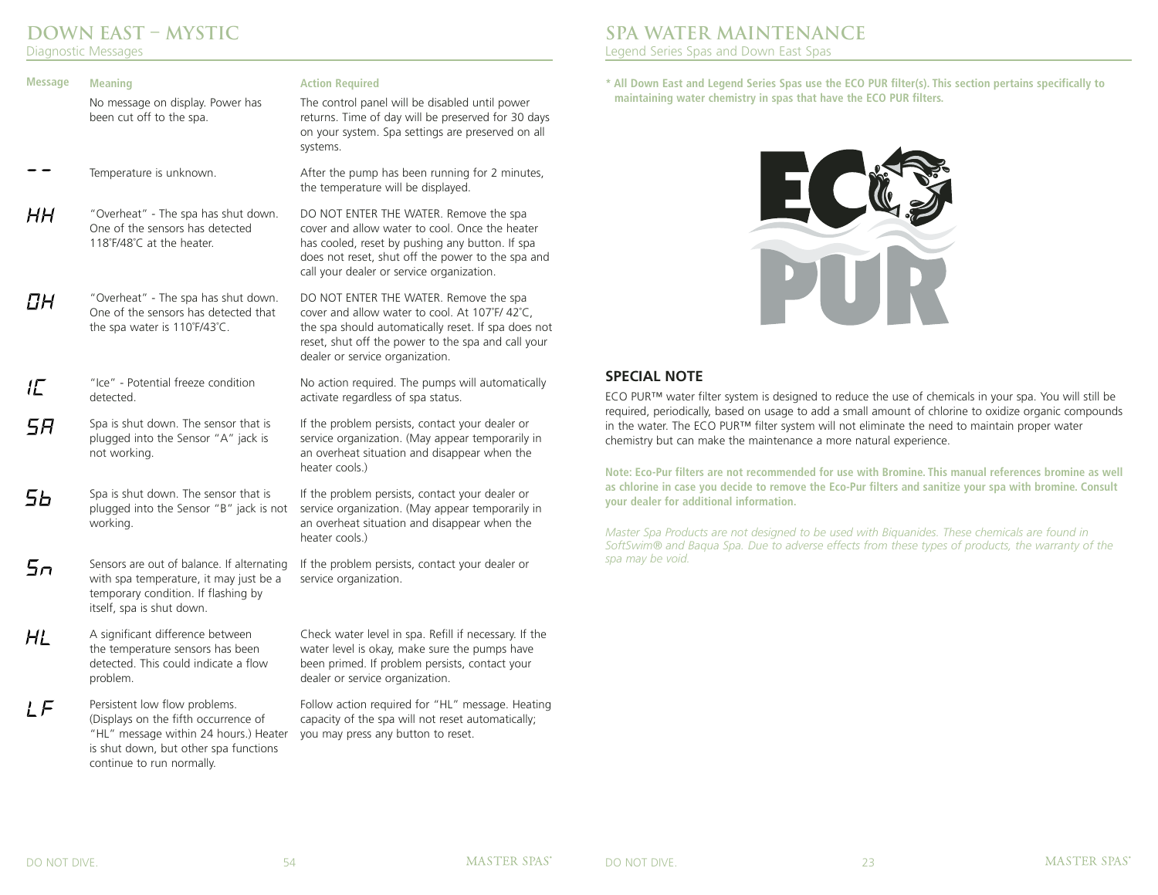## **DOWN EAST – mystic**

Diagnostic Messages

| <b>Message</b> | <b>Meaning</b>                                                                                                                                                                       | <b>Action Required</b>                                                                                                                                                     |
|----------------|--------------------------------------------------------------------------------------------------------------------------------------------------------------------------------------|----------------------------------------------------------------------------------------------------------------------------------------------------------------------------|
|                | No message on display. Power has<br>been cut off to the spa.                                                                                                                         | The control panel will be disable<br>returns. Time of day will be pres<br>on your system. Spa settings are<br>systems.                                                     |
|                | Temperature is unknown.                                                                                                                                                              | After the pump has been runnir<br>the temperature will be displaye                                                                                                         |
| HН             | "Overheat" - The spa has shut down.<br>One of the sensors has detected<br>118°F/48°C at the heater.                                                                                  | DO NOT ENTER THE WATER. Re<br>cover and allow water to cool. (<br>has cooled, reset by pushing an<br>does not reset, shut off the pov<br>call your dealer or service organ |
| ΠН             | "Overheat" - The spa has shut down.<br>One of the sensors has detected that<br>the spa water is 110°F/43°C.                                                                          | DO NOT ENTER THE WATER. Re<br>cover and allow water to cool. A<br>the spa should automatically res<br>reset, shut off the power to the<br>dealer or service organization.  |
| IГ             | "Ice" - Potential freeze condition<br>detected.                                                                                                                                      | No action required. The pumps<br>activate regardless of spa status                                                                                                         |
| 58             | Spa is shut down. The sensor that is<br>plugged into the Sensor "A" jack is<br>not working.                                                                                          | If the problem persists, contact<br>service organization. (May appe<br>an overheat situation and disap<br>heater cools.)                                                   |
| 5Ь             | Spa is shut down. The sensor that is<br>plugged into the Sensor "B" jack is not<br>working.                                                                                          | If the problem persists, contact<br>service organization. (May appe<br>an overheat situation and disap<br>heater cools.)                                                   |
| 5п             | Sensors are out of balance. If alternating<br>with spa temperature, it may just be a<br>temporary condition. If flashing by<br>itself, spa is shut down.                             | If the problem persists, contact<br>service organization.                                                                                                                  |
| HL             | A significant difference between<br>the temperature sensors has been<br>detected. This could indicate a flow<br>problem.                                                             | Check water level in spa. Refill i<br>water level is okay, make sure th<br>been primed. If problem persists<br>dealer or service organization.                             |
| LF             | Persistent low flow problems.<br>(Displays on the fifth occurrence of<br>"HL" message within 24 hours.) Heater<br>is shut down, but other spa functions<br>continue to run normally. | Follow action required for "HL"<br>capacity of the spa will not rese<br>you may press any button to res                                                                    |
|                |                                                                                                                                                                                      |                                                                                                                                                                            |

ed until power served for 30 days e preserved on all

has for 2 minutes, the temperature will be displayed.

move the spa Once the heater y button. If spa ver to the spa and ization.

move the spa At 107<sup>°</sup>F/ 42<sup>°</sup>C, set. If spa does not spa and call your

will automatically activate regardless of spa status.

your dealer or ar temporarily in pear when the

your dealer or ar temporarily in pear when the

your dealer or

f necessary. If the he pumps have s, contact your

message. Heating et automatically; you may press any button to reset.

## **Spa Water Maintenance**

Legend Series Spas and Down East Spas

**\* All Down East and Legend Series Spas use the ECO PUR filter(s). This section pertains specifically to maintaining water chemistry in spas that have the ECO PUR filters.**



#### **SPECIAL NOTE**

ECO PUR™ water filter system is designed to reduce the use of chemicals in your spa. You will still be required, periodically, based on usage to add a small amount of chlorine to oxidize organic compounds in the water. The ECO PUR™ filter system will not eliminate the need to maintain proper water chemistry but can make the maintenance a more natural experience.

**Note: Eco-Pur filters are not recommended for use with Bromine. This manual references bromine as well as chlorine in case you decide to remove the Eco-Pur filters and sanitize your spa with bromine. Consult your dealer for additional information.**

*Master Spa Products are not designed to be used with Biquanides. These chemicals are found in SoftSwim® and Baqua Spa. Due to adverse effects from these types of products, the warranty of the spa may be void.*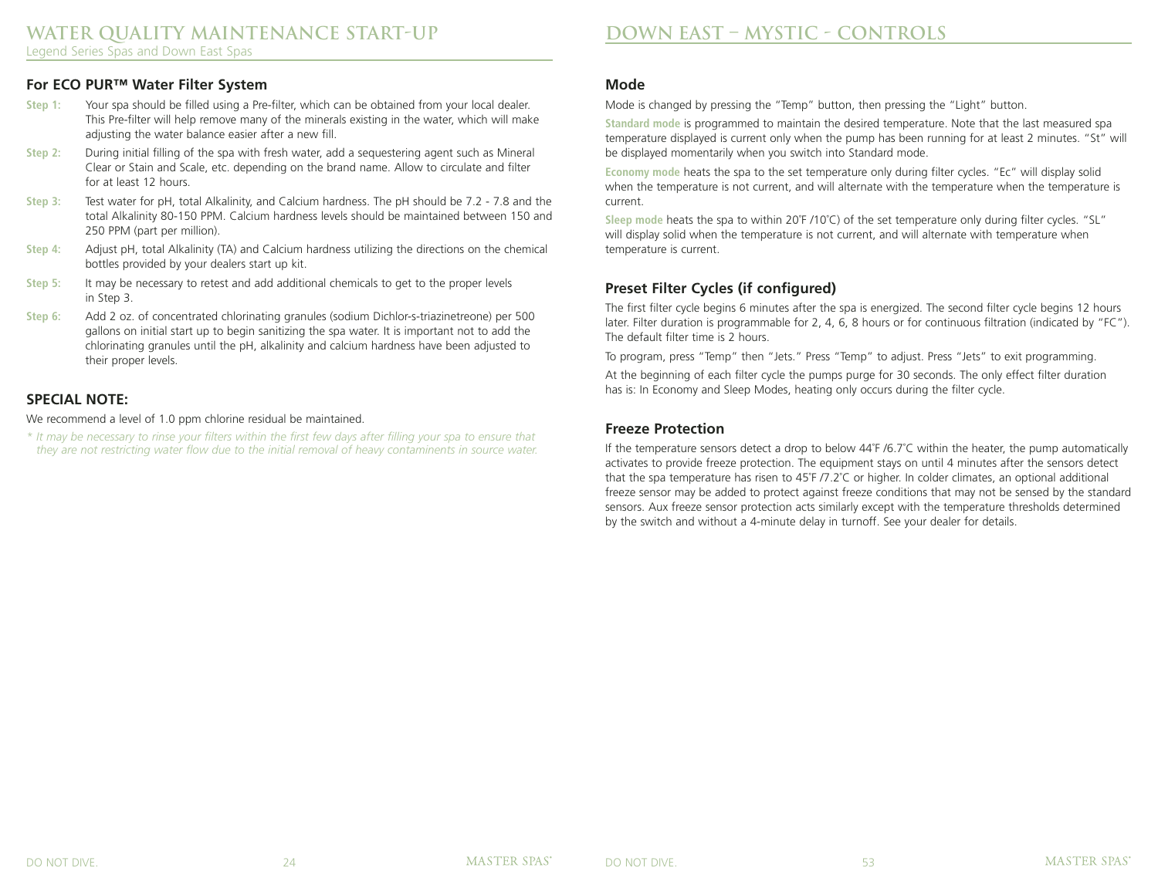#### **For ECO PUR™ Water Filter System**

- **Step 1:** Your spa should be filled using a Pre-filter, which can be obtained from your local dealer. This Pre-filter will help remove many of the minerals existing in the water, which will make adjusting the water balance easier after a new fill.
- **Step 2:** During initial filling of the spa with fresh water, add a sequestering agent such as Mineral Clear or Stain and Scale, etc. depending on the brand name. Allow to circulate and filter for at least 12 hours.
- **Step 3:** Test water for pH, total Alkalinity, and Calcium hardness. The pH should be 7.2 7.8 and the total Alkalinity 80-150 PPM. Calcium hardness levels should be maintained between 150 and 250 PPM (part per million).
- **Step 4:** Adjust pH, total Alkalinity (TA) and Calcium hardness utilizing the directions on the chemical bottles provided by your dealers start up kit.
- **Step 5:** It may be necessary to retest and add additional chemicals to get to the proper levels in Step 3.
- **Step 6:** Add 2 oz. of concentrated chlorinating granules (sodium Dichlor-s-triazinetreone) per 500 gallons on initial start up to begin sanitizing the spa water. It is important not to add the chlorinating granules until the pH, alkalinity and calcium hardness have been adjusted to their proper levels.

#### **SPECIAL NOTE:**

We recommend a level of 1.0 ppm chlorine residual be maintained.

*\* It may be necessary to rinse your filters within the first few days after filling your spa to ensure that they are not restricting water flow due to the initial removal of heavy contaminents in source water.*

## **DOWN EAST – mystic - CONTROLS**

#### **Mode**

Mode is changed by pressing the "Temp" button, then pressing the "Light" button.

**Standard mode** is programmed to maintain the desired temperature. Note that the last measured spa temperature displayed is current only when the pump has been running for at least 2 minutes. "St" will be displayed momentarily when you switch into Standard mode.

**Economy mode** heats the spa to the set temperature only during filter cycles. "Ec" will display solid when the temperature is not current, and will alternate with the temperature when the temperature is current.

**Sleep mode** heats the spa to within 20˚F /10˚C) of the set temperature only during filter cycles. "SL" will display solid when the temperature is not current, and will alternate with temperature when temperature is current.

#### **Preset Filter Cycles (if configured)**

The first filter cycle begins 6 minutes after the spa is energized. The second filter cycle begins 12 hours later. Filter duration is programmable for 2, 4, 6, 8 hours or for continuous filtration (indicated by "FC"). The default filter time is 2 hours.

To program, press "Temp" then "Jets." Press "Temp" to adjust. Press "Jets" to exit programming. At the beginning of each filter cycle the pumps purge for 30 seconds. The only effect filter duration has is: In Economy and Sleep Modes, heating only occurs during the filter cycle.

#### **Freeze Protection**

If the temperature sensors detect a drop to below 44˚F /6.7˚C within the heater, the pump automatically activates to provide freeze protection. The equipment stays on until 4 minutes after the sensors detect that the spa temperature has risen to 45˚F /7.2˚C or higher. In colder climates, an optional additional freeze sensor may be added to protect against freeze conditions that may not be sensed by the standard sensors. Aux freeze sensor protection acts similarly except with the temperature thresholds determined by the switch and without a 4-minute delay in turnoff. See your dealer for details.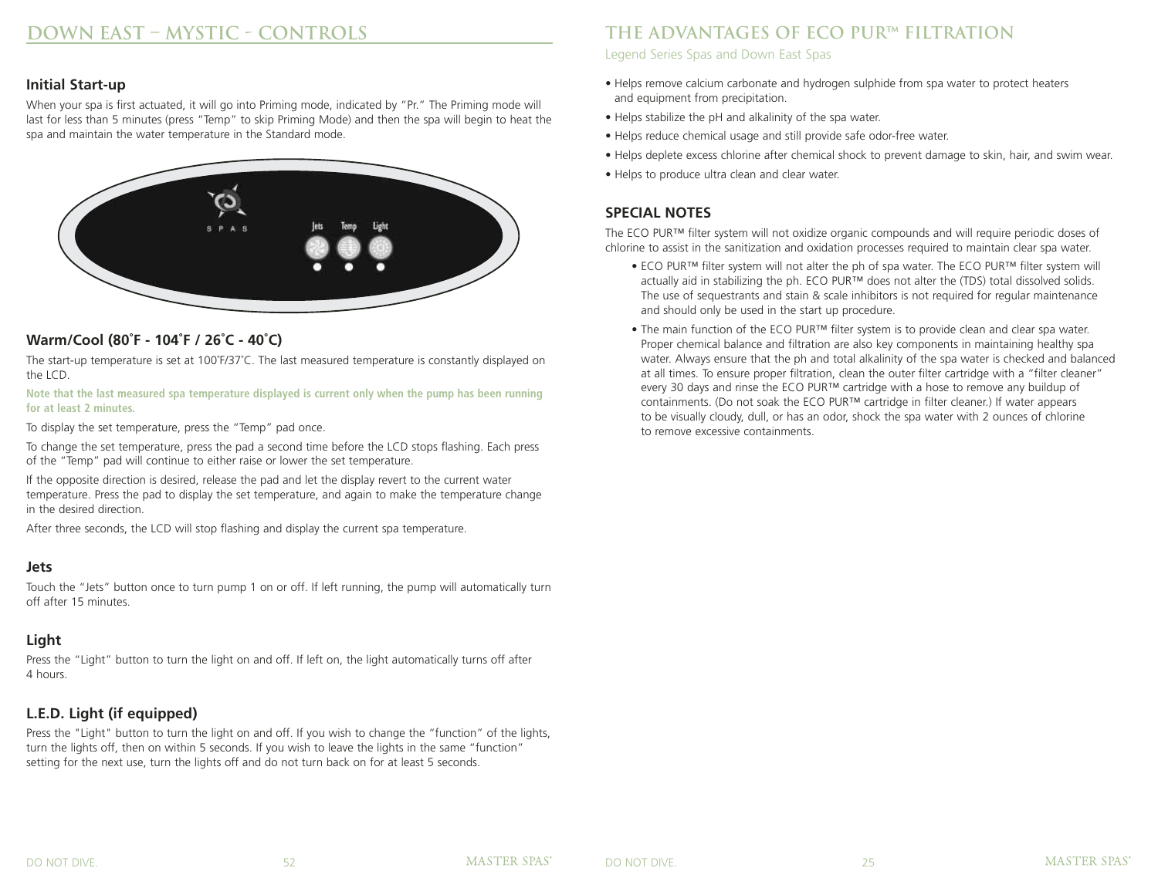#### **Initial Start-up**

When your spa is first actuated, it will go into Priming mode, indicated by "Pr." The Priming mode will last for less than 5 minutes (press "Temp" to skip Priming Mode) and then the spa will begin to heat the spa and maintain the water temperature in the Standard mode.



#### **Warm/Cool (80˚F - 104˚F / 26˚C - 40˚C)**

The start-up temperature is set at 100°F/37°C. The last measured temperature is constantly displayed on the LCD.

**Note that the last measured spa temperature displayed is current only when the pump has been running for at least 2 minutes.**

To display the set temperature, press the "Temp" pad once.

To change the set temperature, press the pad a second time before the LCD stops flashing. Each press of the "Temp" pad will continue to either raise or lower the set temperature.

If the opposite direction is desired, release the pad and let the display revert to the current water temperature. Press the pad to display the set temperature, and again to make the temperature change in the desired direction.

After three seconds, the LCD will stop flashing and display the current spa temperature.

#### **Jets**

Touch the "Jets" button once to turn pump 1 on or off. If left running, the pump will automatically turn off after 15 minutes.

#### **Light**

Press the "Light" button to turn the light on and off. If left on, the light automatically turns off after 4 hours.

#### **L.E.D. Light (if equipped)**

Press the "Light" button to turn the light on and off. If you wish to change the "function" of the lights, turn the lights off, then on within 5 seconds. If you wish to leave the lights in the same "function" setting for the next use, turn the lights off and do not turn back on for at least 5 seconds.

## **THE ADVANTAGES OF ECO PUR™ filtration**

#### Legend Series Spas and Down East Spas

- Helps remove calcium carbonate and hydrogen sulphide from spa water to protect heaters and equipment from precipitation.
- Helps stabilize the pH and alkalinity of the spa water.
- Helps reduce chemical usage and still provide safe odor-free water.
- Helps deplete excess chlorine after chemical shock to prevent damage to skin, hair, and swim wear.
- Helps to produce ultra clean and clear water.

#### **SPECIAL NOTES**

The ECO PUR™ filter system will not oxidize organic compounds and will require periodic doses of chlorine to assist in the sanitization and oxidation processes required to maintain clear spa water.

- ECO PUR™ filter system will not alter the ph of spa water. The ECO PUR™ filter system will actually aid in stabilizing the ph. ECO PUR™ does not alter the (TDS) total dissolved solids. The use of sequestrants and stain & scale inhibitors is not required for regular maintenance and should only be used in the start up procedure.
- The main function of the ECO PUR™ filter system is to provide clean and clear spa water. Proper chemical balance and filtration are also key components in maintaining healthy spa water. Always ensure that the ph and total alkalinity of the spa water is checked and balanced at all times. To ensure proper filtration, clean the outer filter cartridge with a "filter cleaner" every 30 days and rinse the ECO PUR™ cartridge with a hose to remove any buildup of containments. (Do not soak the ECO PUR™ cartridge in filter cleaner.) If water appears to be visually cloudy, dull, or has an odor, shock the spa water with 2 ounces of chlorine to remove excessive containments.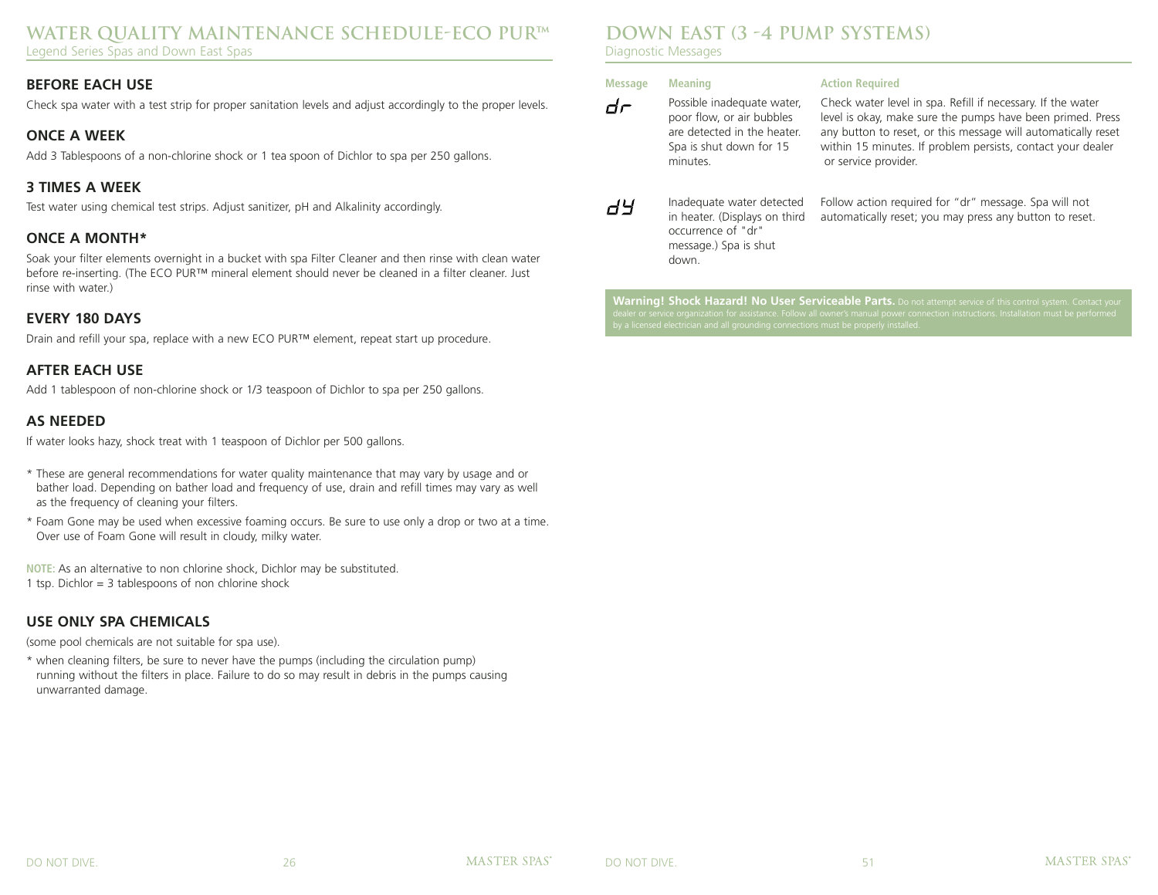#### **WATER QUALITY MAINTENANCE SCHEDULE-ECO PUR™**  Legend Series Spas and Down East Spas

#### **BEFORE EACH USE**

Check spa water with a test strip for proper sanitation levels and adjust accordingly to the proper levels.

#### **ONCE A WEEK**

Add 3 Tablespoons of a non-chlorine shock or 1 tea spoon of Dichlor to spa per 250 gallons.

#### **3 TIMES A WEEK**

Test water using chemical test strips. Adjust sanitizer, pH and Alkalinity accordingly.

#### **ONCE A MONTH\***

Soak your filter elements overnight in a bucket with spa Filter Cleaner and then rinse with clean water before re-inserting. (The ECO PUR™ mineral element should never be cleaned in a filter cleaner. Just rinse with water.)

#### **EVERY 180 DAYS**

Drain and refill your spa, replace with a new ECO PUR™ element, repeat start up procedure.

#### **AFTER EACH USE**

Add 1 tablespoon of non-chlorine shock or 1/3 teaspoon of Dichlor to spa per 250 gallons.

#### **AS NEEDED**

If water looks hazy, shock treat with 1 teaspoon of Dichlor per 500 gallons.

- \* These are general recommendations for water quality maintenance that may vary by usage and or bather load. Depending on bather load and frequency of use, drain and refill times may vary as well as the frequency of cleaning your filters.
- \* Foam Gone may be used when excessive foaming occurs. Be sure to use only a drop or two at a time. Over use of Foam Gone will result in cloudy, milky water.

**NOTE:** As an alternative to non chlorine shock, Dichlor may be substituted. 1 tsp. Dichlor = 3 tablespoons of non chlorine shock

#### **USE ONLY SPA CHEMICALS**

(some pool chemicals are not suitable for spa use).

\* when cleaning filters, be sure to never have the pumps (including the circulation pump) running without the filters in place. Failure to do so may result in debris in the pumps causing unwarranted damage.

## **DOWN EAST (3 -4 PUMP SYSTEMS)**

Diagnostic Messages

#### **Message Meaning**

minutes.

#### **Action Required**

Check water level in spa. Refill if necessary. If the water level is okay, make sure the pumps have been primed. Press any button to reset, or this message will automatically reset within 15 minutes. If problem persists, contact your dealer or service provider.



dr

Inadequate water detected in heater. (Displays on third occurrence of "dr" message.) Spa is shut down.

Possible inadequate water, poor flow, or air bubbles are detected in the heater. Spa is shut down for 15

> Follow action required for "dr" message. Spa will not automatically reset; you may press any button to reset.

Warning! Shock Hazard! No User Serviceable Parts. Do not attempt service of this control system. Contact yo anization for assistance. Follow all owner's manual power connection instructions. Installation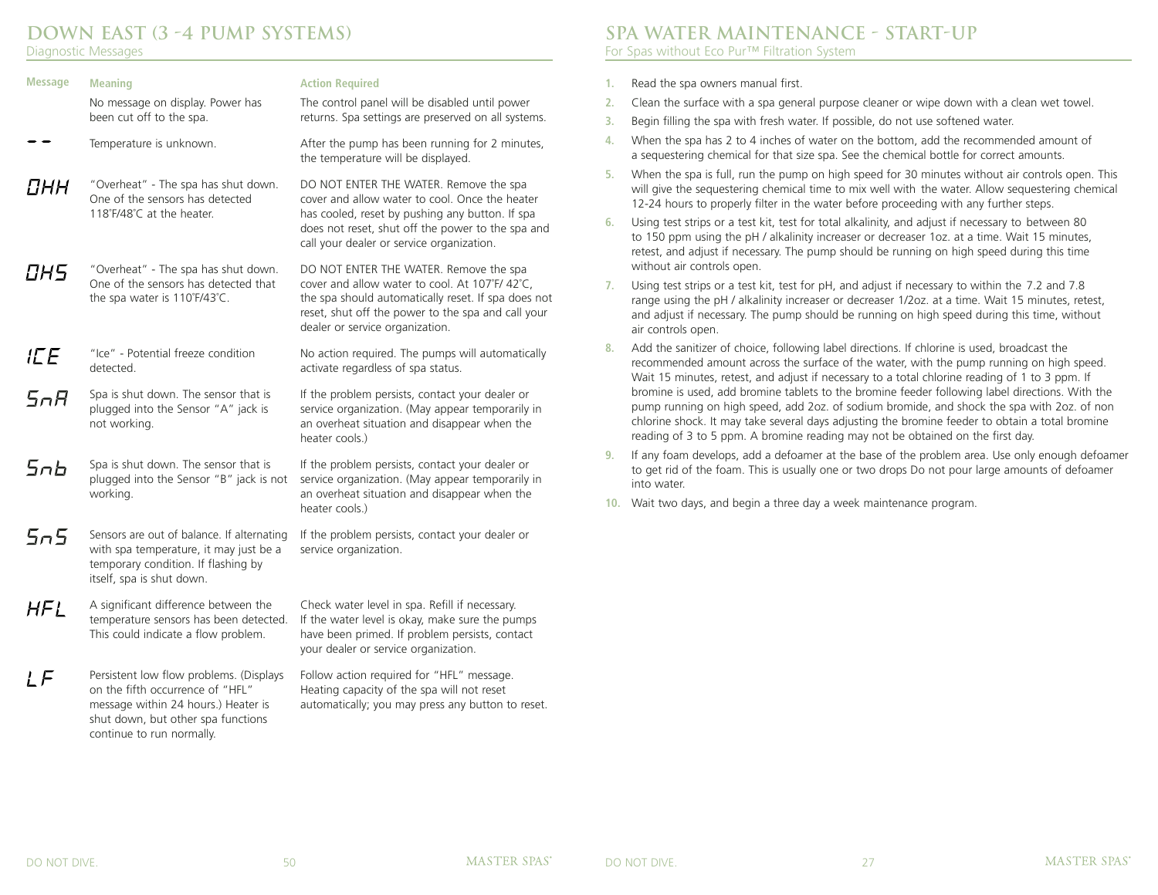## **DOWN EAST (3 -4 PUMP SYSTEMS)**

Diagnostic Messages

| <b>Meaning</b>                                                                                                                                                                        | <b>Action Required</b>                                                                                                                                                                                                                        |
|---------------------------------------------------------------------------------------------------------------------------------------------------------------------------------------|-----------------------------------------------------------------------------------------------------------------------------------------------------------------------------------------------------------------------------------------------|
| No message on display. Power has<br>been cut off to the spa.                                                                                                                          | The control panel will be disabled until power<br>returns. Spa settings are preserved on all systems.                                                                                                                                         |
| Temperature is unknown.                                                                                                                                                               | After the pump has been running for 2 minutes,<br>the temperature will be displayed.                                                                                                                                                          |
| "Overheat" - The spa has shut down.<br>One of the sensors has detected<br>118°F/48°C at the heater.                                                                                   | DO NOT ENTER THE WATER. Remove the spa<br>cover and allow water to cool. Once the heater<br>has cooled, reset by pushing any button. If spa<br>does not reset, shut off the power to the spa and<br>call your dealer or service organization. |
| "Overheat" - The spa has shut down.<br>One of the sensors has detected that<br>the spa water is 110°F/43°C.                                                                           | DO NOT ENTER THE WATER. Remove the spa<br>cover and allow water to cool. At 107°F/42°C,<br>the spa should automatically reset. If spa does not<br>reset, shut off the power to the spa and call your<br>dealer or service organization.       |
| "Ice" - Potential freeze condition<br>detected.                                                                                                                                       | No action required. The pumps will automatically<br>activate regardless of spa status.                                                                                                                                                        |
| Spa is shut down. The sensor that is<br>plugged into the Sensor "A" jack is<br>not working.                                                                                           | If the problem persists, contact your dealer or<br>service organization. (May appear temporarily in<br>an overheat situation and disappear when the<br>heater cools.)                                                                         |
| Spa is shut down. The sensor that is<br>plugged into the Sensor "B" jack is not<br>working.                                                                                           | If the problem persists, contact your dealer or<br>service organization. (May appear temporarily in<br>an overheat situation and disappear when the<br>heater cools.)                                                                         |
| Sensors are out of balance. If alternating<br>with spa temperature, it may just be a<br>temporary condition. If flashing by<br>itself, spa is shut down.                              | If the problem persists, contact your dealer or<br>service organization.                                                                                                                                                                      |
| A significant difference between the<br>temperature sensors has been detected.<br>This could indicate a flow problem.                                                                 | Check water level in spa. Refill if necessary.<br>If the water level is okay, make sure the pumps<br>have been primed. If problem persists, contact<br>your dealer or service organization.                                                   |
| Persistent low flow problems. (Displays<br>on the fifth occurrence of "HFL"<br>message within 24 hours.) Heater is<br>shut down, but other spa functions<br>continue to run normally. | Follow action required for "HFL" message.<br>Heating capacity of the spa will not reset<br>automatically; you may press any button to reset.                                                                                                  |
|                                                                                                                                                                                       |                                                                                                                                                                                                                                               |

## **SPA WATER MAINTENANCE - START-UP**

For Spas without Eco Pur™ Filtration System

- **1.** Read the spa owners manual first.
- **2.** Clean the surface with a spa general purpose cleaner or wipe down with a clean wet towel.
- **3.** Begin filling the spa with fresh water. If possible, do not use softened water.
- **4.** When the spa has 2 to 4 inches of water on the bottom, add the recommended amount of a sequestering chemical for that size spa. See the chemical bottle for correct amounts.
- **5.** When the spa is full, run the pump on high speed for 30 minutes without air controls open. This will give the sequestering chemical time to mix well with the water. Allow sequestering chemical 12-24 hours to properly filter in the water before proceeding with any further steps.
- **6.** Using test strips or a test kit, test for total alkalinity, and adjust if necessary to between 80 to 150 ppm using the pH / alkalinity increaser or decreaser 1oz. at a time. Wait 15 minutes, retest, and adjust if necessary. The pump should be running on high speed during this time without air controls open.
- **7.** Using test strips or a test kit, test for pH, and adjust if necessary to within the 7.2 and 7.8 range using the pH / alkalinity increaser or decreaser 1/2oz. at a time. Wait 15 minutes, retest, and adjust if necessary. The pump should be running on high speed during this time, without air controls open.
- **8.** Add the sanitizer of choice, following label directions. If chlorine is used, broadcast the recommended amount across the surface of the water, with the pump running on high speed. Wait 15 minutes, retest, and adjust if necessary to a total chlorine reading of 1 to 3 ppm. If bromine is used, add bromine tablets to the bromine feeder following label directions. With the pump running on high speed, add 2oz. of sodium bromide, and shock the spa with 2oz. of non chlorine shock. It may take several days adjusting the bromine feeder to obtain a total bromine reading of 3 to 5 ppm. A bromine reading may not be obtained on the first day.
- **9.** If any foam develops, add a defoamer at the base of the problem area. Use only enough defoamer to get rid of the foam. This is usually one or two drops Do not pour large amounts of defoamer into water.
- **10.** Wait two days, and begin a three day a week maintenance program.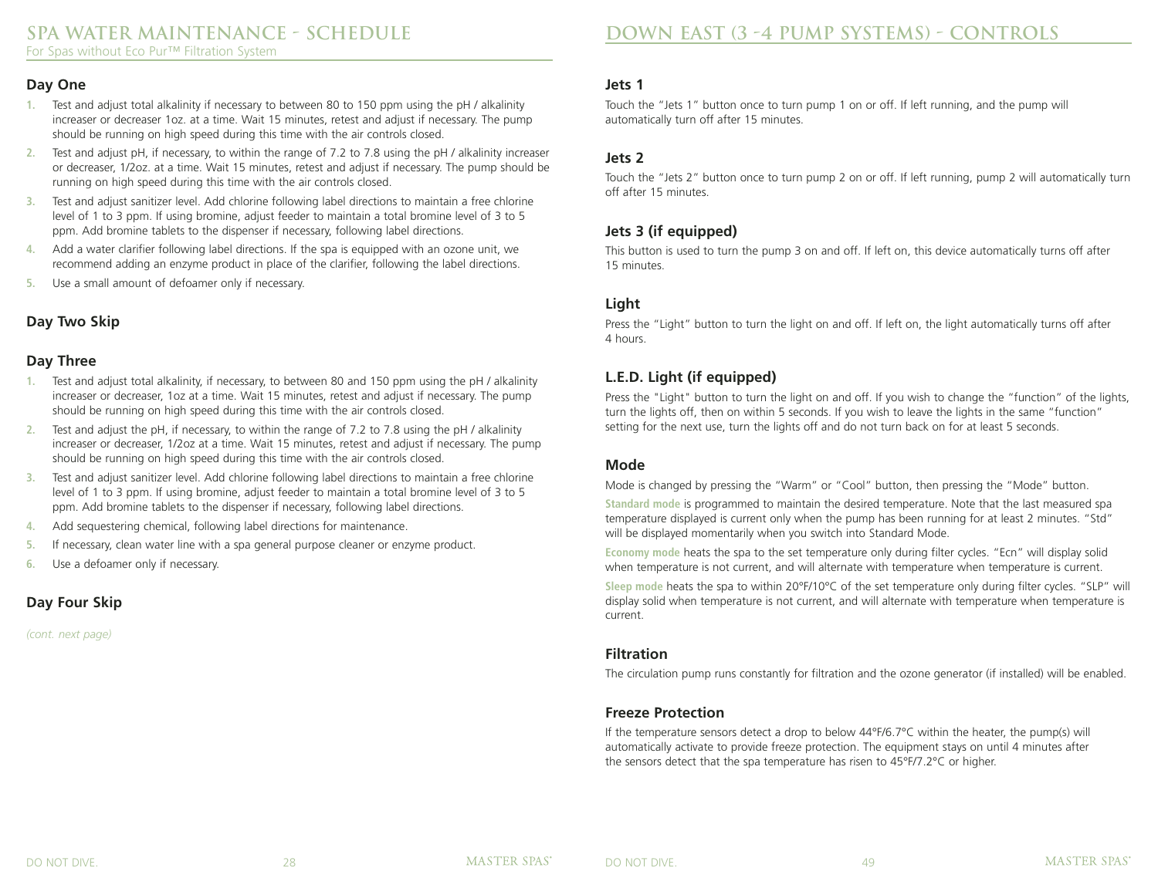For Spas without Eco Pur™ Filtration System

#### **Day One**

- **1.** Test and adjust total alkalinity if necessary to between 80 to 150 ppm using the pH / alkalinity increaser or decreaser 1oz. at a time. Wait 15 minutes, retest and adjust if necessary. The pump should be running on high speed during this time with the air controls closed.
- **2.** Test and adjust pH, if necessary, to within the range of 7.2 to 7.8 using the pH / alkalinity increaser or decreaser, 1/2oz. at a time. Wait 15 minutes, retest and adjust if necessary. The pump should be running on high speed during this time with the air controls closed.
- **3.** Test and adjust sanitizer level. Add chlorine following label directions to maintain a free chlorine level of 1 to 3 ppm. If using bromine, adjust feeder to maintain a total bromine level of 3 to 5 ppm. Add bromine tablets to the dispenser if necessary, following label directions.
- **4.** Add a water clarifier following label directions. If the spa is equipped with an ozone unit, we recommend adding an enzyme product in place of the clarifier, following the label directions.
- **5.** Use a small amount of defoamer only if necessary.

## **Day Two Skip**

#### **Day Three**

- **1.** Test and adjust total alkalinity, if necessary, to between 80 and 150 ppm using the pH / alkalinity increaser or decreaser, 1oz at a time. Wait 15 minutes, retest and adjust if necessary. The pump should be running on high speed during this time with the air controls closed.
- **2.** Test and adjust the pH, if necessary, to within the range of 7.2 to 7.8 using the pH / alkalinity increaser or decreaser, 1/2oz at a time. Wait 15 minutes, retest and adjust if necessary. The pump should be running on high speed during this time with the air controls closed.
- **3.** Test and adjust sanitizer level. Add chlorine following label directions to maintain a free chlorine level of 1 to 3 ppm. If using bromine, adjust feeder to maintain a total bromine level of 3 to 5 ppm. Add bromine tablets to the dispenser if necessary, following label directions.
- **4.** Add sequestering chemical, following label directions for maintenance.
- **5.** If necessary, clean water line with a spa general purpose cleaner or enzyme product.
- **6.** Use a defoamer only if necessary.

## **Day Four Skip**

*(cont. next page)*

#### **Jets 1**

Touch the "Jets 1" button once to turn pump 1 on or off. If left running, and the pump will automatically turn off after 15 minutes.

#### **Jets 2**

Touch the "Jets 2" button once to turn pump 2 on or off. If left running, pump 2 will automatically turn off after 15 minutes.

#### **Jets 3 (if equipped)**

This button is used to turn the pump 3 on and off. If left on, this device automatically turns off after 15 minutes.

#### **Light**

Press the "Light" button to turn the light on and off. If left on, the light automatically turns off after 4 hours.

### **L.E.D. Light (if equipped)**

Press the "Light" button to turn the light on and off. If you wish to change the "function" of the lights, turn the lights off, then on within 5 seconds. If you wish to leave the lights in the same "function" setting for the next use, turn the lights off and do not turn back on for at least 5 seconds.

#### **Mode**

Mode is changed by pressing the "Warm" or "Cool" button, then pressing the "Mode" button.

**Standard mode** is programmed to maintain the desired temperature. Note that the last measured spa temperature displayed is current only when the pump has been running for at least 2 minutes. "Std" will be displayed momentarily when you switch into Standard Mode.

**Economy mode** heats the spa to the set temperature only during filter cycles. "Ecn" will display solid when temperature is not current, and will alternate with temperature when temperature is current.

**Sleep mode** heats the spa to within 20°F/10°C of the set temperature only during filter cycles. "SLP" will display solid when temperature is not current, and will alternate with temperature when temperature is current.

#### **Filtration**

The circulation pump runs constantly for filtration and the ozone generator (if installed) will be enabled.

#### **Freeze Protection**

If the temperature sensors detect a drop to below 44°F/6.7°C within the heater, the pump(s) will automatically activate to provide freeze protection. The equipment stays on until 4 minutes after the sensors detect that the spa temperature has risen to 45°F/7.2°C or higher.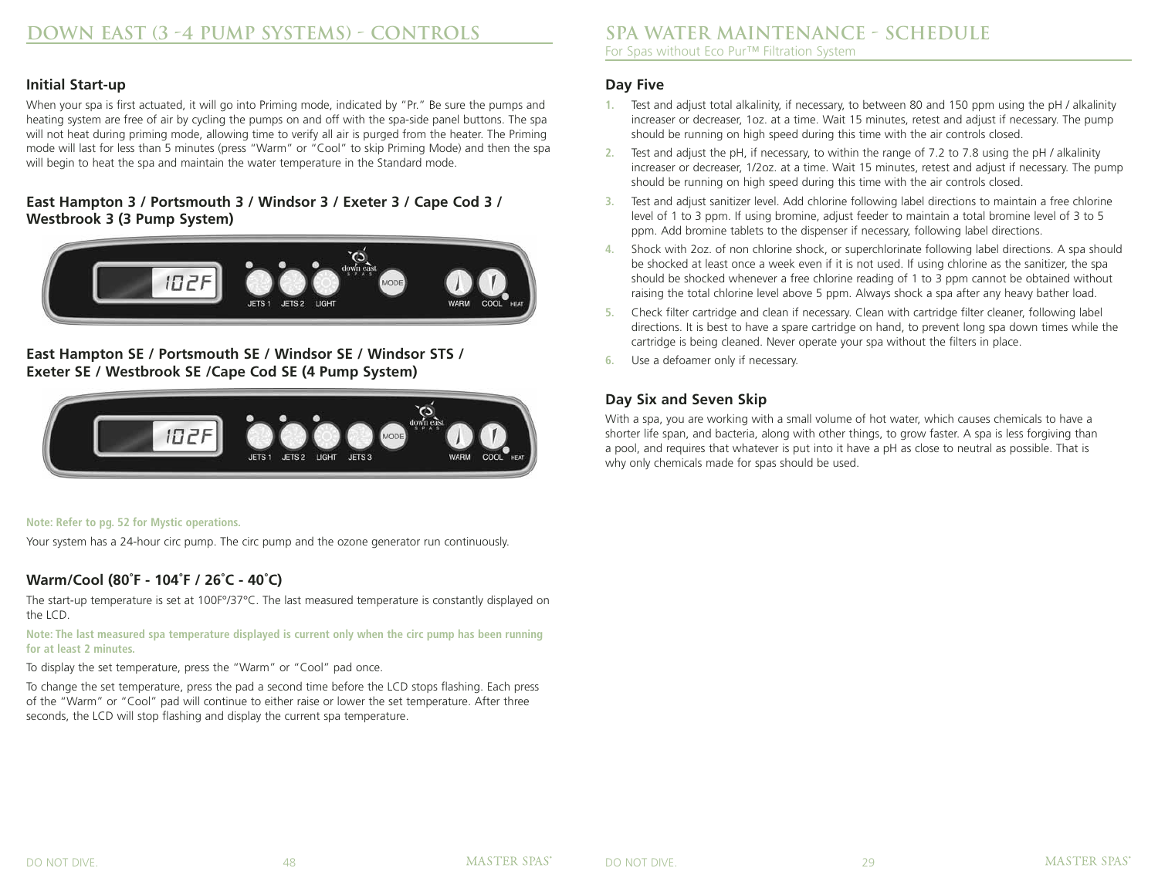#### **Initial Start-up**

When your spa is first actuated, it will go into Priming mode, indicated by "Pr." Be sure the pumps and heating system are free of air by cycling the pumps on and off with the spa-side panel buttons. The spa will not heat during priming mode, allowing time to verify all air is purged from the heater. The Priming mode will last for less than 5 minutes (press "Warm" or "Cool" to skip Priming Mode) and then the spa will begin to heat the spa and maintain the water temperature in the Standard mode.

#### **East Hampton 3 / Portsmouth 3 / Windsor 3 / Exeter 3 / Cape Cod 3 / Westbrook 3 (3 Pump System)**



#### **East Hampton SE / Portsmouth SE / Windsor SE / Windsor STS / Exeter SE / Westbrook SE /Cape Cod SE (4 Pump System)**



#### **Note: Refer to pg. 52 for Mystic operations.**

Your system has a 24-hour circ pump. The circ pump and the ozone generator run continuously.

#### **Warm/Cool (80˚F - 104˚F / 26˚C - 40˚C)**

The start-up temperature is set at 100F°/37°C. The last measured temperature is constantly displayed on the LCD.

**Note: The last measured spa temperature displayed is current only when the circ pump has been running for at least 2 minutes.**

To display the set temperature, press the "Warm" or "Cool" pad once.

To change the set temperature, press the pad a second time before the LCD stops flashing. Each press of the "Warm" or "Cool" pad will continue to either raise or lower the set temperature. After three seconds, the LCD will stop flashing and display the current spa temperature.

#### **Day Five**

- **1.** Test and adjust total alkalinity, if necessary, to between 80 and 150 ppm using the pH / alkalinity increaser or decreaser, 1oz. at a time. Wait 15 minutes, retest and adjust if necessary. The pump should be running on high speed during this time with the air controls closed.
- **2.** Test and adjust the pH, if necessary, to within the range of 7.2 to 7.8 using the pH / alkalinity increaser or decreaser, 1/2oz. at a time. Wait 15 minutes, retest and adjust if necessary. The pump should be running on high speed during this time with the air controls closed.
- **3.** Test and adjust sanitizer level. Add chlorine following label directions to maintain a free chlorine level of 1 to 3 ppm. If using bromine, adjust feeder to maintain a total bromine level of 3 to 5 ppm. Add bromine tablets to the dispenser if necessary, following label directions.
- **4.** Shock with 2oz. of non chlorine shock, or superchlorinate following label directions. A spa should be shocked at least once a week even if it is not used. If using chlorine as the sanitizer, the spa should be shocked whenever a free chlorine reading of 1 to 3 ppm cannot be obtained without raising the total chlorine level above 5 ppm. Always shock a spa after any heavy bather load.
- **5.** Check filter cartridge and clean if necessary. Clean with cartridge filter cleaner, following label directions. It is best to have a spare cartridge on hand, to prevent long spa down times while the cartridge is being cleaned. Never operate your spa without the filters in place.
- **6.** Use a defoamer only if necessary.

#### **Day Six and Seven Skip**

With a spa, you are working with a small volume of hot water, which causes chemicals to have a shorter life span, and bacteria, along with other things, to grow faster. A spa is less forgiving than a pool, and requires that whatever is put into it have a pH as close to neutral as possible. That is why only chemicals made for spas should be used.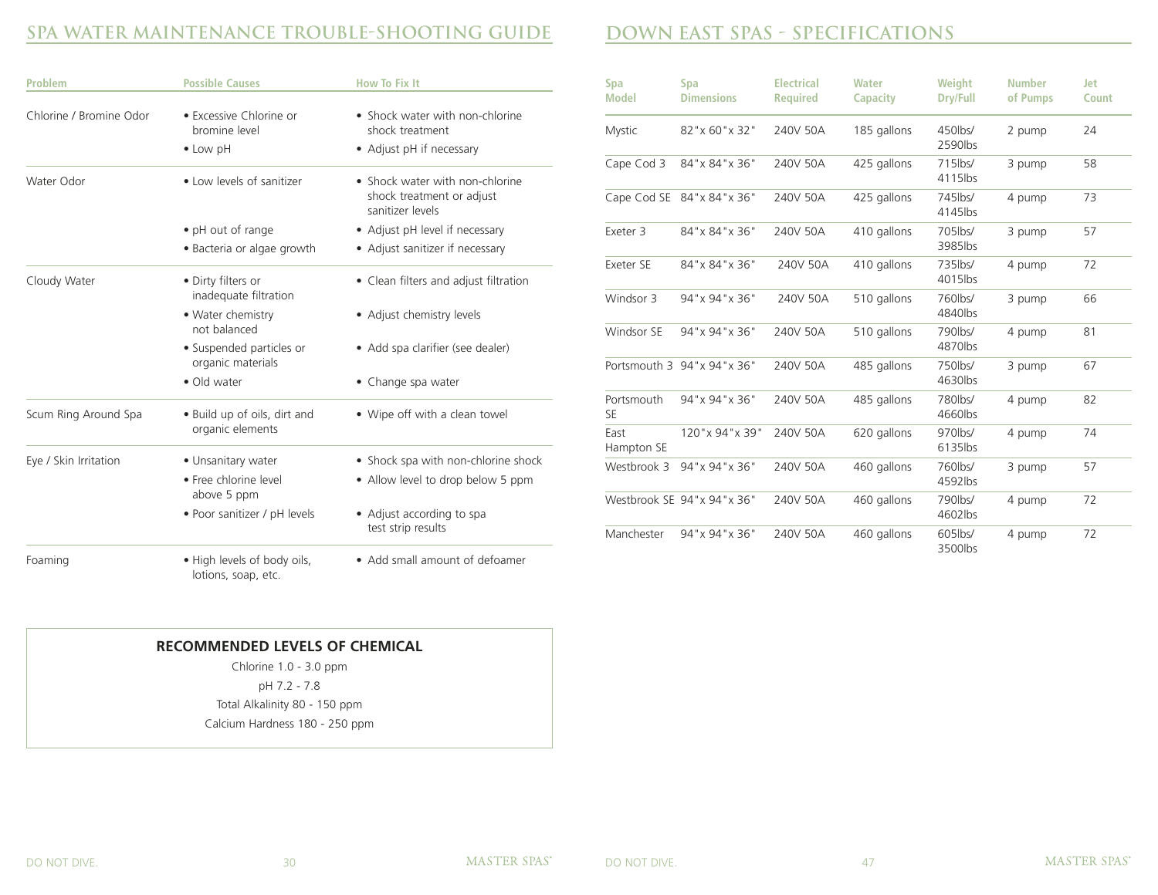## **SPA WATER MAINTENANCE TROUBLE-SHOOTING GUIDE**

| <b>Problem</b>          | <b>Possible Causes</b>                             | <b>How To Fix It</b>                                                             |  |  |
|-------------------------|----------------------------------------------------|----------------------------------------------------------------------------------|--|--|
| Chlorine / Bromine Odor | • Excessive Chlorine or<br>bromine level           | • Shock water with non-chlorine<br>shock treatment                               |  |  |
|                         | $\bullet$ Low pH                                   | • Adjust pH if necessary                                                         |  |  |
| Water Odor              | • Low levels of sanitizer                          | • Shock water with non-chlorine<br>shock treatment or adjust<br>sanitizer levels |  |  |
|                         | • pH out of range                                  | • Adjust pH level if necessary                                                   |  |  |
|                         | · Bacteria or algae growth                         | • Adjust sanitizer if necessary                                                  |  |  |
| Cloudy Water            | • Dirty filters or<br>inadequate filtration        | • Clean filters and adjust filtration                                            |  |  |
|                         | • Water chemistry<br>not balanced                  | • Adjust chemistry levels                                                        |  |  |
|                         | • Suspended particles or<br>organic materials      | • Add spa clarifier (see dealer)                                                 |  |  |
|                         | • Old water                                        | • Change spa water                                                               |  |  |
| Scum Ring Around Spa    | . Build up of oils, dirt and<br>organic elements   | • Wipe off with a clean towel                                                    |  |  |
| Eye / Skin Irritation   | • Unsanitary water                                 | • Shock spa with non-chlorine shock                                              |  |  |
|                         | • Free chlorine level<br>above 5 ppm               | • Allow level to drop below 5 ppm                                                |  |  |
|                         | · Poor sanitizer / pH levels                       | • Adjust according to spa<br>test strip results                                  |  |  |
| Foaming                 | . High levels of body oils,<br>lotions, soap, etc. | • Add small amount of defoamer                                                   |  |  |

## **DOWN EAST SPAs - SPECIFICATIONS**

| <b>Spa</b><br><b>Model</b> | Spa<br><b>Dimensions</b>   | <b>Electrical</b><br><b>Required</b> | Water<br><b>Capacity</b> | Weight<br>Dry/Full | <b>Number</b><br>of Pumps | Jet<br>Count |
|----------------------------|----------------------------|--------------------------------------|--------------------------|--------------------|---------------------------|--------------|
| Mystic                     | 82"x 60"x 32"              | 240V 50A                             | 185 gallons              | 450lbs/<br>2590lbs | 2 pump                    | 24           |
| Cape Cod 3                 | 84"x 84"x 36"              | 240V 50A                             | 425 gallons              | 715lbs/<br>4115lbs | 3 pump                    | 58           |
|                            | Cape Cod SE 84"x 84"x 36"  | 240V 50A                             | 425 gallons              | 745lbs/<br>4145lbs | 4 pump                    | 73           |
| Exeter 3                   | 84"x 84"x 36"              | 240V 50A                             | 410 gallons              | 705lbs/<br>3985lbs | 3 pump                    | 57           |
| Exeter SE                  | 84"x 84"x 36"              | 240V 50A                             | 410 gallons              | 735lbs/<br>4015lbs | 4 pump                    | 72           |
| Windsor 3                  | 94"x 94"x 36"              | 240V 50A                             | 510 gallons              | 760lbs/<br>4840lbs | 3 pump                    | 66           |
| Windsor SE                 | 94"x 94"x 36"              | 240V 50A                             | 510 gallons              | 790lbs/<br>4870lbs | 4 pump                    | 81           |
|                            | Portsmouth 3 94"x 94"x 36" | 240V 50A                             | 485 gallons              | 750lbs/<br>4630lbs | 3 pump                    | 67           |
| Portsmouth<br><b>SE</b>    | 94"x 94"x 36"              | 240V 50A                             | 485 gallons              | 780lbs/<br>4660lbs | 4 pump                    | 82           |
| East<br>Hampton SE         | 120" x 94" x 39"           | 240V 50A                             | 620 gallons              | 970lbs/<br>6135lbs | 4 pump                    | 74           |
| Westbrook 3                | 94"x 94"x 36"              | 240V 50A                             | 460 gallons              | 760lbs/<br>4592lbs | 3 pump                    | 57           |
|                            | Westbrook SE 94"x 94"x 36" | 240V 50A                             | 460 gallons              | 790lbs/<br>4602lbs | 4 pump                    | 72           |
| Manchester                 | 94"x 94"x 36"              | 240V 50A                             | 460 gallons              | 605lbs/<br>3500lbs | 4 pump                    | 72           |

#### **RECOMMENDED LEVELS OF CHEMICAL**

Chlorine 1.0 - 3.0 ppm pH 7.2 - 7.8 Total Alkalinity 80 - 150 ppm Calcium Hardness 180 - 250 ppm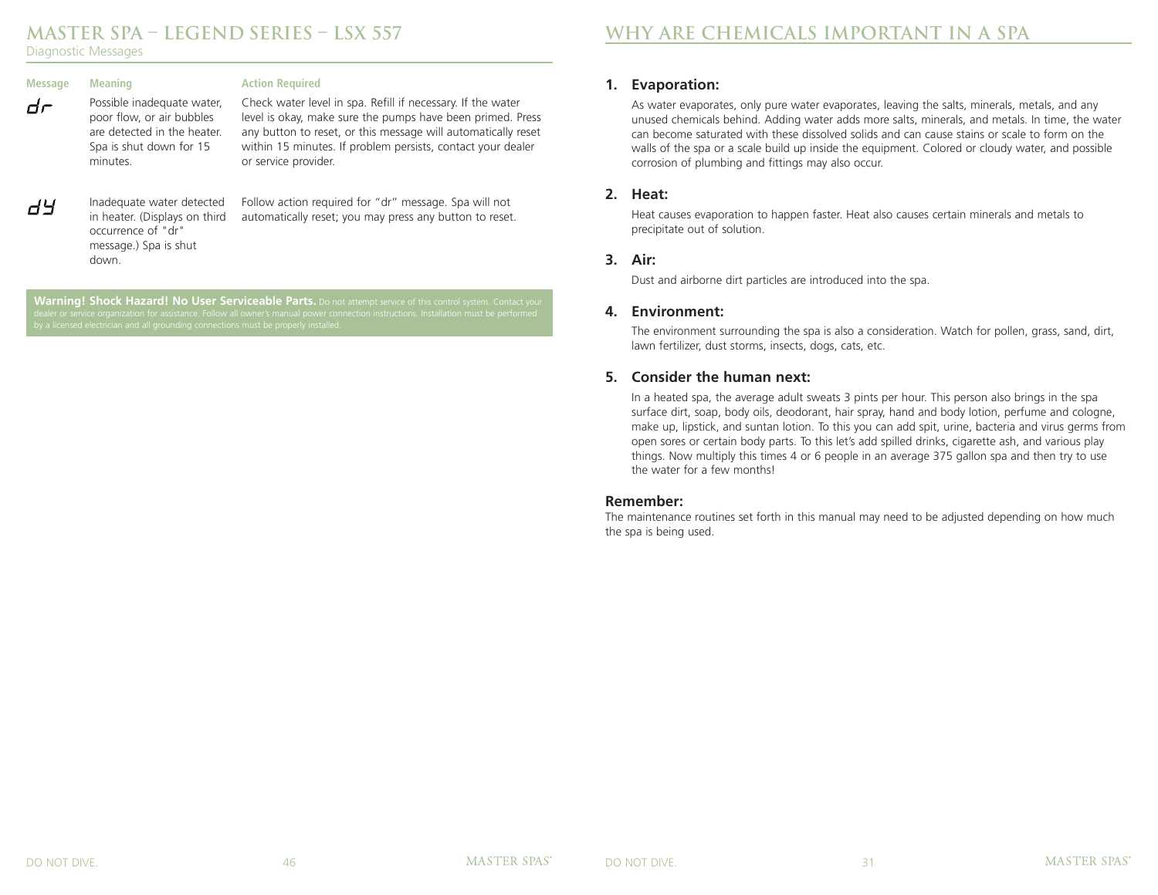## **MASTER SPA – LEGEND SERIES – LSX 557**

#### Diagnostic Messages

**Message Meaning**

 $d\epsilon$ 

dY

Possible inadequate water, poor flow, or air bubbles are detected in the heater. Spa is shut down for 15 minutes.

#### **Action Required**

Check water level in spa. Refill if necessary. If the water level is okay, make sure the pumps have been primed. Press any button to reset, or this message will automatically reset within 15 minutes. If problem persists, contact your dealer or service provider.

Inadequate water detected in heater. (Displays on third occurrence of "dr" message.) Spa is shut down.

Follow action required for "dr" message. Spa will not automatically reset; you may press any button to reset.

**Warning! Shock Hazard! No User Serviceable Parts.** Do not attempt service of this control system. Contact your

#### **1. Evaporation:**

As water evaporates, only pure water evaporates, leaving the salts, minerals, metals, and any unused chemicals behind. Adding water adds more salts, minerals, and metals. In time, the water can become saturated with these dissolved solids and can cause stains or scale to form on the walls of the spa or a scale build up inside the equipment. Colored or cloudy water, and possible corrosion of plumbing and fittings may also occur.

#### **2. Heat:**

Heat causes evaporation to happen faster. Heat also causes certain minerals and metals to precipitate out of solution.

#### **3. Air:**

Dust and airborne dirt particles are introduced into the spa.

#### **4. Environment:**

The environment surrounding the spa is also a consideration. Watch for pollen, grass, sand, dirt, lawn fertilizer, dust storms, insects, dogs, cats, etc.

#### **5. Consider the human next:**

In a heated spa, the average adult sweats 3 pints per hour. This person also brings in the spa surface dirt, soap, body oils, deodorant, hair spray, hand and body lotion, perfume and cologne, make up, lipstick, and suntan lotion. To this you can add spit, urine, bacteria and virus germs from open sores or certain body parts. To this let's add spilled drinks, cigarette ash, and various play things. Now multiply this times 4 or 6 people in an average 375 gallon spa and then try to use the water for a few months!

#### **Remember:**

The maintenance routines set forth in this manual may need to be adjusted depending on how much the spa is being used.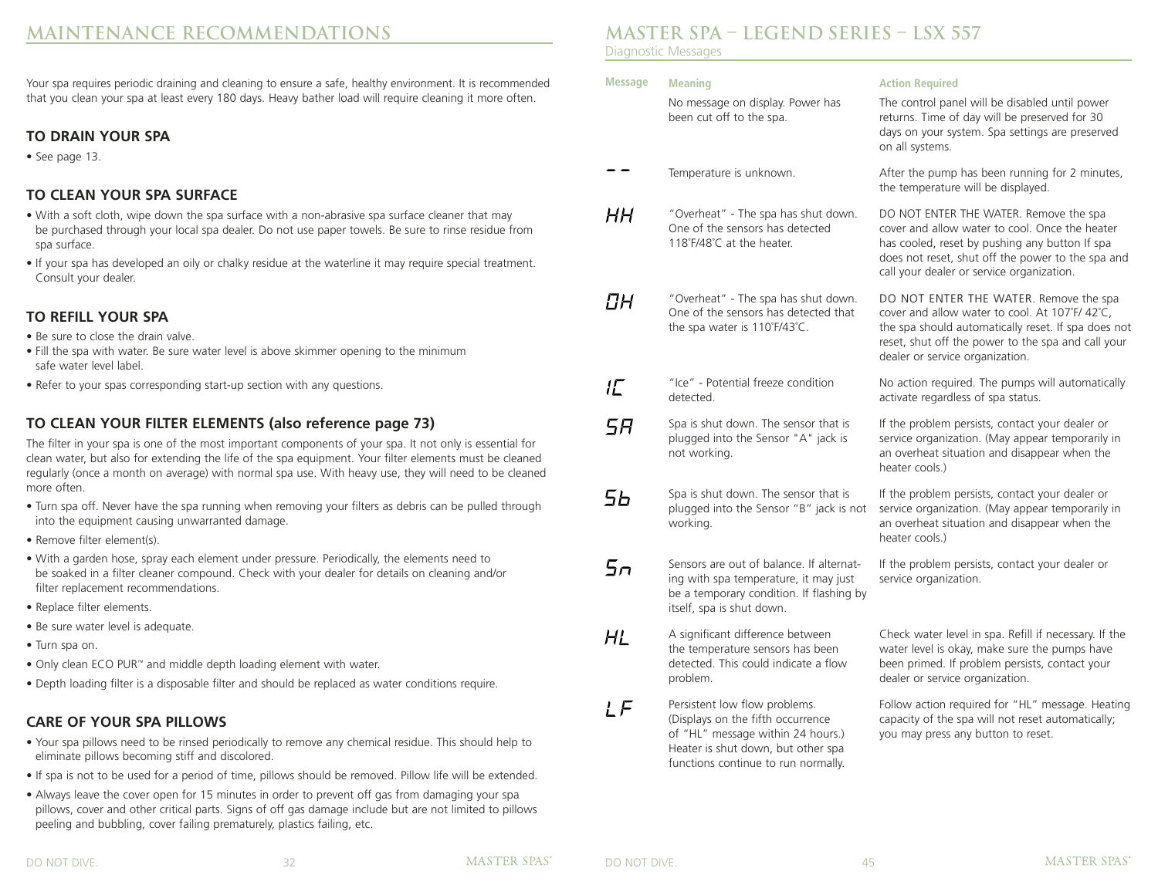## **MAINTENANCE RECOMMENDATIONS**

Your spa requires periodic draining and cleaning to ensure a safe, healthy environment. It is recommended that you clean your spa at least every 180 days. Heavy bather load will require cleaning it more often.

#### **TO DRAIN YOUR SPA**

• See page 13.

#### **TO CLEAN YOUR SPA SURFACE**

- With a soft cloth, wipe down the spa surface with a non-abrasive spa surface cleaner that may be purchased through your local spa dealer. Do not use paper towels. Be sure to rinse residue from spa surface.
- If your spa has developed an oily or chalky residue at the waterline it may require special treatment. Consult your dealer.

#### **TO REFILL YOUR SPA**

- Be sure to close the drain valve.
- Fill the spa with water. Be sure water level is above skimmer opening to the minimum safe water level label.
- Refer to your spas corresponding start-up section with any questions.

#### **TO CLEAN YOUR FILTER ELEMENTS (also reference page 73)**

The filter in your spa is one of the most important components of your spa. It not only is essential for clean water, but also for extending the life of the spa equipment. Your filter elements must be cleaned regularly (once a month on average) with normal spa use. With heavy use, they will need to be cleaned more often.

- Turn spa off. Never have the spa running when removing your filters as debris can be pulled through into the equipment causing unwarranted damage.
- Remove filter element(s).
- With a garden hose, spray each element under pressure. Periodically, the elements need to be soaked in a filter cleaner compound. Check with your dealer for details on cleaning and/or filter replacement recommendations.
- Replace filter elements.
- Be sure water level is adequate.
- Turn spa on.
- Only clean ECO PUR™ and middle depth loading element with water.
- Depth loading filter is a disposable filter and should be replaced as water conditions require.

#### **CARE OF YOUR SPA PILLOWS**

- Your spa pillows need to be rinsed periodically to remove any chemical residue. This should help to eliminate pillows becoming stiff and discolored.
- If spa is not to be used for a period of time, pillows should be removed. Pillow life will be extended.
- Always leave the cover open for 15 minutes in order to prevent off gas from damaging your spa pillows, cover and other critical parts. Signs of off gas damage include but are not limited to pillows peeling and bubbling, cover failing prematurely, plastics failing, etc.

## **MASTER SPA – LEGEND SERIES – LSX 557**

Diagnostic Messages

| <b>Message</b> | <b>Meaning</b>                                                                                                                                                                       | <b>Action Required</b>                                                                                                                                                                                                                       |
|----------------|--------------------------------------------------------------------------------------------------------------------------------------------------------------------------------------|----------------------------------------------------------------------------------------------------------------------------------------------------------------------------------------------------------------------------------------------|
|                | No message on display. Power has<br>been cut off to the spa.                                                                                                                         | The control panel will be disabled until power<br>returns. Time of day will be preserved for 30<br>days on your system. Spa settings are preserved<br>on all systems.                                                                        |
|                | Temperature is unknown.                                                                                                                                                              | After the pump has been running for 2 minutes,<br>the temperature will be displayed.                                                                                                                                                         |
| HН             | "Overheat" - The spa has shut down.<br>One of the sensors has detected<br>118°F/48°C at the heater.                                                                                  | DO NOT ENTER THE WATER. Remove the spa<br>cover and allow water to cool. Once the heater<br>has cooled, reset by pushing any button If spa<br>does not reset, shut off the power to the spa and<br>call your dealer or service organization. |
| ΠН             | "Overheat" - The spa has shut down.<br>One of the sensors has detected that<br>the spa water is 110°F/43°C.                                                                          | DO NOT ENTER THE WATER. Remove the spa<br>cover and allow water to cool. At 107°F/42°C,<br>the spa should automatically reset. If spa does not<br>reset, shut off the power to the spa and call your<br>dealer or service organization.      |
| IГ             | "Ice" - Potential freeze condition<br>detected.                                                                                                                                      | No action required. The pumps will automatically<br>activate regardless of spa status.                                                                                                                                                       |
| 5Η             | Spa is shut down. The sensor that is<br>plugged into the Sensor "A" jack is<br>not working.                                                                                          | If the problem persists, contact your dealer or<br>service organization. (May appear temporarily in<br>an overheat situation and disappear when the<br>heater cools.)                                                                        |
| 56             | Spa is shut down. The sensor that is<br>plugged into the Sensor "B" jack is not<br>working.                                                                                          | If the problem persists, contact your dealer or<br>service organization. (May appear temporarily in<br>an overheat situation and disappear when the<br>heater cools.)                                                                        |
| 5п             | Sensors are out of balance. If alternat-<br>ing with spa temperature, it may just<br>be a temporary condition. If flashing by<br>itself, spa is shut down.                           | If the problem persists, contact your dealer or<br>service organization.                                                                                                                                                                     |
| HL             | A significant difference between<br>the temperature sensors has been<br>detected. This could indicate a flow<br>problem.                                                             | Check water level in spa. Refill if necessary. If the<br>water level is okay, make sure the pumps have<br>been primed. If problem persists, contact your<br>dealer or service organization.                                                  |
| LF             | Persistent low flow problems.<br>(Displays on the fifth occurrence<br>of "HL" message within 24 hours.)<br>Heater is shut down, but other spa<br>functions continue to run normally. | Follow action required for "HL" message. Heating<br>capacity of the spa will not reset automatically;<br>you may press any button to reset.                                                                                                  |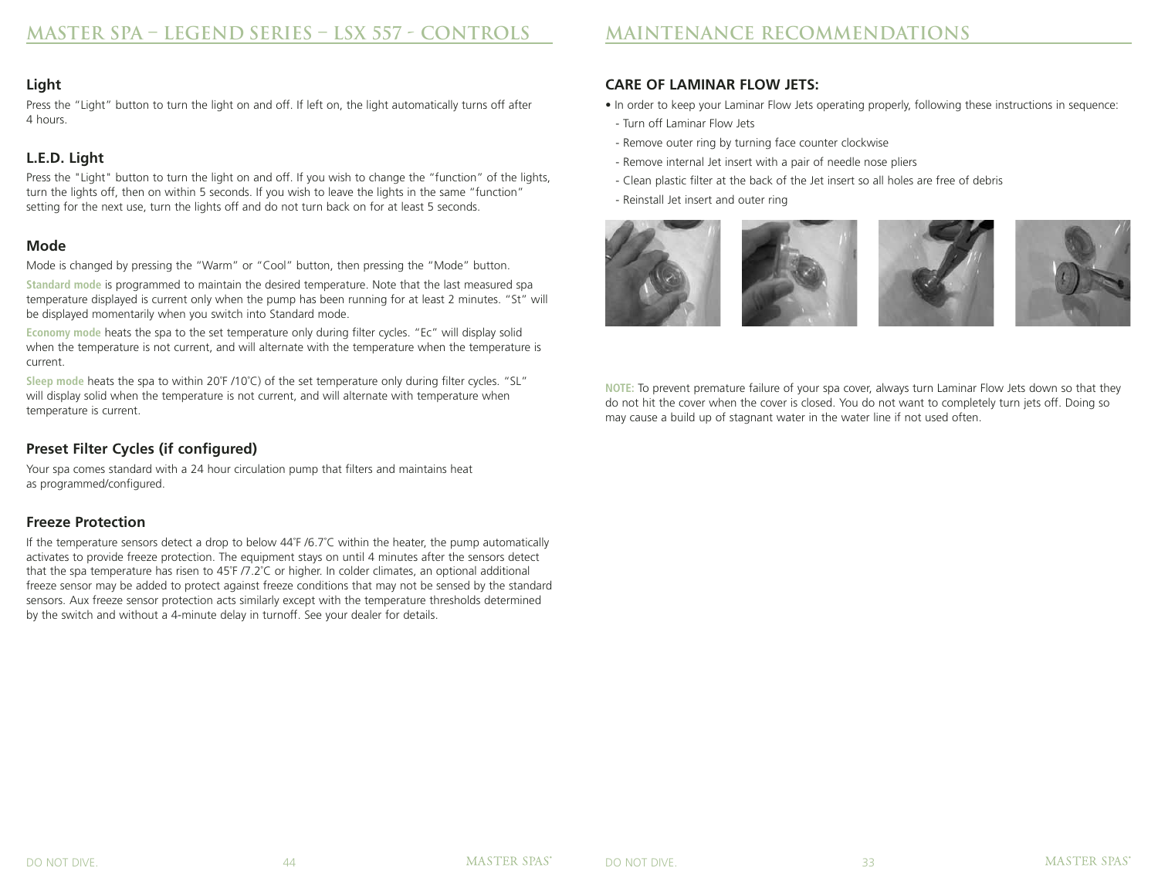## **MAINTENANCE RECOMMENDATIONS**

#### **Light**

Press the "Light" button to turn the light on and off. If left on, the light automatically turns off after 4 hours.

### **L.E.D. Light**

Press the "Light" button to turn the light on and off. If you wish to change the "function" of the lights, turn the lights off, then on within 5 seconds. If you wish to leave the lights in the same "function" setting for the next use, turn the lights off and do not turn back on for at least 5 seconds.

#### **Mode**

Mode is changed by pressing the "Warm" or "Cool" button, then pressing the "Mode" button.

**Standard mode** is programmed to maintain the desired temperature. Note that the last measured spa temperature displayed is current only when the pump has been running for at least 2 minutes. "St" will be displayed momentarily when you switch into Standard mode.

**Economy mode** heats the spa to the set temperature only during filter cycles. "Ec" will display solid when the temperature is not current, and will alternate with the temperature when the temperature is current.

**Sleep mode** heats the spa to within 20˚F /10˚C) of the set temperature only during filter cycles. "SL" will display solid when the temperature is not current, and will alternate with temperature when temperature is current.

#### **Preset Filter Cycles (if configured)**

Your spa comes standard with a 24 hour circulation pump that filters and maintains heat as programmed/configured.

#### **Freeze Protection**

If the temperature sensors detect a drop to below 44˚F /6.7˚C within the heater, the pump automatically activates to provide freeze protection. The equipment stays on until 4 minutes after the sensors detect that the spa temperature has risen to 45˚F /7.2˚C or higher. In colder climates, an optional additional freeze sensor may be added to protect against freeze conditions that may not be sensed by the standard sensors. Aux freeze sensor protection acts similarly except with the temperature thresholds determined by the switch and without a 4-minute delay in turnoff. See your dealer for details.

#### **CARE OF LAMINAR FLOW JETS:**

- In order to keep your Laminar Flow Jets operating properly, following these instructions in sequence:
- Turn off Laminar Flow Jets
- Remove outer ring by turning face counter clockwise
- Remove internal Jet insert with a pair of needle nose pliers
- Clean plastic filter at the back of the Jet insert so all holes are free of debris
- Reinstall Jet insert and outer ring



**NOTE:** To prevent premature failure of your spa cover, always turn Laminar Flow Jets down so that they do not hit the cover when the cover is closed. You do not want to completely turn jets off. Doing so may cause a build up of stagnant water in the water line if not used often.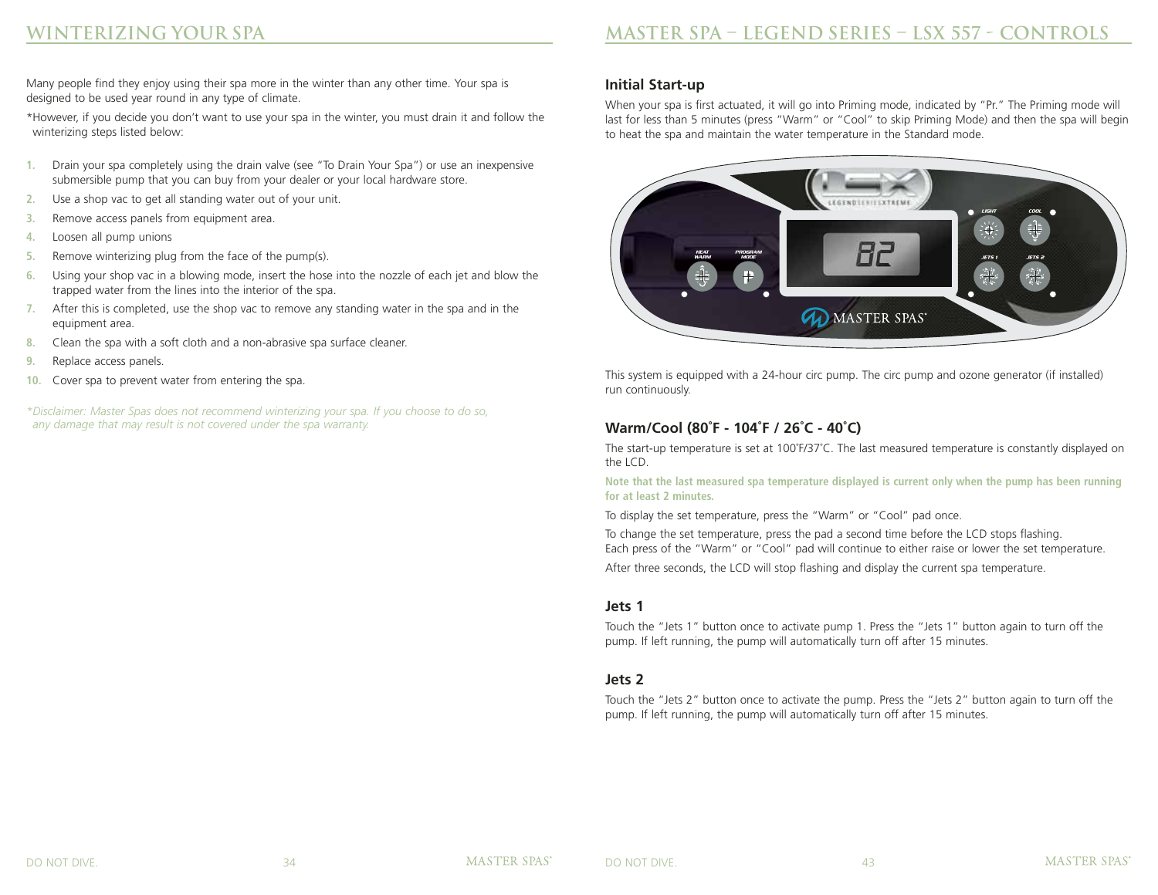## **WINTERIZING YOUR SPA**

Many people find they enjoy using their spa more in the winter than any other time. Your spa is designed to be used year round in any type of climate.

\*However, if you decide you don't want to use your spa in the winter, you must drain it and follow the winterizing steps listed below:

- **1.** Drain your spa completely using the drain valve (see "To Drain Your Spa") or use an inexpensive submersible pump that you can buy from your dealer or your local hardware store.
- **2.** Use a shop vac to get all standing water out of your unit.
- **3.** Remove access panels from equipment area.
- **4.** Loosen all pump unions
- **5.** Remove winterizing plug from the face of the pump(s).
- **6.** Using your shop vac in a blowing mode, insert the hose into the nozzle of each jet and blow the trapped water from the lines into the interior of the spa.
- **7.** After this is completed, use the shop vac to remove any standing water in the spa and in the equipment area.
- **8.** Clean the spa with a soft cloth and a non-abrasive spa surface cleaner.
- **9.** Replace access panels.
- **10.** Cover spa to prevent water from entering the spa.

*\*Disclaimer: Master Spas does not recommend winterizing your spa. If you choose to do so, any damage that may result is not covered under the spa warranty.*

#### **Initial Start-up**

When your spa is first actuated, it will go into Priming mode, indicated by "Pr." The Priming mode will last for less than 5 minutes (press "Warm" or "Cool" to skip Priming Mode) and then the spa will begin to heat the spa and maintain the water temperature in the Standard mode.



This system is equipped with a 24-hour circ pump. The circ pump and ozone generator (if installed) run continuously.

#### **Warm/Cool (80˚F - 104˚F / 26˚C - 40˚C)**

The start-up temperature is set at 100°F/37°C. The last measured temperature is constantly displayed on the LCD.

**Note that the last measured spa temperature displayed is current only when the pump has been running for at least 2 minutes.**

To display the set temperature, press the "Warm" or "Cool" pad once.

To change the set temperature, press the pad a second time before the LCD stops flashing. Each press of the "Warm" or "Cool" pad will continue to either raise or lower the set temperature. After three seconds, the LCD will stop flashing and display the current spa temperature.

#### **Jets 1**

Touch the "Jets 1" button once to activate pump 1. Press the "Jets 1" button again to turn off the pump. If left running, the pump will automatically turn off after 15 minutes.

#### **Jets 2**

Touch the "Jets 2" button once to activate the pump. Press the "Jets 2" button again to turn off the pump. If left running, the pump will automatically turn off after 15 minutes.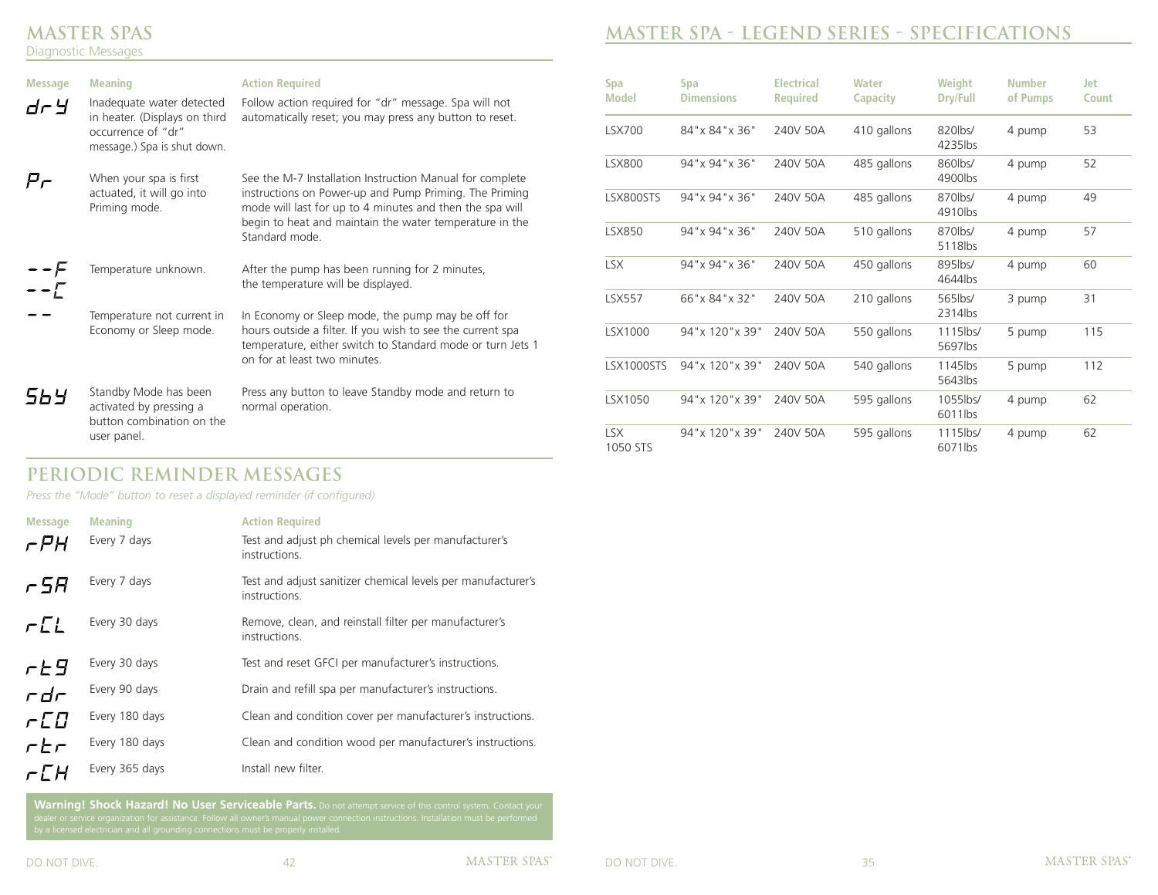## **master spas**

Diagnostic Messages

| <b>Message</b>   | <b>Meaning</b>                                                                                                  | <b>Action Required</b>                                                                                                                                                                                                                                      |
|------------------|-----------------------------------------------------------------------------------------------------------------|-------------------------------------------------------------------------------------------------------------------------------------------------------------------------------------------------------------------------------------------------------------|
| dr Y             | Inadequate water detected<br>in heater. (Displays on third<br>occurrence of "dr"<br>message.) Spa is shut down. | Follow action required for "dr" message. Spa will not<br>automatically reset; you may press any button to reset.                                                                                                                                            |
|                  | When your spa is first<br>actuated, it will go into<br>Priming mode.                                            | See the M-7 Installation Instruction Manual for complete<br>instructions on Power-up and Pump Priming. The Priming<br>mode will last for up to 4 minutes and then the spa will<br>begin to heat and maintain the water temperature in the<br>Standard mode. |
| $- - F$<br>$--1$ | Temperature unknown.                                                                                            | After the pump has been running for 2 minutes,<br>the temperature will be displayed.                                                                                                                                                                        |
|                  | Temperature not current in<br>Economy or Sleep mode.                                                            | In Economy or Sleep mode, the pump may be off for<br>hours outside a filter. If you wish to see the current spa<br>temperature, either switch to Standard mode or turn Jets 1<br>on for at least two minutes.                                               |
| 569              | Standby Mode has been<br>activated by pressing a<br>button combination on the<br>user panel.                    | Press any button to leave Standby mode and return to<br>normal operation.                                                                                                                                                                                   |

## **Periodic Reminder Messages**

*Press the "Mode" button to reset a displayed reminder (if configured)*

| <b>Message</b>       | <b>Meaning</b> | <b>Action Required</b>                                                        |
|----------------------|----------------|-------------------------------------------------------------------------------|
| $\tau$ PH            | Every 7 days   | Test and adjust ph chemical levels per manufacturer's<br>instructions.        |
| r 5R                 | Every 7 days   | Test and adjust sanitizer chemical levels per manufacturer's<br>instructions. |
| CL                   | Every 30 days  | Remove, clean, and reinstall filter per manufacturer's<br>instructions.       |
| r E 9                | Every 30 days  | Test and reset GFCI per manufacturer's instructions.                          |
| r dr                 | Every 90 days  | Drain and refill spa per manufacturer's instructions.                         |
| $-LD$                | Every 180 days | Clean and condition cover per manufacturer's instructions.                    |
| rEr                  | Every 180 days | Clean and condition wood per manufacturer's instructions.                     |
| $\tau \mathcal{L}$ H | Every 365 days | Install new filter.                                                           |

**Warning! Shock Hazard! No User Serviceable Parts.** Do not attempt service of this control system. Contact your<br>dealer or service organization for assistance. Follow all owner's manual power connection instructions. Instal

## **MASTER SPA - LEGEND SERIES - SPECIFICATIONS**

| <b>Spa</b><br><b>Model</b> | <b>Spa</b><br><b>Dimensions</b> | <b>Electrical</b><br><b>Required</b> | <b>Water</b><br><b>Capacity</b> | Weight<br>Dry/Full  | <b>Number</b><br>of Pumps | Jet<br>Count |
|----------------------------|---------------------------------|--------------------------------------|---------------------------------|---------------------|---------------------------|--------------|
| <b>LSX700</b>              | 84" x 84" x 36"                 | 240V 50A                             | 410 gallons                     | 820lbs/<br>4235lbs  | 4 pump                    | 53           |
| <b>LSX800</b>              | 94"x 94"x 36"                   | 240V 50A                             | 485 gallons                     | 860lbs/<br>4900lbs  | 4 pump                    | 52           |
| LSX800STS                  | 94"x 94"x 36"                   | 240V 50A                             | 485 gallons                     | 870lbs/<br>4910lbs  | 4 pump                    | 49           |
| <b>LSX850</b>              | 94"x 94"x 36"                   | 240V 50A                             | 510 gallons                     | 870lbs/<br>5118lbs  | 4 pump                    | 57           |
| <b>LSX</b>                 | 94"x 94"x 36"                   | 240V 50A                             | 450 gallons                     | 895lbs/<br>4644lbs  | 4 pump                    | 60           |
| <b>LSX557</b>              | 66" x 84" x 32"                 | 240V 50A                             | 210 gallons                     | 565lbs/<br>2314lbs  | 3 pump                    | 31           |
| LSX1000                    | 94" x 120" x 39"                | 240V 50A                             | 550 gallons                     | 1115lbs/<br>5697lbs | 5 pump                    | 115          |
| LSX1000STS                 | 94" x 120" x 39"                | 240V 50A                             | 540 gallons                     | 1145lbs<br>5643lbs  | 5 pump                    | 112          |
| LSX1050                    | 94" x 120" x 39"                | 240V 50A                             | 595 gallons                     | 1055lbs/<br>6011lbs | 4 pump                    | 62           |
| <b>LSX</b><br>1050 STS     | 94"x 120"x 39"                  | 240V 50A                             | 595 gallons                     | 1115lbs/<br>6071lbs | 4 pump                    | 62           |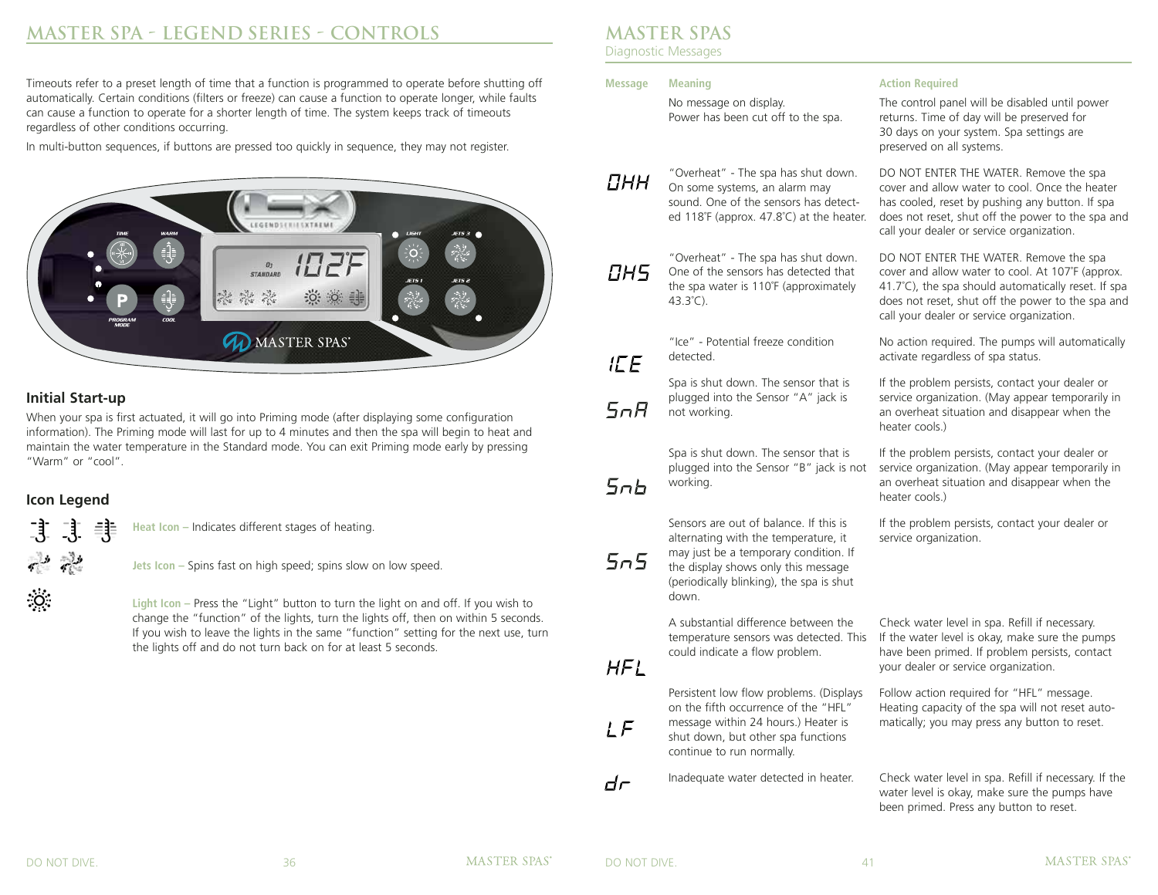## **MASTER SPA - LEGEND SERIES - CONTROLS**

Timeouts refer to a preset length of time that a function is programmed to operate before shutting off automatically. Certain conditions (filters or freeze) can cause a function to operate longer, while faults can cause a function to operate for a shorter length of time. The system keeps track of timeouts regardless of other conditions occurring.

In multi-button sequences, if buttons are pressed too quickly in sequence, they may not register.



#### **Initial Start-up**

When your spa is first actuated, it will go into Priming mode (after displaying some configuration information). The Priming mode will last for up to 4 minutes and then the spa will begin to heat and maintain the water temperature in the Standard mode. You can exit Priming mode early by pressing "Warm" or "cool".

#### **Icon Legend**

ままま

 $\mathcal{L}$ 

 $\circ$ 

**Heat Icon –** Indicates different stages of heating.

**Jets Icon –** Spins fast on high speed; spins slow on low speed.

**Light Icon –** Press the "Light" button to turn the light on and off. If you wish to change the "function" of the lights, turn the lights off, then on within 5 seconds. If you wish to leave the lights in the same "function" setting for the next use, turn the lights off and do not turn back on for at least 5 seconds.

## **master spas**

Diagnostic Messages

#### **Message Meaning**

No message on display. Power has been cut off to the spa.



"Overheat" - The spa has shut down. On some systems, an alarm may sound. One of the sensors has detected 118°F (approx. 47.8°C) at the heater.



 $E$ 

 $5nR$ 

 $5th$ 

 $5n5$ 

"Overheat" - The spa has shut down. One of the sensors has detected that the spa water is 110˚F (approximately 43.3˚C).

"Ice" - Potential freeze condition detected.

Spa is shut down. The sensor that is plugged into the Sensor "A" jack is not working.

Spa is shut down. The sensor that is plugged into the Sensor "B" jack is not working.

Sensors are out of balance. If this is alternating with the temperature, it may just be a temporary condition. If the display shows only this message (periodically blinking), the spa is shut down.

A substantial difference between the temperature sensors was detected. This could indicate a flow problem.

 $HFL$ 



 $d\tau$ 

Persistent low flow problems. (Displays on the fifth occurrence of the "HFL" message within 24 hours.) Heater is shut down, but other spa functions continue to run normally.

Inadequate water detected in heater.

#### **Action Required**

The control panel will be disabled until power returns. Time of day will be preserved for 30 days on your system. Spa settings are preserved on all systems.

DO NOT ENTER THE WATER. Remove the spa cover and allow water to cool. Once the heater has cooled, reset by pushing any button. If spa does not reset, shut off the power to the spa and call your dealer or service organization.

DO NOT ENTER THE WATER. Remove the spa cover and allow water to cool. At 107˚F (approx. 41.7˚C), the spa should automatically reset. If spa does not reset, shut off the power to the spa and call your dealer or service organization.

No action required. The pumps will automatically activate regardless of spa status.

If the problem persists, contact your dealer or service organization. (May appear temporarily in an overheat situation and disappear when the heater cools.)

If the problem persists, contact your dealer or service organization. (May appear temporarily in an overheat situation and disappear when the heater cools.)

If the problem persists, contact your dealer or service organization.

Check water level in spa. Refill if necessary. If the water level is okay, make sure the pumps have been primed. If problem persists, contact your dealer or service organization.

Follow action required for "HFL" message. Heating capacity of the spa will not reset automatically; you may press any button to reset.

Check water level in spa. Refill if necessary. If the water level is okay, make sure the pumps have been primed. Press any button to reset.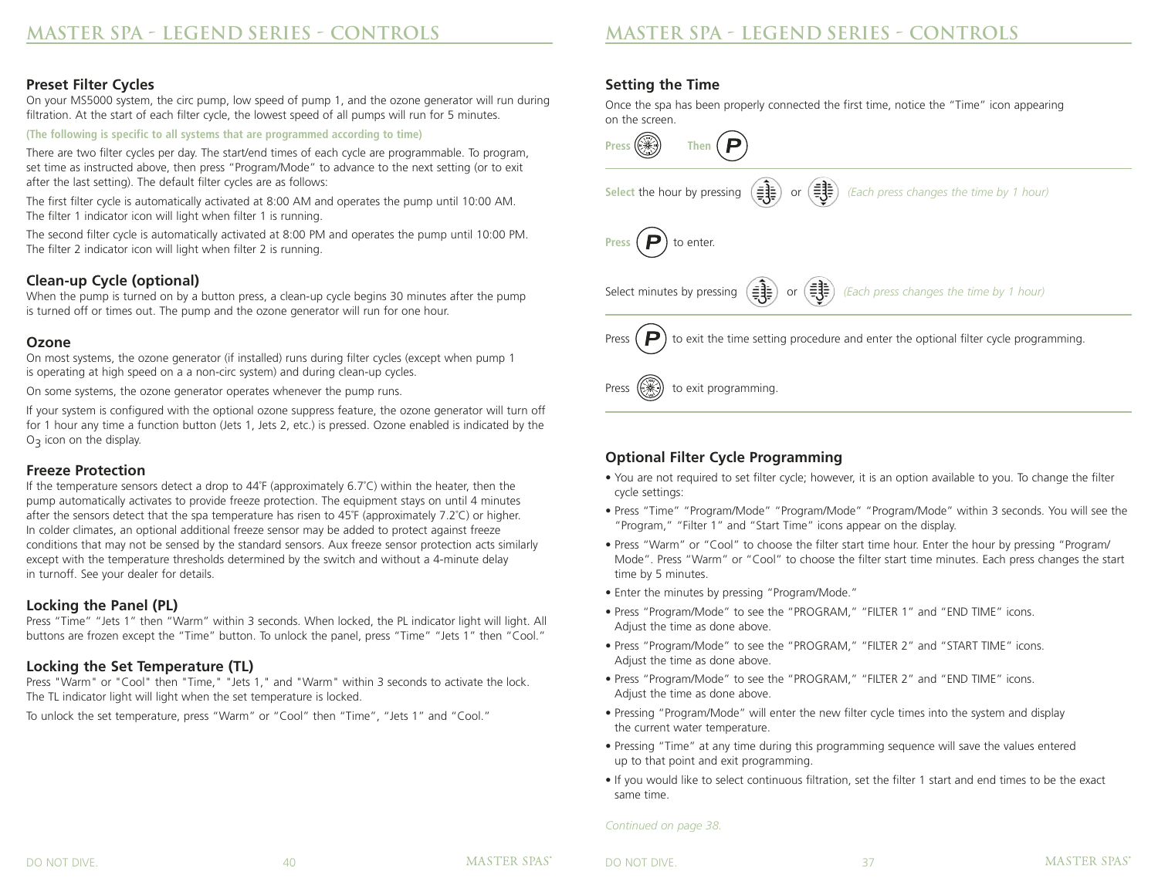#### **Preset Filter Cycles**

On your MS5000 system, the circ pump, low speed of pump 1, and the ozone generator will run during filtration. At the start of each filter cycle, the lowest speed of all pumps will run for 5 minutes.

#### **(The following is specific to all systems that are programmed according to time)**

There are two filter cycles per day. The start/end times of each cycle are programmable. To program, set time as instructed above, then press "Program/Mode" to advance to the next setting (or to exit after the last setting). The default filter cycles are as follows:

The first filter cycle is automatically activated at 8:00 AM and operates the pump until 10:00 AM. The filter 1 indicator icon will light when filter 1 is running.

The second filter cycle is automatically activated at 8:00 PM and operates the pump until 10:00 PM. The filter 2 indicator icon will light when filter 2 is running.

#### **Clean-up Cycle (optional)**

When the pump is turned on by a button press, a clean-up cycle begins 30 minutes after the pump is turned off or times out. The pump and the ozone generator will run for one hour.

#### **Ozone**

On most systems, the ozone generator (if installed) runs during filter cycles (except when pump 1 is operating at high speed on a a non-circ system) and during clean-up cycles.

On some systems, the ozone generator operates whenever the pump runs.

If your system is configured with the optional ozone suppress feature, the ozone generator will turn off for 1 hour any time a function button (Jets 1, Jets 2, etc.) is pressed. Ozone enabled is indicated by the  $O<sub>3</sub>$  icon on the display.

#### **Freeze Protection**

If the temperature sensors detect a drop to 44˚F (approximately 6.7˚C) within the heater, then the pump automatically activates to provide freeze protection. The equipment stays on until 4 minutes after the sensors detect that the spa temperature has risen to 45˚F (approximately 7.2˚C) or higher. In colder climates, an optional additional freeze sensor may be added to protect against freeze conditions that may not be sensed by the standard sensors. Aux freeze sensor protection acts similarly except with the temperature thresholds determined by the switch and without a 4-minute delay in turnoff. See your dealer for details.

#### **Locking the Panel (PL)**

Press "Time" "Jets 1" then "Warm" within 3 seconds. When locked, the PL indicator light will light. All buttons are frozen except the "Time" button. To unlock the panel, press "Time" "Jets 1" then "Cool."

#### **Locking the Set Temperature (TL)**

Press "Warm" or "Cool" then "Time," "Jets 1," and "Warm" within 3 seconds to activate the lock. The TL indicator light will light when the set temperature is locked.

To unlock the set temperature, press "Warm" or "Cool" then "Time", "Jets 1" and "Cool."

#### **Setting the Time**

Once the spa has been properly connected the first time, notice the "Time" icon appearing on the screen.



#### **Optional Filter Cycle Programming**

- You are not required to set filter cycle; however, it is an option available to you. To change the filter cycle settings:
- Press "Time" "Program/Mode" "Program/Mode" "Program/Mode" within 3 seconds. You will see the "Program," "Filter 1" and "Start Time" icons appear on the display.
- Press "Warm" or "Cool" to choose the filter start time hour. Enter the hour by pressing "Program/ Mode". Press "Warm" or "Cool" to choose the filter start time minutes. Each press changes the start time by 5 minutes.
- Enter the minutes by pressing "Program/Mode."
- Press "Program/Mode" to see the "PROGRAM," "FILTER 1" and "END TIME" icons. Adjust the time as done above.
- Press "Program/Mode" to see the "PROGRAM," "FILTER 2" and "START TIME" icons. Adjust the time as done above.
- Press "Program/Mode" to see the "PROGRAM," "FILTER 2" and "END TIME" icons. Adjust the time as done above.
- Pressing "Program/Mode" will enter the new filter cycle times into the system and display the current water temperature.
- Pressing "Time" at any time during this programming sequence will save the values entered up to that point and exit programming.
- If you would like to select continuous filtration, set the filter 1 start and end times to be the exact same time.

*Continued on page 38.*

```
DO NOT DIVE. A 1999 ST.
```